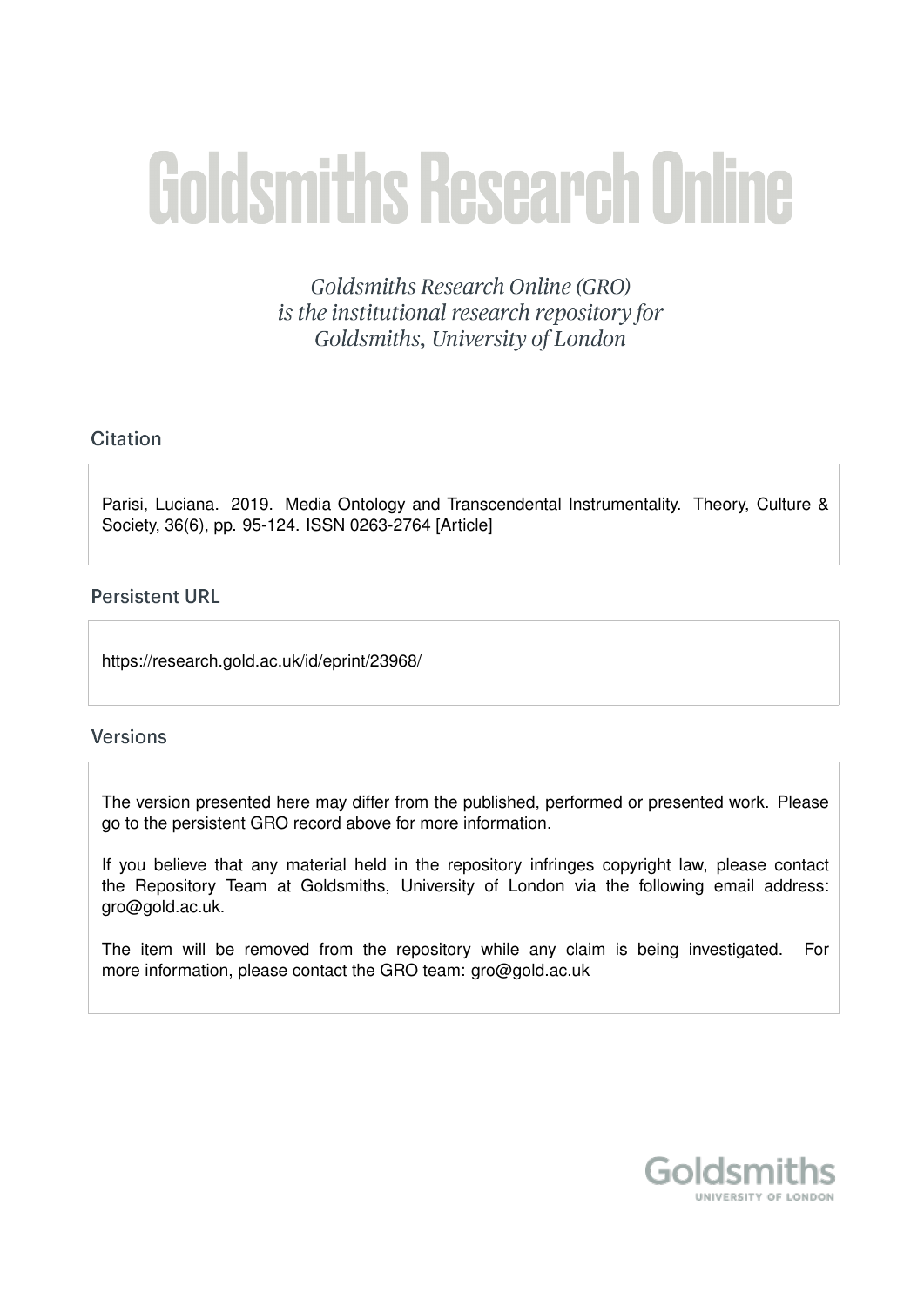# **Goldsmiths Research Online**

Goldsmiths Research Online (GRO) is the institutional research repository for Goldsmiths, University of London

# Citation

Parisi, Luciana. 2019. Media Ontology and Transcendental Instrumentality. Theory, Culture & Society, 36(6), pp. 95-124. ISSN 0263-2764 [Article]

# **Persistent URL**

https://research.gold.ac.uk/id/eprint/23968/

# **Versions**

The version presented here may differ from the published, performed or presented work. Please go to the persistent GRO record above for more information.

If you believe that any material held in the repository infringes copyright law, please contact the Repository Team at Goldsmiths, University of London via the following email address: gro@gold.ac.uk.

The item will be removed from the repository while any claim is being investigated. For more information, please contact the GRO team: gro@gold.ac.uk

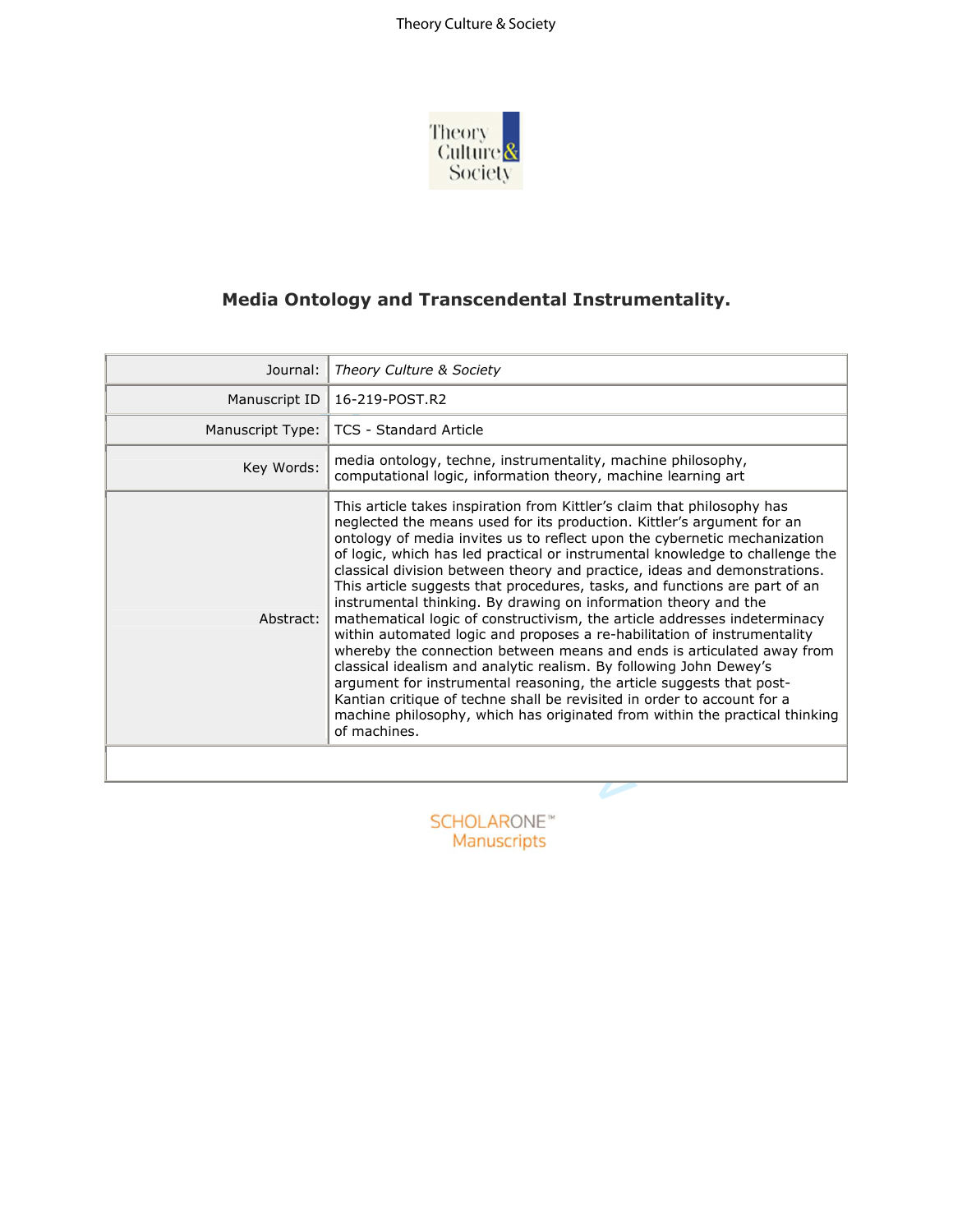

# **Media Ontology and Transcendental Instrumentality.**

| Journal:         | Theory Culture & Society                                                                                                                                                                                                                                                                                                                                                                                                                                                                                                                                                                                                                                                                                                                                                                                                                                                                                                                                                                                                                                                                                |
|------------------|---------------------------------------------------------------------------------------------------------------------------------------------------------------------------------------------------------------------------------------------------------------------------------------------------------------------------------------------------------------------------------------------------------------------------------------------------------------------------------------------------------------------------------------------------------------------------------------------------------------------------------------------------------------------------------------------------------------------------------------------------------------------------------------------------------------------------------------------------------------------------------------------------------------------------------------------------------------------------------------------------------------------------------------------------------------------------------------------------------|
| Manuscript ID    | 16-219-POST.R2                                                                                                                                                                                                                                                                                                                                                                                                                                                                                                                                                                                                                                                                                                                                                                                                                                                                                                                                                                                                                                                                                          |
| Manuscript Type: | <b>TCS - Standard Article</b>                                                                                                                                                                                                                                                                                                                                                                                                                                                                                                                                                                                                                                                                                                                                                                                                                                                                                                                                                                                                                                                                           |
| Key Words:       | media ontology, techne, instrumentality, machine philosophy,<br>computational logic, information theory, machine learning art                                                                                                                                                                                                                                                                                                                                                                                                                                                                                                                                                                                                                                                                                                                                                                                                                                                                                                                                                                           |
| Abstract:        | This article takes inspiration from Kittler's claim that philosophy has<br>neglected the means used for its production. Kittler's argument for an<br>ontology of media invites us to reflect upon the cybernetic mechanization<br>of logic, which has led practical or instrumental knowledge to challenge the<br>classical division between theory and practice, ideas and demonstrations.<br>This article suggests that procedures, tasks, and functions are part of an<br>instrumental thinking. By drawing on information theory and the<br>mathematical logic of constructivism, the article addresses indeterminacy<br>within automated logic and proposes a re-habilitation of instrumentality<br>whereby the connection between means and ends is articulated away from<br>classical idealism and analytic realism. By following John Dewey's<br>argument for instrumental reasoning, the article suggests that post-<br>Kantian critique of techne shall be revisited in order to account for a<br>machine philosophy, which has originated from within the practical thinking<br>of machines. |
|                  |                                                                                                                                                                                                                                                                                                                                                                                                                                                                                                                                                                                                                                                                                                                                                                                                                                                                                                                                                                                                                                                                                                         |
|                  |                                                                                                                                                                                                                                                                                                                                                                                                                                                                                                                                                                                                                                                                                                                                                                                                                                                                                                                                                                                                                                                                                                         |

Manuscripts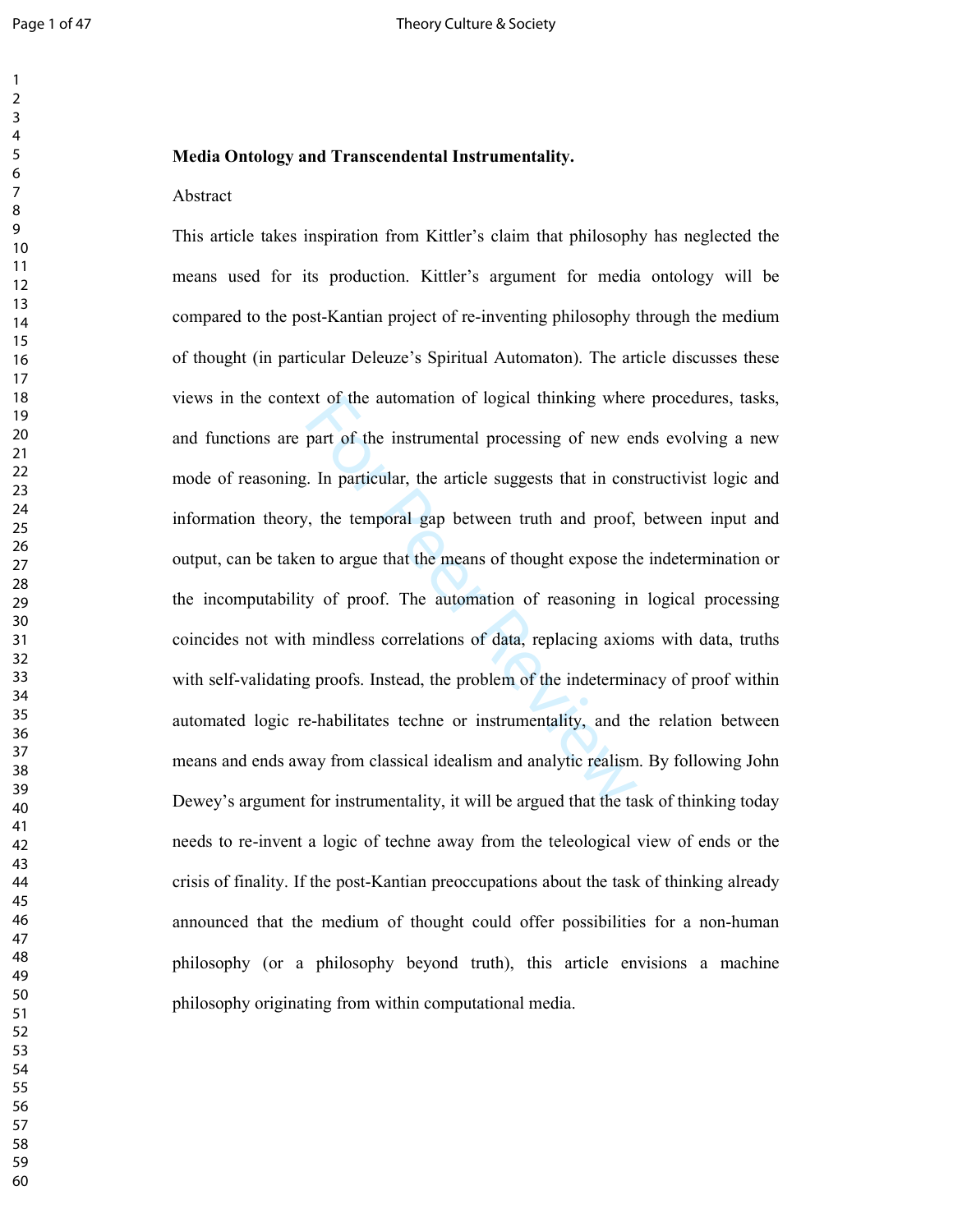### $\mathbf{1}$   $\overline{2}$  $\overline{7}$

### **Media Ontology and Transcendental Instrumentality.**

### Abstract

xt of the automation of logical thinking wher<br>part of the instrumental processing of new er<br>expect that in con<br>r, the temporal gap between truth and proof,<br>n to argue that the means of thought expose the<br>y of proof. The au This article takes inspiration from Kittler's claim that philosophy has neglected the means used for its production. Kittler's argument for media ontology will be compared to the post-Kantian project of re-inventing philosophy through the medium of thought (in particular Deleuze's Spiritual Automaton). The article discusses these views in the context of the automation of logical thinking where procedures, tasks, and functions are part of the instrumental processing of new ends evolving a new mode of reasoning. In particular, the article suggests that in constructivist logic and information theory, the temporal gap between truth and proof, between input and output, can be taken to argue that the means of thought expose the indetermination or the incomputability of proof. The automation of reasoning in logical processing coincides not with mindless correlations of data, replacing axioms with data, truths with self-validating proofs. Instead, the problem of the indeterminacy of proof within automated logic re-habilitates techne or instrumentality, and the relation between means and ends away from classical idealism and analytic realism. By following John Dewey's argument for instrumentality, it will be argued that the task of thinking today needs to re-invent a logic of techne away from the teleological view of ends or the crisis of finality. If the post-Kantian preoccupations about the task of thinking already announced that the medium of thought could offer possibilities for a non-human philosophy (or a philosophy beyond truth), this article envisions a machine philosophy originating from within computational media.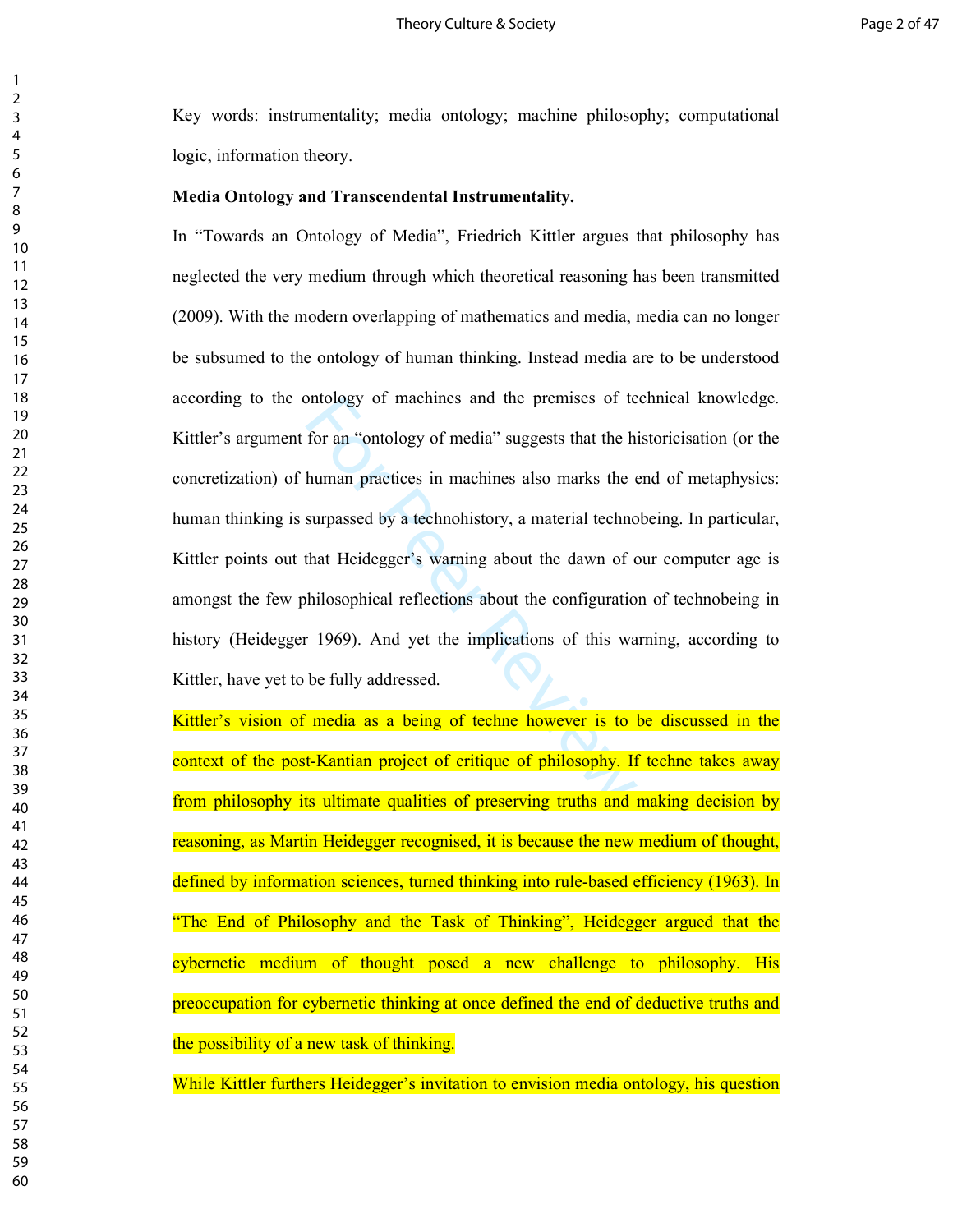Key words: instrumentality; media ontology; machine philosophy; computational logic, information theory.

### **Media Ontology and Transcendental Instrumentality.**

ontology of machines and the premises of te<br>for an "ontology of media" suggests that the h<br>human practices in machines also marks the e<br>surpassed by a technohistory, a material techno<br>that Heidegger's warning about the daw In "Towards an Ontology of Media", Friedrich Kittler argues that philosophy has neglected the very medium through which theoretical reasoning has been transmitted (2009). With the modern overlapping of mathematics and media, media can no longer be subsumed to the ontology of human thinking. Instead media are to be understood according to the ontology of machines and the premises of technical knowledge. Kittler's argument for an "ontology of media" suggests that the historicisation (or the concretization) of human practices in machines also marks the end of metaphysics: human thinking is surpassed by a technohistory, a material technobeing. In particular, Kittler points out that Heidegger's warning about the dawn of our computer age is amongst the few philosophical reflections about the configuration of technobeing in history (Heidegger 1969). And yet the implications of this warning, according to Kittler, have yet to be fully addressed.

Kittler's vision of media as a being of techne however is to be discussed in the context of the post-Kantian project of critique of philosophy. If techne takes away from philosophy its ultimate qualities of preserving truths and making decision by reasoning, as Martin Heidegger recognised, it is because the new medium of thought, defined by information sciences, turned thinking into rule-based efficiency (1963). In "The End of Philosophy and the Task of Thinking", Heidegger argued that the cybernetic medium of thought posed a new challenge to philosophy. His preoccupation for cybernetic thinking at once defined the end of deductive truths and the possibility of a new task of thinking.

While Kittler furthers Heidegger's invitation to envision media ontology, his question

 $\mathbf{1}$  $\overline{2}$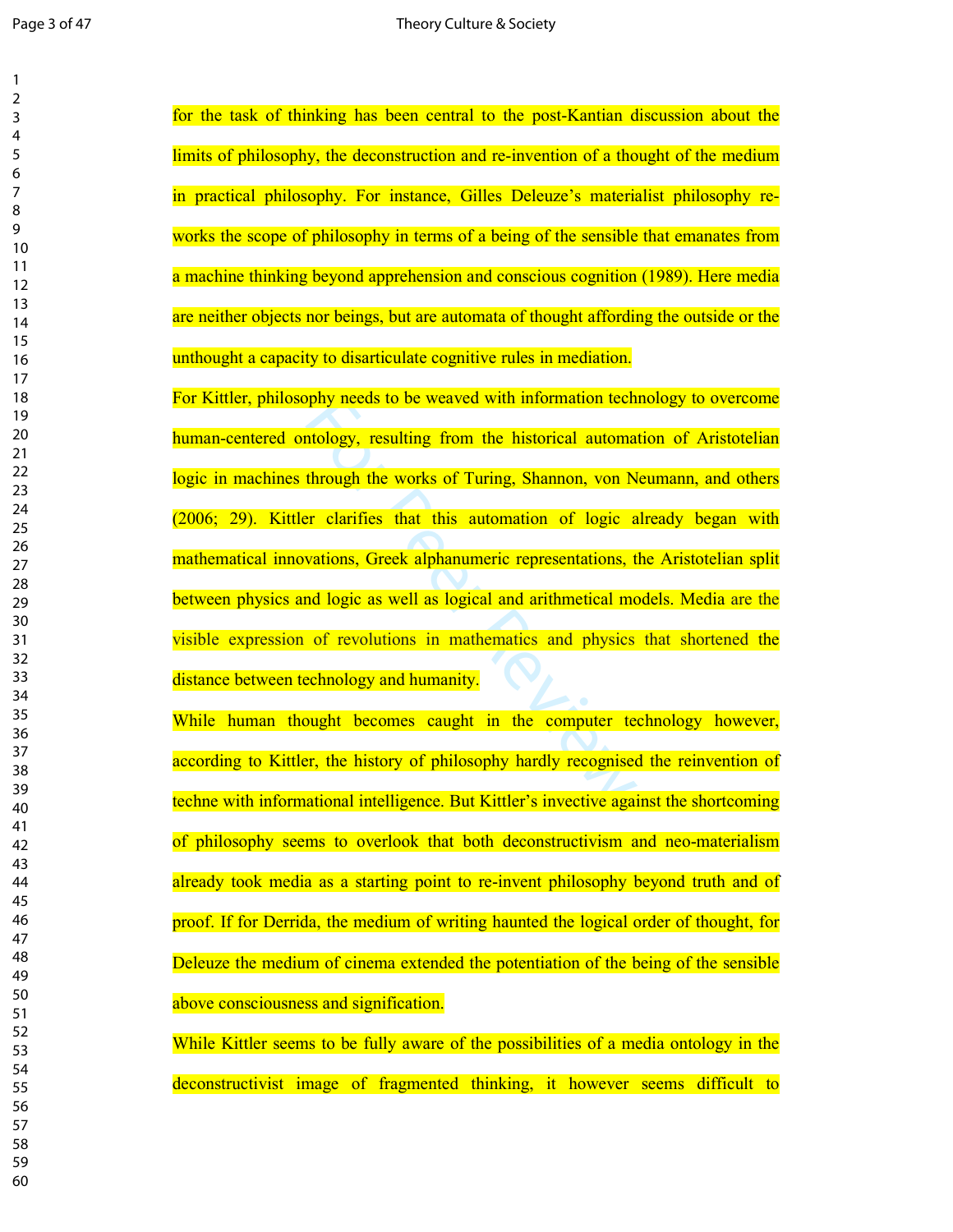| 1<br>2                             |  |
|------------------------------------|--|
| 3<br>4                             |  |
| 5                                  |  |
| 6                                  |  |
| 8<br>9                             |  |
| 10                                 |  |
| $\overline{11}$<br>$\overline{12}$ |  |
| 13<br>14                           |  |
| 15                                 |  |
| $\overline{16}$<br>$\frac{1}{2}$   |  |
| 18<br>19                           |  |
| 20                                 |  |
| $\overline{21}$<br>22              |  |
| 23<br>24                           |  |
| 25<br>26                           |  |
| 27                                 |  |
| 28<br>29                           |  |
| 30<br>31                           |  |
| 32<br>33                           |  |
| 34                                 |  |
| 35<br>36                           |  |
| 37<br>38                           |  |
| 39                                 |  |
| 40<br>41                           |  |
| 42<br>43                           |  |
| 44<br>45                           |  |
| 46                                 |  |
| 47<br>48                           |  |
| 49<br>50                           |  |
| 51                                 |  |
| 52<br>53                           |  |
| 54<br>55                           |  |
| 56                                 |  |
| 57<br>58                           |  |
| 59<br>60                           |  |
|                                    |  |

by meeds to be weaved with information techtology, resulting from the historical automathrough the works of Turing, Shannon, von N<br>r clarifies that this automation of logic a<br>vations, Greek alphanumeric representations, t<br> for the task of thinking has been central to the post-Kantian discussion about the limits of philosophy, the deconstruction and re-invention of a thought of the medium in practical philosophy. For instance, Gilles Deleuze's materialist philosophy reworks the scope of philosophy in terms of a being of the sensible that emanates from a machine thinking beyond apprehension and conscious cognition (1989). Here media are neither objects nor beings, but are automata of thought affording the outside or the unthought a capacity to disarticulate cognitive rules in mediation. For Kittler, philosophy needs to be weaved with information technology to overcome human-centered ontology, resulting from the historical automation of Aristotelian logic in machines through the works of Turing, Shannon, von Neumann, and others (2006; 29). Kittler clarifies that this automation of logic already began with mathematical innovations, Greek alphanumeric representations, the Aristotelian split between physics and logic as well as logical and arithmetical models. Media are the visible expression of revolutions in mathematics and physics that shortened the

distance between technology and humanity.

While human thought becomes caught in the computer technology however, according to Kittler, the history of philosophy hardly recognised the reinvention of techne with informational intelligence. But Kittler's invective against the shortcoming of philosophy seems to overlook that both deconstructivism and neo-materialism already took media as a starting point to re-invent philosophy beyond truth and of proof. If for Derrida, the medium of writing haunted the logical order of thought, for Deleuze the medium of cinema extended the potentiation of the being of the sensible above consciousness and signification.

While Kittler seems to be fully aware of the possibilities of a media ontology in the deconstructivist image of fragmented thinking, it however seems difficult to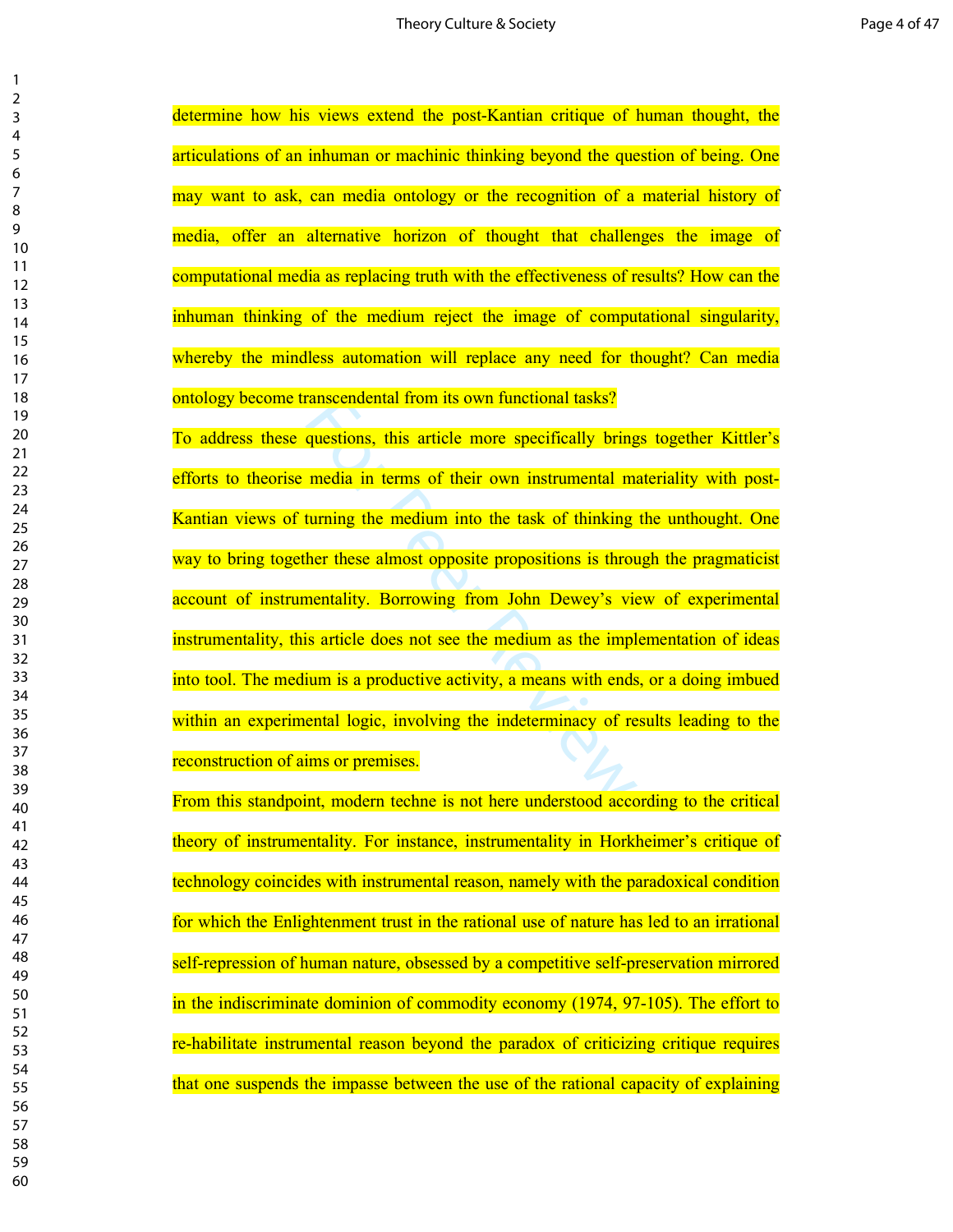determine how his views extend the post-Kantian critique of human thought, the articulations of an inhuman or machinic thinking beyond the question of being. One may want to ask, can media ontology or the recognition of a material history of media, offer an alternative horizon of thought that challenges the image of computational media as replacing truth with the effectiveness of results? How can the inhuman thinking of the medium reject the image of computational singularity, whereby the mindless automation will replace any need for thought? Can media ontology become transcendental from its own functional tasks?

ranscendental from its own functional tasks?<br>questions, this article more specifically bring<br>media in terms of their own instrumental maturining the medium into the task of thinking<br>her these almost opposite propositions i To address these questions, this article more specifically brings together Kittler's efforts to theorise media in terms of their own instrumental materiality with post-Kantian views of turning the medium into the task of thinking the unthought. One way to bring together these almost opposite propositions is through the pragmaticist account of instrumentality. Borrowing from John Dewey's view of experimental instrumentality, this article does not see the medium as the implementation of ideas into tool. The medium is a productive activity, a means with ends, or a doing imbued within an experimental logic, involving the indeterminacy of results leading to the reconstruction of aims or premises.

From this standpoint, modern techne is not here understood according to the critical theory of instrumentality. For instance, instrumentality in Horkheimer's critique of technology coincides with instrumental reason, namely with the paradoxical condition for which the Enlightenment trust in the rational use of nature has led to an irrational self-repression of human nature, obsessed by a competitive self-preservation mirrored in the indiscriminate dominion of commodity economy (1974, 97-105). The effort to re-habilitate instrumental reason beyond the paradox of criticizing critique requires that one suspends the impasse between the use of the rational capacity of explaining

 $\mathbf{1}$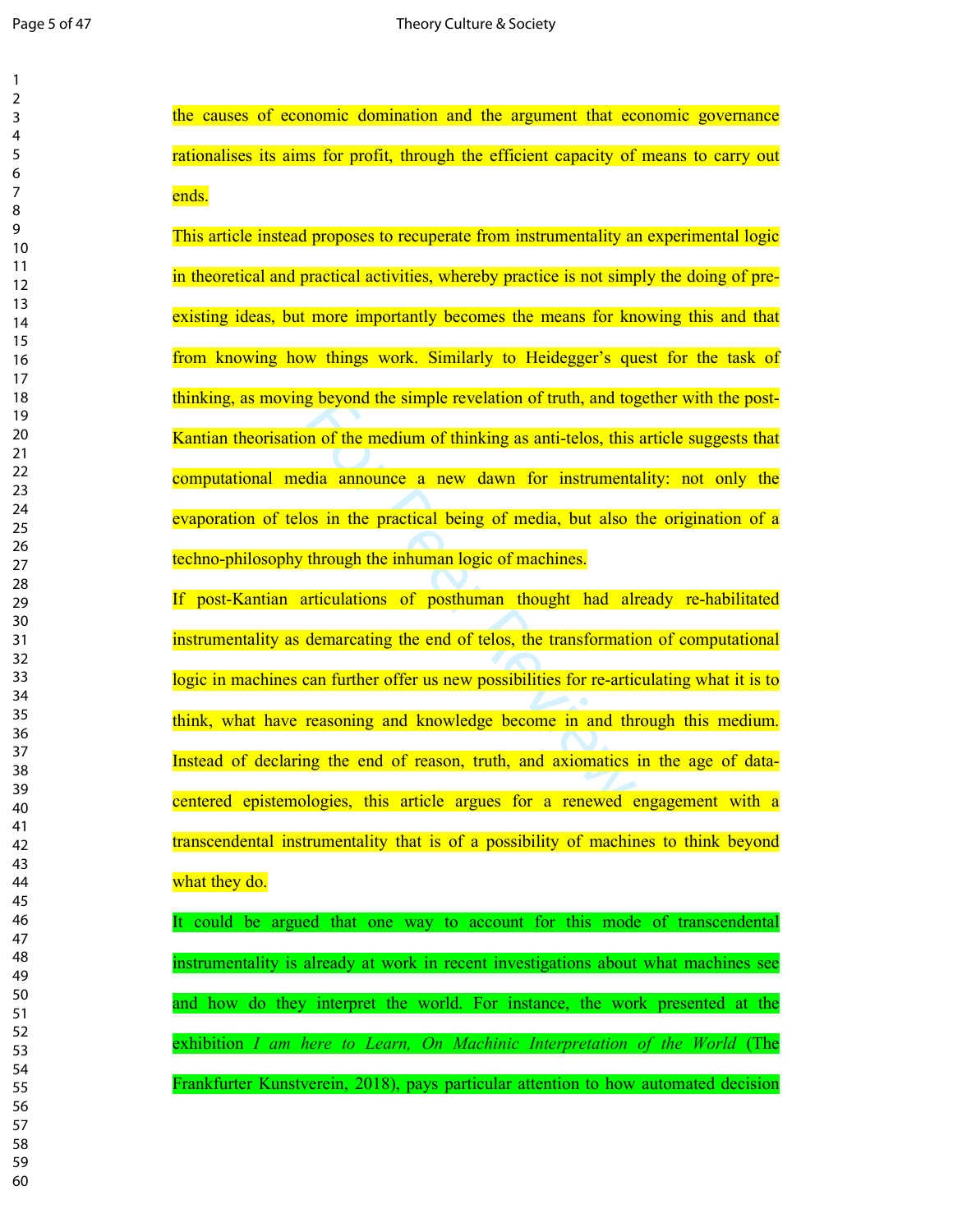the causes of economic domination and the argument that economic governance rationalises its aims for profit, through the efficient capacity of means to carry out ends.

This article instead proposes to recuperate from instrumentality an experimental logic in theoretical and practical activities, whereby practice is not simply the doing of preexisting ideas, but more importantly becomes the means for knowing this and that from knowing how things work. Similarly to Heidegger's quest for the task of thinking, as moving beyond the simple revelation of truth, and together with the post-Kantian theorisation of the medium of thinking as anti-telos, this article suggests that computational media announce a new dawn for instrumentality: not only the evaporation of telos in the practical being of media, but also the origination of a techno-philosophy through the inhuman logic of machines.

g beyond the simple revelation of truth, and tog<br>in of the medium of thinking as anti-telos, this<br>dia announce a new dawn for instrumenta<br>os in the practical being of media, but also t<br>through the inhuman logic of machines If post-Kantian articulations of posthuman thought had already re-habilitated instrumentality as demarcating the end of telos, the transformation of computational logic in machines can further offer us new possibilities for re-articulating what it is to think, what have reasoning and knowledge become in and through this medium. Instead of declaring the end of reason, truth, and axiomatics in the age of datacentered epistemologies, this article argues for a renewed engagement with a transcendental instrumentality that is of a possibility of machines to think beyond what they do.

It could be argued that one way to account for this mode of transcendental instrumentality is already at work in recent investigations about what machines see and how do they interpret the world. For instance, the work presented at the exhibition *I am here to Learn, On Machinic Interpretation of the World* (The Frankfurter Kunstverein, 2018), pays particular attention to how automated decision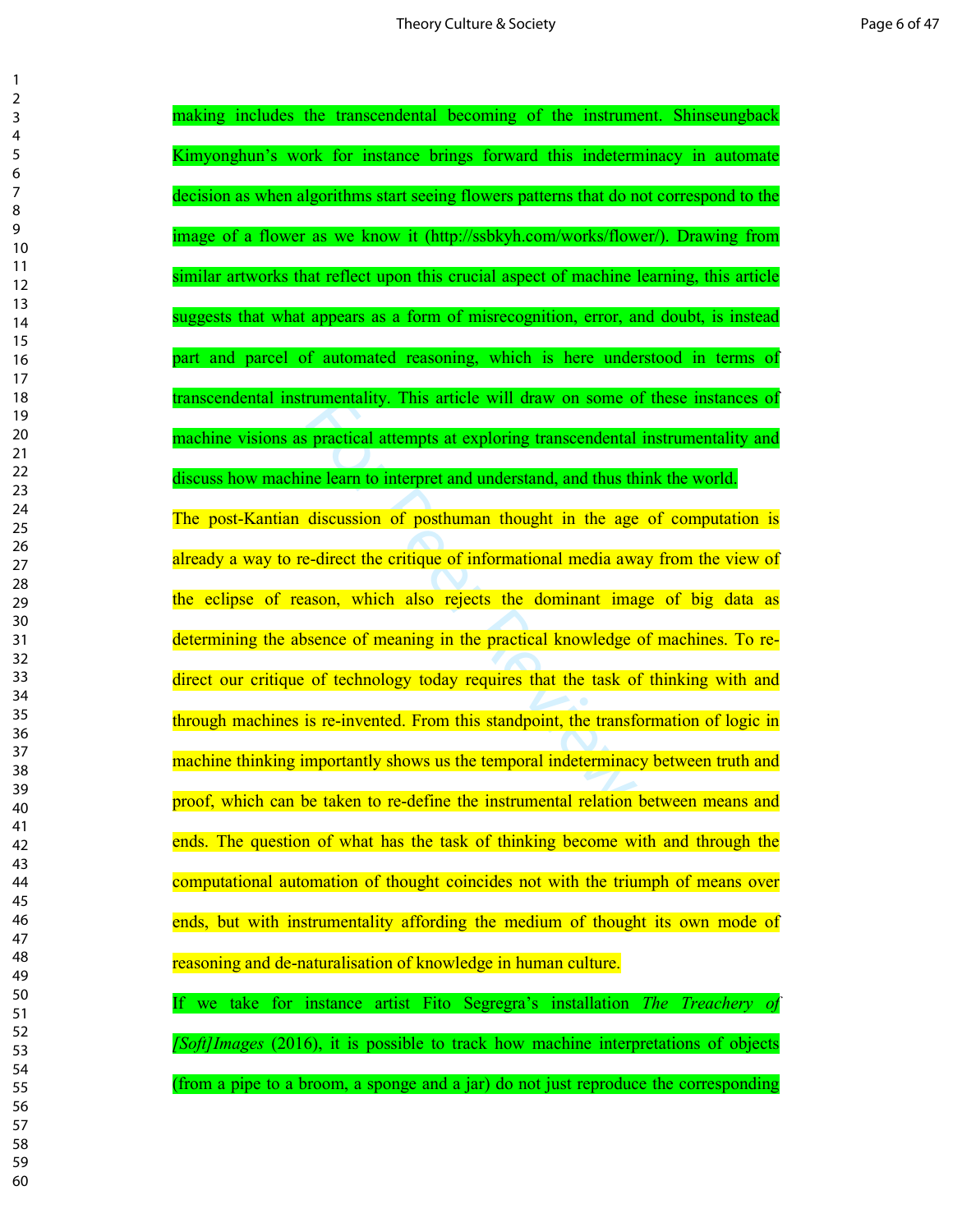rumentality. This article will draw on some of practical attempts at exploring transcendental<br>ne learn to interpret and understand, and thus the<br>discussion of posthuman thought in the age<br>e-direct the critique of informati making includes the transcendental becoming of the instrument. Shinseungback Kimyonghun's work for instance brings forward this indeterminacy in automate decision as when algorithms start seeing flowers patterns that do not correspond to the image of a flower as we know it (http://ssbkyh.com/works/flower/). Drawing from similar artworks that reflect upon this crucial aspect of machine learning, this article suggests that what appears as a form of misrecognition, error, and doubt, is instead part and parcel of automated reasoning, which is here understood in terms of transcendental instrumentality. This article will draw on some of these instances of machine visions as practical attempts at exploring transcendental instrumentality and discuss how machine learn to interpret and understand, and thus think the world. The post-Kantian discussion of posthuman thought in the age of computation is already a way to re-direct the critique of informational media away from the view of the eclipse of reason, which also rejects the dominant image of big data as determining the absence of meaning in the practical knowledge of machines. To redirect our critique of technology today requires that the task of thinking with and through machines is re-invented. From this standpoint, the transformation of logic in machine thinking importantly shows us the temporal indeterminacy between truth and proof, which can be taken to re-define the instrumental relation between means and ends. The question of what has the task of thinking become with and through the computational automation of thought coincides not with the triumph of means over ends, but with instrumentality affording the medium of thought its own mode of reasoning and de-naturalisation of knowledge in human culture. If we take for instance artist Fito Segregra's installation *The Treachery of* 

*[Soft]Images* (2016), it is possible to track how machine interpretations of objects (from a pipe to a broom, a sponge and a jar) do not just reproduce the corresponding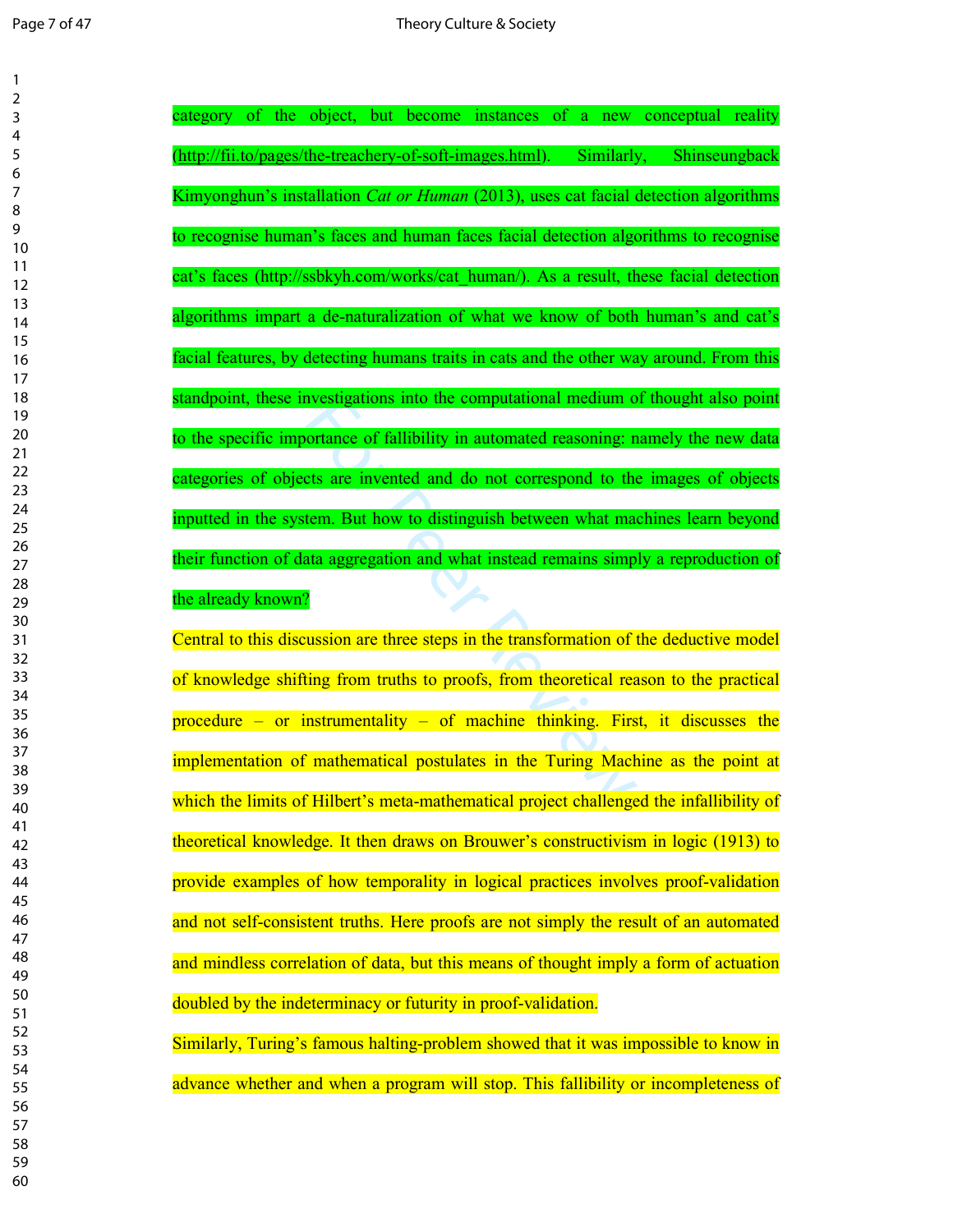| 1                     |  |
|-----------------------|--|
| $\overline{c}$        |  |
| 3<br>4                |  |
| 5                     |  |
| 6                     |  |
| 7                     |  |
| 8                     |  |
| 9                     |  |
| 10                    |  |
| 11                    |  |
| 12<br>13              |  |
| $\overline{14}$       |  |
| 15                    |  |
| 16                    |  |
| $\frac{1}{2}$         |  |
| 18                    |  |
| 19                    |  |
| 20                    |  |
| $\overline{21}$<br>22 |  |
| 23                    |  |
| 24                    |  |
| 25                    |  |
| 26                    |  |
| 27                    |  |
| 28                    |  |
| 29<br>30              |  |
| 31                    |  |
| 32                    |  |
| 33                    |  |
| 34                    |  |
| 35                    |  |
| 36                    |  |
| 37<br>38              |  |
| 39                    |  |
| 40                    |  |
| 41                    |  |
| 42                    |  |
| 43                    |  |
| 44                    |  |
| 45                    |  |
| 46                    |  |
| 47<br>48              |  |
| 49                    |  |
| 50                    |  |
| 51                    |  |
| 52                    |  |
| 53                    |  |
| 54                    |  |
| 55                    |  |
| 56<br>57              |  |
| 58                    |  |
| 59                    |  |
| 60                    |  |
|                       |  |

| category of the object, but become instances of a new conceptual reality                |
|-----------------------------------------------------------------------------------------|
| (http://fii.to/pages/the-treachery-of-soft-images.html).<br>Similarly, Shinseungback    |
| Kimyonghun's installation Cat or Human (2013), uses cat facial detection algorithms     |
| to recognise human's faces and human faces facial detection algorithms to recognise     |
| cat's faces (http://ssbkyh.com/works/cat human/). As a result, these facial detection   |
| algorithms impart a de-naturalization of what we know of both human's and cat's         |
| facial features, by detecting humans traits in cats and the other way around. From this |
| standpoint, these investigations into the computational medium of thought also point    |
| to the specific importance of fallibility in automated reasoning: namely the new data   |
| categories of objects are invented and do not correspond to the images of objects       |
| inputted in the system. But how to distinguish between what machines learn beyond       |
| their function of data aggregation and what instead remains simply a reproduction of    |
|                                                                                         |
| the already known?                                                                      |
| Central to this discussion are three steps in the transformation of the deductive model |
| of knowledge shifting from truths to proofs, from theoretical reason to the practical   |
| procedure - or instrumentality - of machine thinking. First, it discusses the           |
| implementation of mathematical postulates in the Turing Machine as the point at         |
| which the limits of Hilbert's meta-mathematical project challenged the infallibility of |
| theoretical knowledge. It then draws on Brouwer's constructivism in logic (1913) to     |
| provide examples of how temporality in logical practices involves proof-validation      |
| and not self-consistent truths. Here proofs are not simply the result of an automated   |
| and mindless correlation of data, but this means of thought imply a form of actuation   |
| doubled by the indeterminacy or futurity in proof-validation.                           |
| Similarly, Turing's famous halting-problem showed that it was impossible to know in     |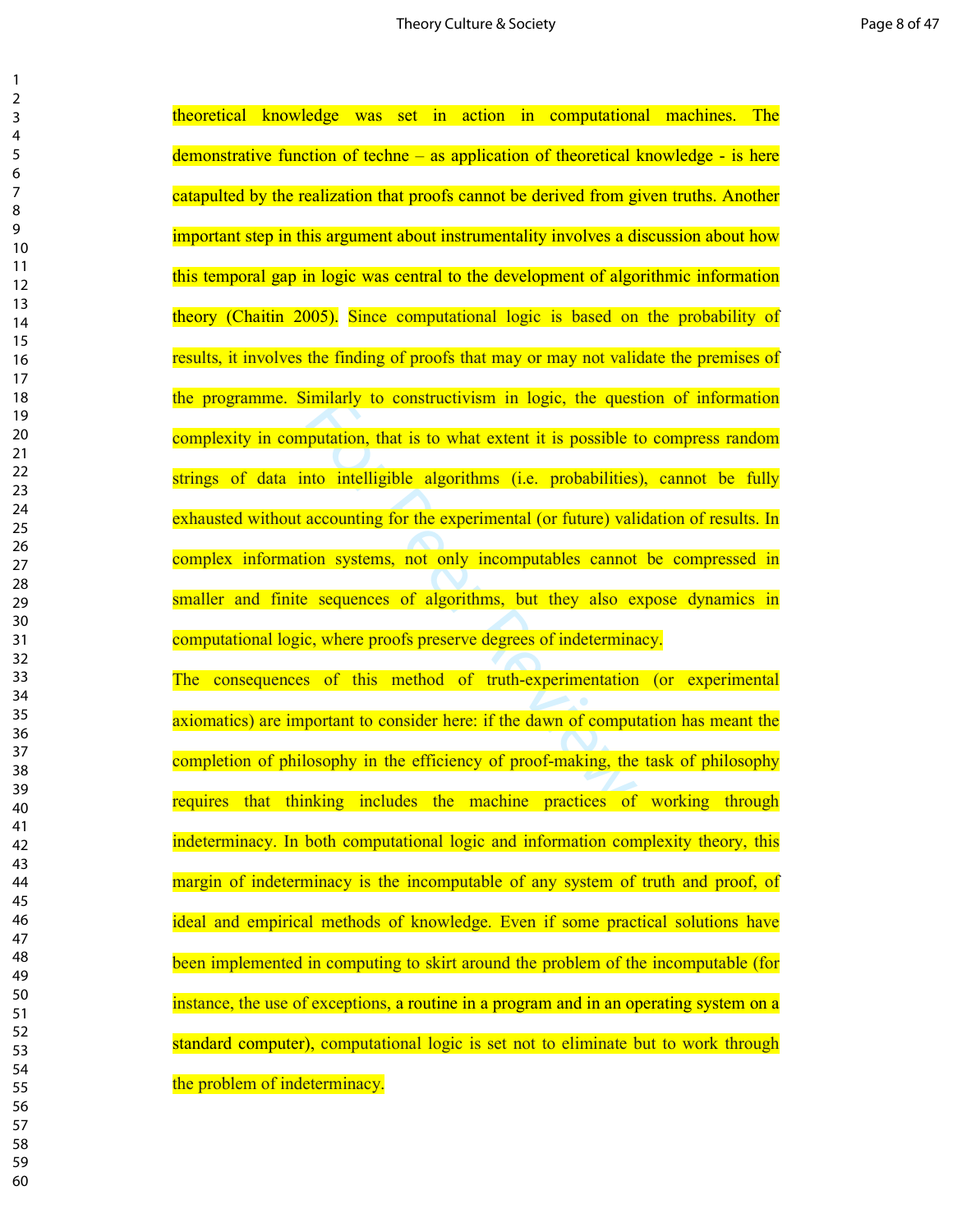$\mathbf{1}$ 

imitarly to constructivism in logic, the ques<br>putation, that is to what extent it is possible t<br>nto intelligible algorithms (i.e. probabilities<br>accounting for the experimental (or future) vali<br>ion systems, not only incompu theoretical knowledge was set in action in computational machines. The demonstrative function of techne – as application of theoretical knowledge - is here catapulted by the realization that proofs cannot be derived from given truths. Another important step in this argument about instrumentality involves a discussion about how this temporal gap in logic was central to the development of algorithmic information theory (Chaitin 2005). Since computational logic is based on the probability of results, it involves the finding of proofs that may or may not validate the premises of the programme. Similarly to constructivism in logic, the question of information complexity in computation, that is to what extent it is possible to compress random strings of data into intelligible algorithms (i.e. probabilities), cannot be fully exhausted without accounting for the experimental (or future) validation of results. In complex information systems, not only incomputables cannot be compressed in smaller and finite sequences of algorithms, but they also expose dynamics in computational logic, where proofs preserve degrees of indeterminacy.

The consequences of this method of truth-experimentation (or experimental axiomatics) are important to consider here: if the dawn of computation has meant the completion of philosophy in the efficiency of proof-making, the task of philosophy requires that thinking includes the machine practices of working through indeterminacy. In both computational logic and information complexity theory, this margin of indeterminacy is the incomputable of any system of truth and proof, of ideal and empirical methods of knowledge. Even if some practical solutions have been implemented in computing to skirt around the problem of the incomputable (for instance, the use of exceptions, a routine in a program and in an operating system on a standard computer), computational logic is set not to eliminate but to work through the problem of indeterminacy.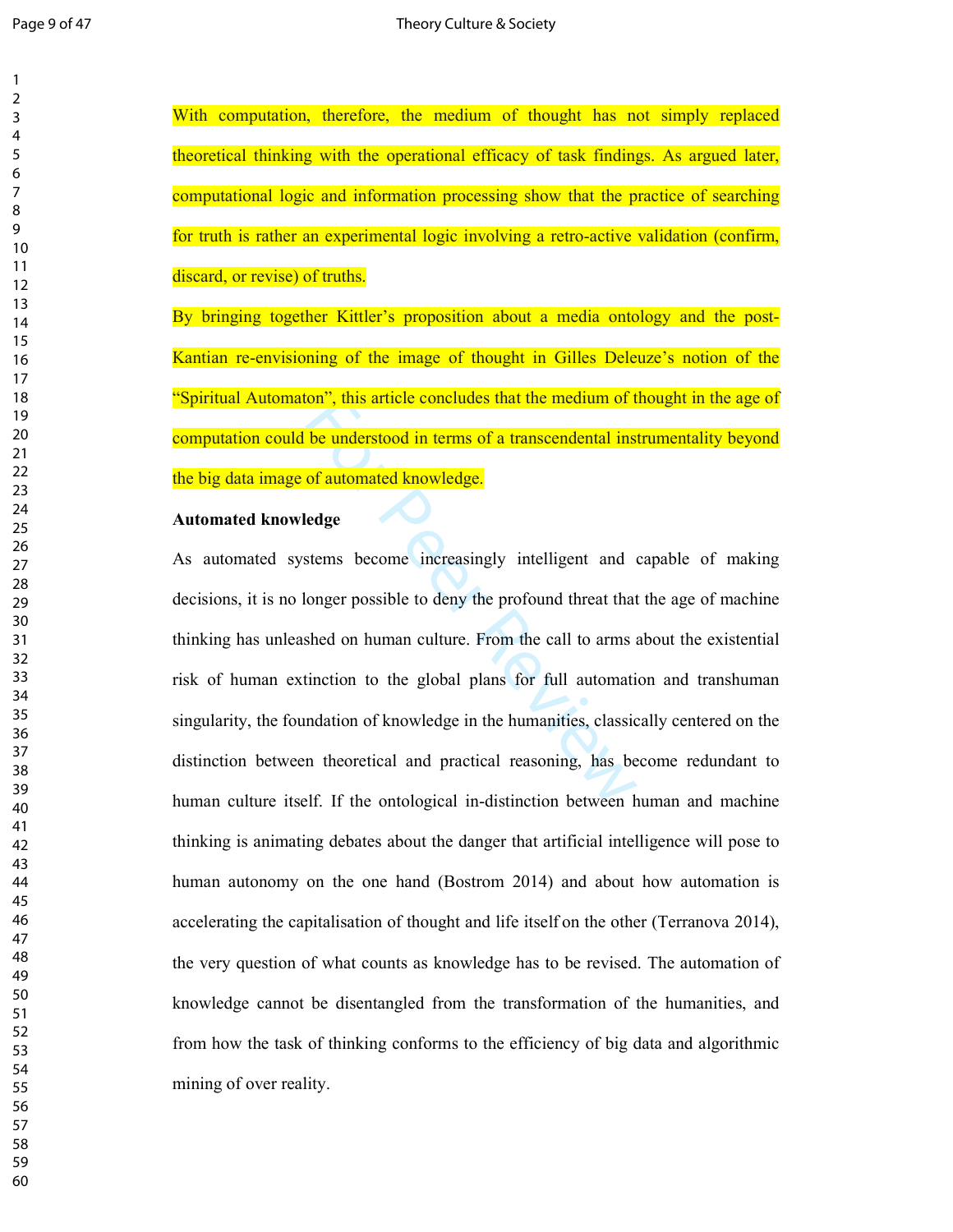With computation, therefore, the medium of thought has not simply replaced theoretical thinking with the operational efficacy of task findings. As argued later, computational logic and information processing show that the practice of searching for truth is rather an experimental logic involving a retro-active validation (confirm, discard, or revise) of truths.

By bringing together Kittler's proposition about a media ontology and the post-Kantian re-envisioning of the image of thought in Gilles Deleuze's notion of the "Spiritual Automaton", this article concludes that the medium of thought in the age of computation could be understood in terms of a transcendental instrumentality beyond the big data image of automated knowledge.

## **Automated knowledge**

For the understood in terms of a transcendental instant<br>of automated knowledge.<br>edge<br>stems become increasingly intelligent and of<br>onger possible to deny the profound threat that<br>shed on human culture. From the call to arms As automated systems become increasingly intelligent and capable of making decisions, it is no longer possible to deny the profound threat that the age of machine thinking has unleashed on human culture. From the call to arms about the existential risk of human extinction to the global plans for full automation and transhuman singularity, the foundation of knowledge in the humanities, classically centered on the distinction between theoretical and practical reasoning, has become redundant to human culture itself. If the ontological in-distinction between human and machine thinking is animating debates about the danger that artificial intelligence will pose to human autonomy on the one hand (Bostrom 2014) and about how automation is accelerating the capitalisation of thought and life itself on the other (Terranova 2014), the very question of what counts as knowledge has to be revised. The automation of knowledge cannot be disentangled from the transformation of the humanities, and from how the task of thinking conforms to the efficiency of big data and algorithmic mining of over reality.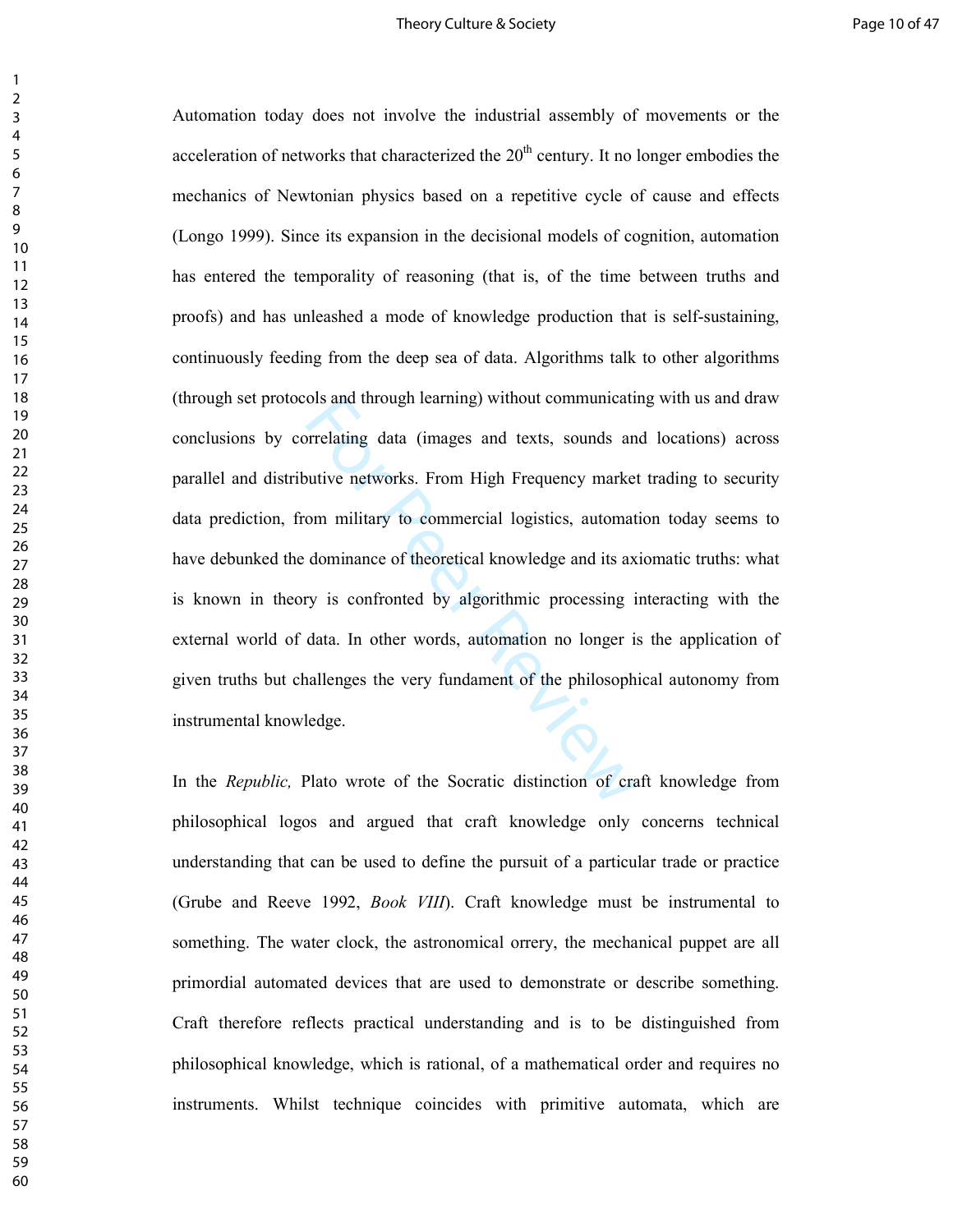### Theory Culture & Society **Page 10 of 47**

olis and through learning) without communication<br>forelating data (images and texts, sounds and<br>nutive networks. From High Frequency market<br>om military to commercial logistics, automat<br>dominance of theoretical knowledge and Automation today does not involve the industrial assembly of movements or the acceleration of networks that characterized the  $20<sup>th</sup>$  century. It no longer embodies the mechanics of Newtonian physics based on a repetitive cycle of cause and effects (Longo 1999). Since its expansion in the decisional models of cognition, automation has entered the temporality of reasoning (that is, of the time between truths and proofs) and has unleashed a mode of knowledge production that is self-sustaining, continuously feeding from the deep sea of data. Algorithms talk to other algorithms (through set protocols and through learning) without communicating with us and draw conclusions by correlating data (images and texts, sounds and locations) across parallel and distributive networks. From High Frequency market trading to security data prediction, from military to commercial logistics, automation today seems to have debunked the dominance of theoretical knowledge and its axiomatic truths: what is known in theory is confronted by algorithmic processing interacting with the external world of data. In other words, automation no longer is the application of given truths but challenges the very fundament of the philosophical autonomy from instrumental knowledge.

In the *Republic,* Plato wrote of the Socratic distinction of craft knowledge from philosophical logos and argued that craft knowledge only concerns technical understanding that can be used to define the pursuit of a particular trade or practice (Grube and Reeve 1992, *Book VIII*). Craft knowledge must be instrumental to something. The water clock, the astronomical orrery, the mechanical puppet are all primordial automated devices that are used to demonstrate or describe something. Craft therefore reflects practical understanding and is to be distinguished from philosophical knowledge, which is rational, of a mathematical order and requires no instruments. Whilst technique coincides with primitive automata, which are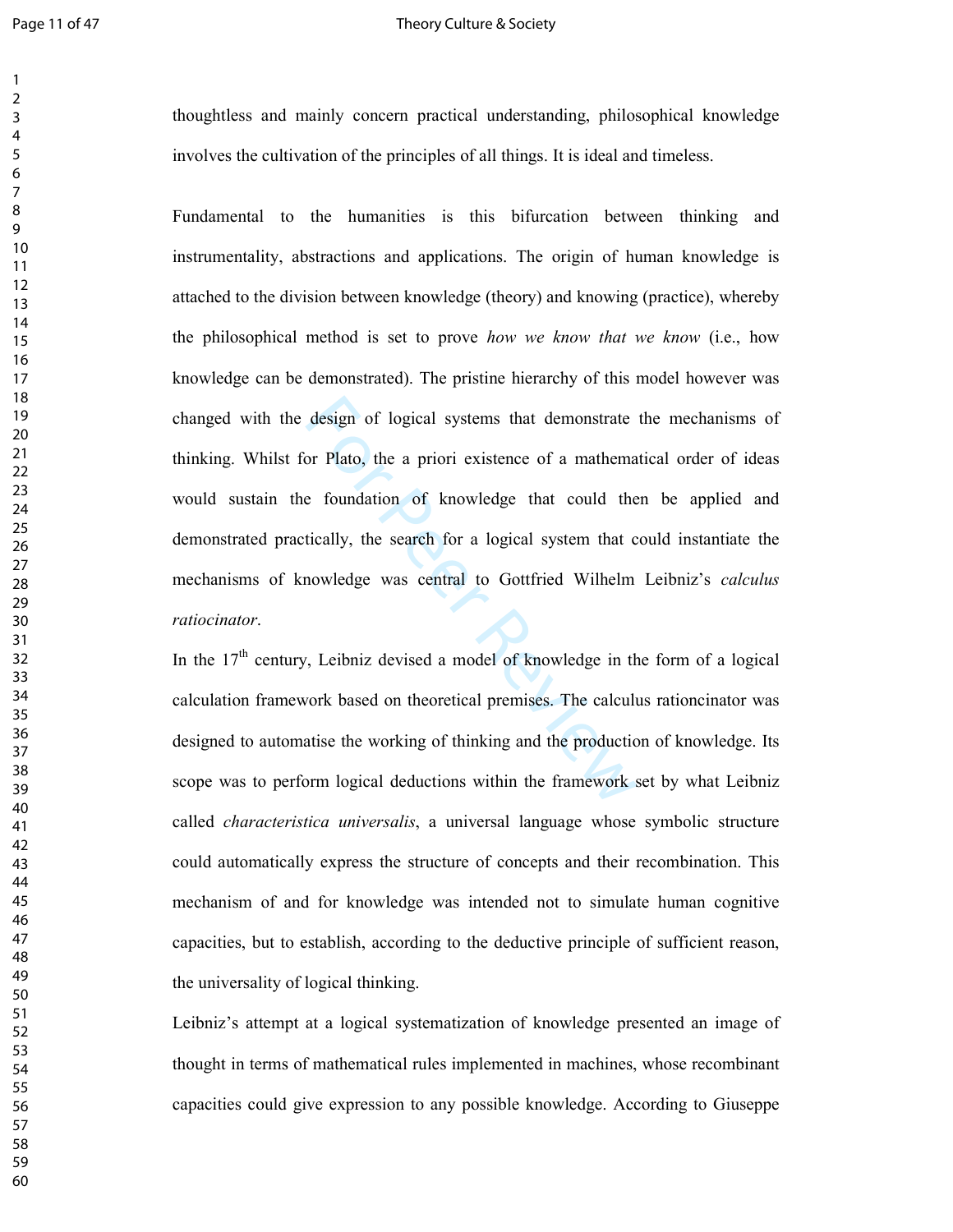### Page 11 of 47 Theory Culture & Society

thoughtless and mainly concern practical understanding, philosophical knowledge involves the cultivation of the principles of all things. It is ideal and timeless.

design of logical systems that demonstrate<br>or Plato, the a priori existence of a mathema<br>e foundation of knowledge that could the<br>tically, the search for a logical system that c<br>nowledge was central to Gottfried Wilhelm<br>vo Fundamental to the humanities is this bifurcation between thinking and instrumentality, abstractions and applications. The origin of human knowledge is attached to the division between knowledge (theory) and knowing (practice), whereby the philosophical method is set to prove *how we know that we know* (i.e., how knowledge can be demonstrated). The pristine hierarchy of this model however was changed with the design of logical systems that demonstrate the mechanisms of thinking. Whilst for Plato, the a priori existence of a mathematical order of ideas would sustain the foundation of knowledge that could then be applied and demonstrated practically, the search for a logical system that could instantiate the mechanisms of knowledge was central to Gottfried Wilhelm Leibniz's *calculus ratiocinator* .

In the  $17<sup>th</sup>$  century, Leibniz devised a model of knowledge in the form of a logical calculation framework based on theoretical premises. The calculus rationcinator was designed to automatise the working of thinking and the production of knowledge. Its scope was to perform logical deductions within the framework set by what Leibniz called *characteristica universalis*, a universal language whose symbolic structure could automatically express the structure of concepts and their recombination. This mechanism of and for knowledge was intended not to simulate human cognitive capacities, but to establish, according to the deductive principle of sufficient reason, the universality of logical thinking.

Leibniz's attempt at a logical systematization of knowledge presented an image of thought in terms of mathematical rules implemented in machines, whose recombinant capacities could give expression to any possible knowledge. According to Giuseppe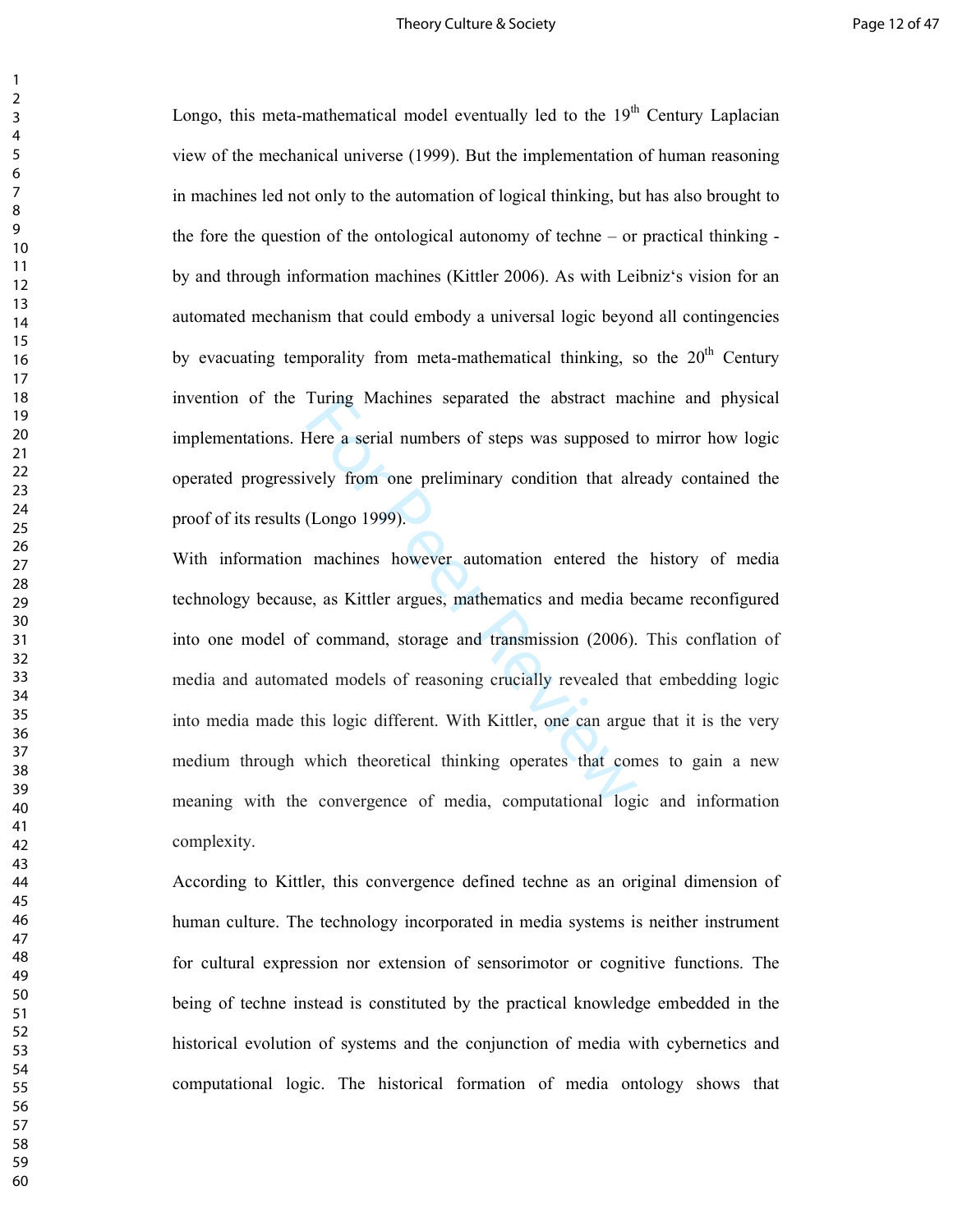### Theory Culture & Society **Page 12 of 47**

Longo, this meta-mathematical model eventually led to the  $19<sup>th</sup>$  Century Laplacian view of the mechanical universe (1999). But the implementation of human reasoning in machines led not only to the automation of logical thinking, but has also brought to the fore the question of the ontological autonomy of techne – or practical thinking by and through information machines (Kittler 2006). As with Leibniz's vision for an automated mechanism that could embody a universal logic beyond all contingencies by evacuating temporality from meta-mathematical thinking, so the  $20<sup>th</sup>$  Century invention of the Turing Machines separated the abstract machine and physical implementations. Here a serial numbers of steps was supposed to mirror how logic operated progressively from one preliminary condition that already contained the proof of its results (Longo 1999).

Turing Machines separated the abstract mate<br>Here a serial numbers of steps was supposed t<br>vely from one preliminary condition that alr<br>(Longo 1999).<br>machines however automation entered the<br>e, as Kittler argues, mathematics With information machines however automation entered the history of media technology because, as Kittler argues, mathematics and media became reconfigured into one model of command, storage and transmission (2006). This conflation of media and automated models of reasoning crucially revealed that embedding logic into media made this logic different. With Kittler, one can argue that it is the very medium through which theoretical thinking operates that comes to gain a new meaning with the convergence of media, computational logic and information complexity.

According to Kittler, this convergence defined techne as an original dimension of human culture. The technology incorporated in media systems is neither instrument for cultural expression nor extension of sensorimotor or cognitive functions. The being of techne instead is constituted by the practical knowledge embedded in the historical evolution of systems and the conjunction of media with cybernetics and computational logic. The historical formation of media ontology shows that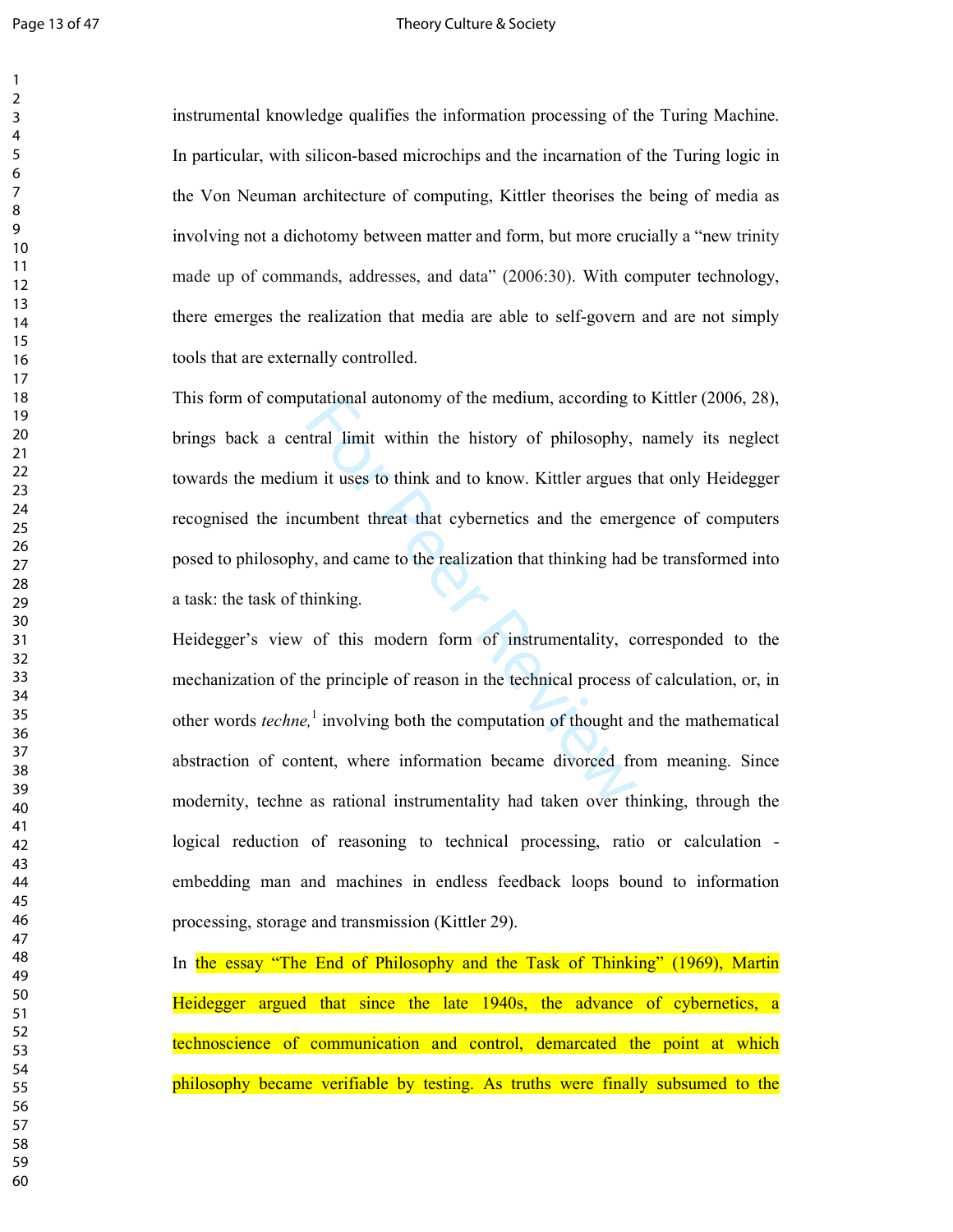### Page 13 of 47 Theory Culture & Society

instrumental knowledge qualifies the information processing of the Turing Machine. In particular, with silicon-based microchips and the incarnation of the Turing logic in the Von Neuman architecture of computing, Kittler theorises the being of media as involving not a dichotomy between matter and form, but more crucially a "new trinity<br>made up of commands, addresses, and data" (2006:30). With computer technology,<br>there emerges the realization that media are able to selftools that are externally controlled.

utational autonomy of the medium, according to<br>tral limit within the history of philosophy,<br>m it uses to think and to know. Kittler argues<br>umbent threat that cybernetics and the emerg<br>y, and came to the realization that th This form of computational autonomy of the medium, according to Kittler (2006, 28), brings back a central limit within the history of philosophy, namely its neglect towards the medium it uses to think and to know. Kittler argues that only Heidegger recognised the incumbent threat that cybernetics and the emergence of computers posed to philosophy, and came to the realization that thinking had be transformed into a task: the task of thinking.

Heidegger's view of this modern form of instrumentality, corresponded to the mechanization of the principle of reason in the technical process of calculation, or, in other words *techne,* 1 involving both the computation of thought and the mathematical abstraction of content, where information became divorced from meaning. Since modernity, techne as rational instrumentality had taken over thinking, through the logical reduction of reasoning to technical processing, ratio or calculation embedding man and machines in endless feedback loops bound to information processing, storage and transmission (Kittler 29).

In the essay "The End of Philosophy and the Task of Thinking" (1969), Martin Heidegger argued that since the late 1940s, the advance of cybernetics, a technoscience of communication and control, demarcated the point at which philosophy became verifiable by testing. As truths were finally subsumed to the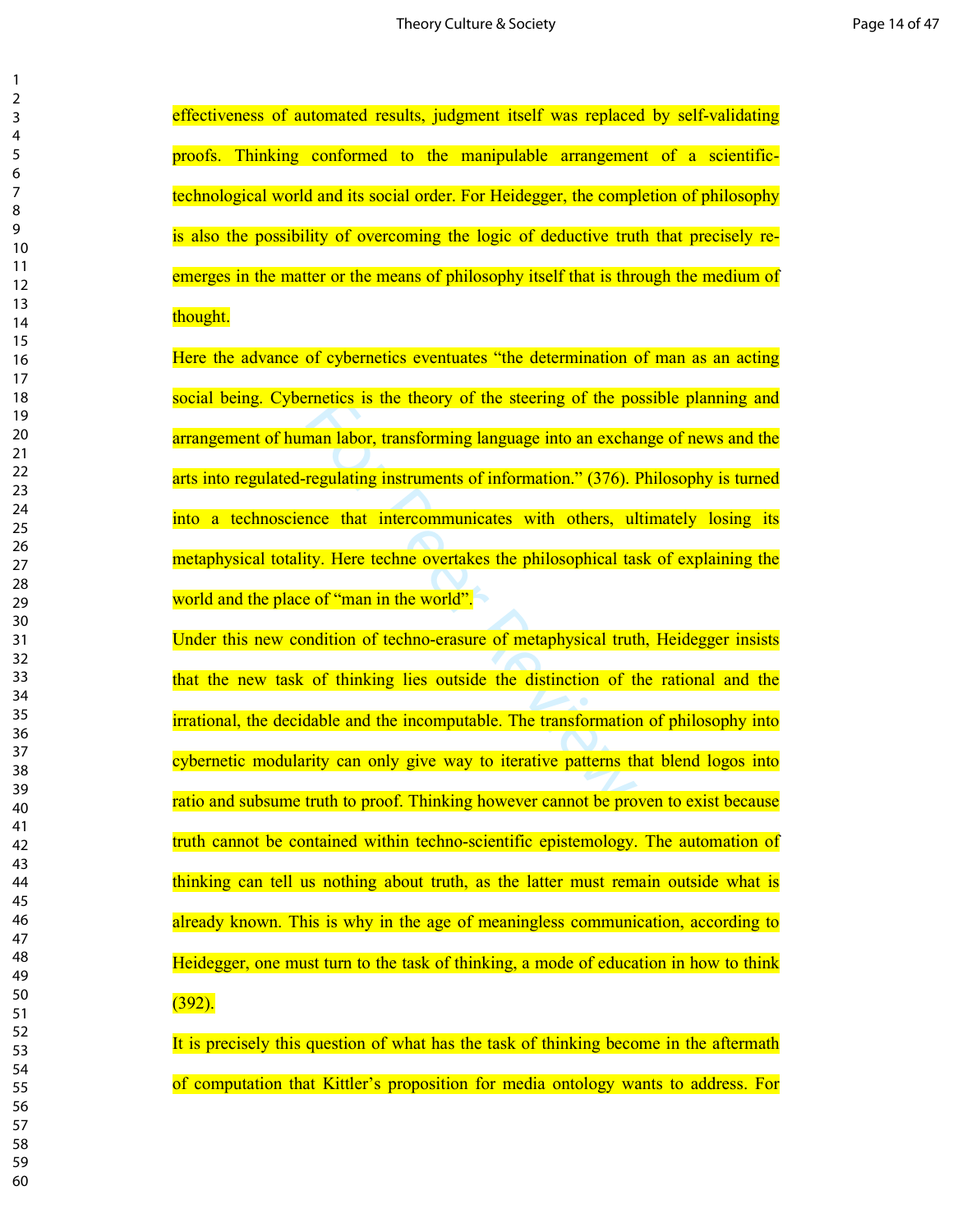effectiveness of automated results, judgment itself was replaced by self-validating proofs. Thinking conformed to the manipulable arrangement of a scientifictechnological world and its social order. For Heidegger, the completion of philosophy is also the possibility of overcoming the logic of deductive truth that precisely reemerges in the matter or the means of philosophy itself that is through the medium of thought.

Finetics is the theory of the steering of the po<br>
man labor, transforming language into an excha<br>
regulating instruments of information." (376). I<br>
nce that intercommunicates with others, ul<br>
ty. Here techne overtakes the Here the advance of cybernetics eventuates "the determination of man as an acting social being. Cybernetics is the theory of the steering of the possible planning and arrangement of human labor, transforming language into an exchange of news and the arts into regulated-regulating instruments of information." (376). Philosophy is turned into a technoscience that intercommunicates with others, ultimately losing its metaphysical totality. Here techne overtakes the philosophical task of explaining the world and the place of "man in the world".

Under this new condition of techno-erasure of metaphysical truth, Heidegger insists that the new task of thinking lies outside the distinction of the rational and the irrational, the decidable and the incomputable. The transformation of philosophy into cybernetic modularity can only give way to iterative patterns that blend logos into ratio and subsume truth to proof. Thinking however cannot be proven to exist because truth cannot be contained within techno-scientific epistemology. The automation of thinking can tell us nothing about truth, as the latter must remain outside what is already known. This is why in the age of meaningless communication, according to Heidegger, one must turn to the task of thinking, a mode of education in how to think (392).

It is precisely this question of what has the task of thinking become in the aftermath of computation that Kittler's proposition for media ontology wants to address. For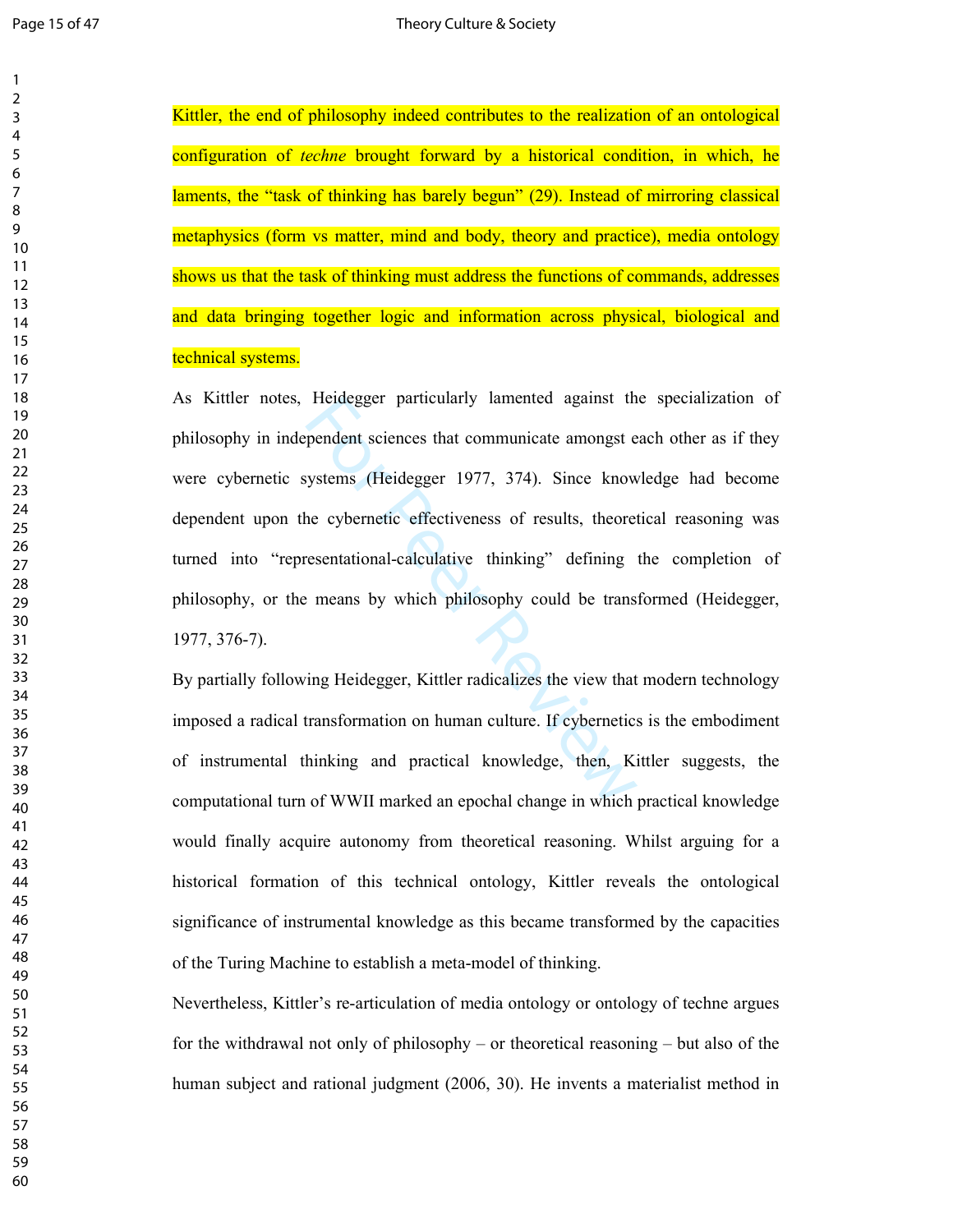Kittler, the end of philosophy indeed contributes to the realization of an ontological configuration of *techne* brought forward by a historical condition, in which, he laments, the "task of thinking has barely begun" (29). Instead of mirroring classical metaphysics (form vs matter, mind and body, theory and practice), media ontology shows us that the task of thinking must address the functions of commands, addresses and data bringing together logic and information across physical, biological and technical systems.

Heldegger particularly lamented against the<br>pendent sciences that communicate amongst e<br>systems (Heidegger 1977, 374). Since know<br>ne cybernetic effectiveness of results, theoret<br>resentational-calculative thinking" defining As Kittler notes, Heidegger particularly lamented against the specialization of philosophy in independent sciences that communicate amongst each other as if they were cybernetic systems (Heidegger 1977, 374). Since knowledge had become dependent upon the cybernetic effectiveness of results, theoretical reasoning was turned into "representational-calculative thinking" defining the completion of philosophy, or the means by which philosophy could be transformed (Heidegger, 1977, 376-7).

By partially following Heidegger, Kittler radicalizes the view that modern technology imposed a radical transformation on human culture. If cybernetics is the embodiment of instrumental thinking and practical knowledge, then, Kittler suggests, the computational turn of WWII marked an epochal change in which practical knowledge would finally acquire autonomy from theoretical reasoning. Whilst arguing for a historical formation of this technical ontology, Kittler reveals the ontological significance of instrumental knowledge as this became transformed by the capacities of the Turing Machine to establish a meta-model of thinking.

Nevertheless, Kittler's re-articulation of media ontology or ontology of techne argues for the withdrawal not only of philosophy – or theoretical reasoning – but also of the human subject and rational judgment (2006, 30). He invents a materialist method in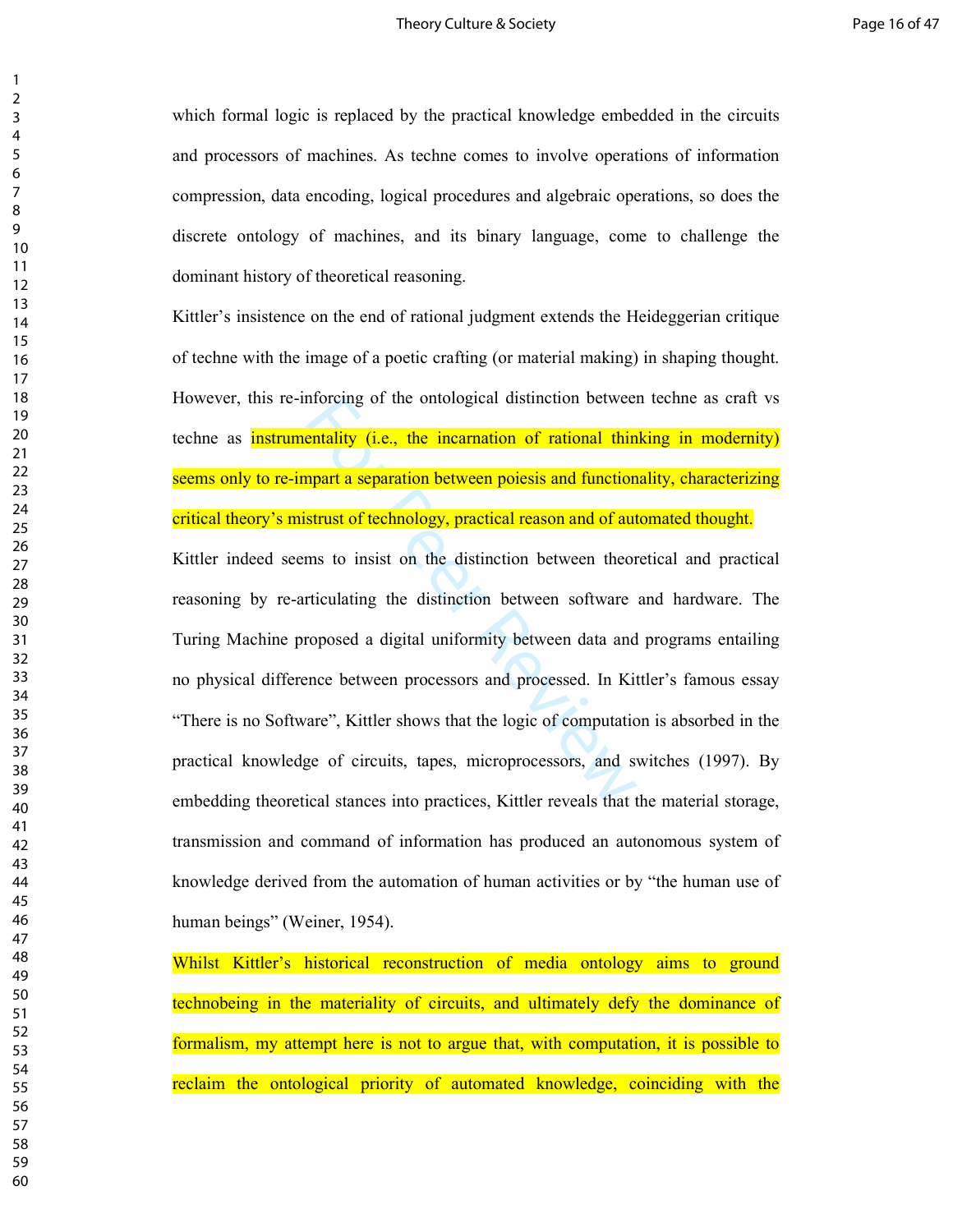which formal logic is replaced by the practical knowledge embedded in the circuits and processors of machines. As techne comes to involve operations of information compression, data encoding, logical procedures and algebraic operations, so does the discrete ontology of machines, and its binary language, come to challenge the dominant history of theoretical reasoning.

Kittler's insistence on the end of rational judgment extends the Heideggerian critique of techne with the image of a poetic crafting (or material making) in shaping thought. However, this re-inforcing of the ontological distinction between techne as craft vs techne as instrumentality (i.e., the incarnation of rational thinking in modernity) seems only to re-impart a separation between poiesis and functionality, characterizing critical theory's mistrust of technology, practical reason and of automated thought.

ntorcing of the ontological distinction between<br> **entality (i.e., the incarnation of rational thin**<br> **npart a separation between poiesis and function**<br> **strust of technology, practical reason and of aut**<br> **ms to insist on** Kittler indeed seems to insist on the distinction between theoretical and practical reasoning by re-articulating the distinction between software and hardware. The Turing Machine proposed a digital uniformity between data and programs entailing no physical difference between processors and processed. In Kittler's famous essay "There is no Software", Kittler shows that the logic of computation is absorbed in the practical knowledge of circuits, tapes, microprocessors, and switches (1997). By embedding theoretical stances into practices, Kittler reveals that the material storage, transmission and command of information has produced an autonomous system of knowledge derived from the automation of human activities or by "the human use of human beings" (Weiner, 1954).

Whilst Kittler's historical reconstruction of media ontology aims to ground technobeing in the materiality of circuits, and ultimately defy the dominance of formalism, my attempt here is not to argue that, with computation, it is possible to reclaim the ontological priority of automated knowledge, coinciding with the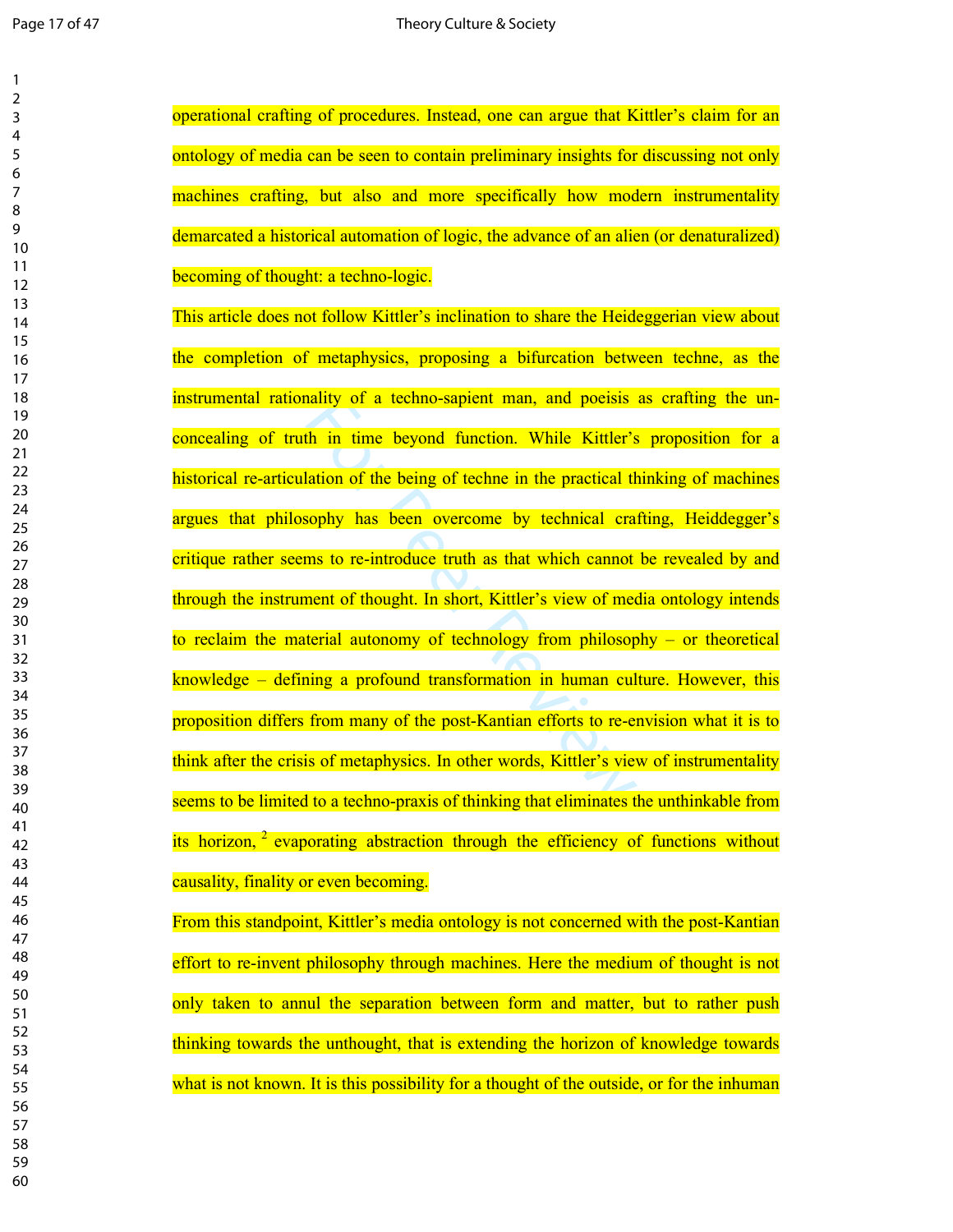$\mathbf{1}$ 

 

| 1        |                                                                                               |
|----------|-----------------------------------------------------------------------------------------------|
| 2        |                                                                                               |
| 3        | operational crafting of procedures. Instead, one can argue that Kittler's claim for an        |
| 4        |                                                                                               |
| 5        | ontology of media can be seen to contain preliminary insights for discussing not only         |
| 6        |                                                                                               |
| 7        | machines crafting, but also and more specifically how modern instrumentality                  |
| 8        |                                                                                               |
| 9        | demarcated a historical automation of logic, the advance of an alien (or denaturalized)       |
| 10       |                                                                                               |
| 11       | becoming of thought: a techno-logic.                                                          |
| 12       |                                                                                               |
| 13       | This article does not follow Kittler's inclination to share the Heideggerian view about       |
| 14       |                                                                                               |
| 15       |                                                                                               |
| 16       | the completion of metaphysics, proposing a bifurcation between techne, as the                 |
| 17       |                                                                                               |
| 18       | instrumental rationality of a techno-sapient man, and poeisis as crafting the un-             |
| 19       |                                                                                               |
| 20       | concealing of truth in time beyond function. While Kittler's proposition for a                |
| 21       |                                                                                               |
| 22       | historical re-articulation of the being of techne in the practical thinking of machines       |
| 23       |                                                                                               |
| 24       | argues that philosophy has been overcome by technical crafting, Heiddegger's                  |
| 25       |                                                                                               |
| 26       | critique rather seems to re-introduce truth as that which cannot be revealed by and           |
| 27       |                                                                                               |
| 28       | through the instrument of thought. In short, Kittler's view of media ontology intends         |
| 29       |                                                                                               |
| 30       |                                                                                               |
| 31       | to reclaim the material autonomy of technology from philosophy - or theoretical               |
| 32       |                                                                                               |
| 33       | knowledge – defining a profound transformation in human culture. However, this                |
| 34       |                                                                                               |
| 35       | proposition differs from many of the post-Kantian efforts to re-envision what it is to        |
| 36       |                                                                                               |
| 37       | think after the crisis of metaphysics. In other words, Kittler's view of instrumentality      |
| 38       |                                                                                               |
| 39       | seems to be limited to a techno-praxis of thinking that eliminates the unthinkable from       |
| 40       |                                                                                               |
| 41<br>42 | its horizon, <sup>2</sup> evaporating abstraction through the efficiency of functions without |
| 43       |                                                                                               |
| 44       | causality, finality or even becoming.                                                         |
| 45       |                                                                                               |
| 46       |                                                                                               |
| 47       | From this standpoint, Kittler's media ontology is not concerned with the post-Kantian         |
| 48       |                                                                                               |
| 49       | effort to re-invent philosophy through machines. Here the medium of thought is not            |
| 50       |                                                                                               |
| 51       | only taken to annul the separation between form and matter, but to rather push                |
| 52       |                                                                                               |
| 53       | thinking towards the unthought, that is extending the horizon of knowledge towards            |
| 54       |                                                                                               |
| 55       | what is not known. It is this possibility for a thought of the outside, or for the inhuman    |
| 56       |                                                                                               |
| 57       |                                                                                               |
| 58       |                                                                                               |
|          |                                                                                               |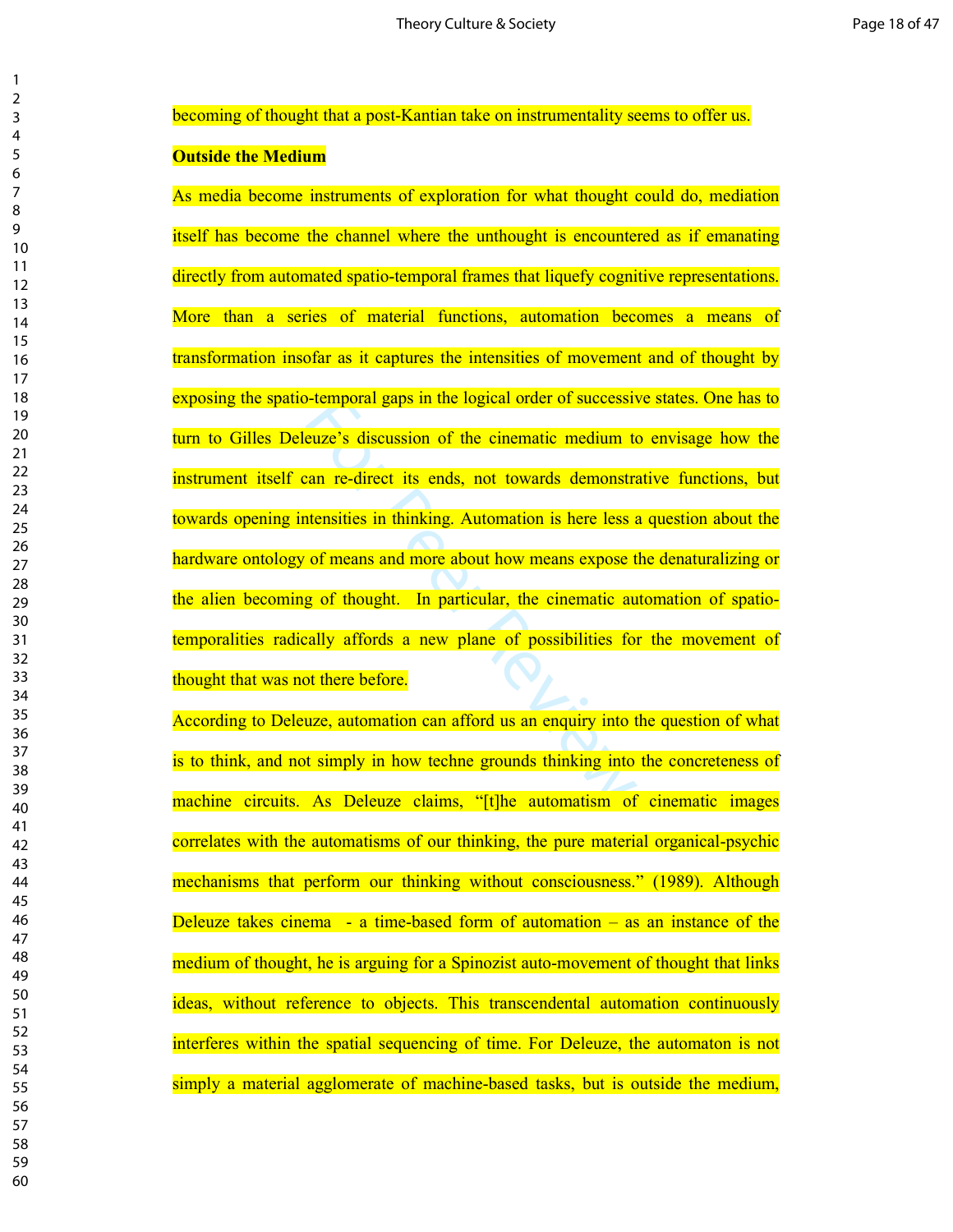becoming of thought that a post-Kantian take on instrumentality seems to offer us.

# **Outside the Medium**

Fortemporal gaps in the logical order of successive<br>
euze's discussion of the cinematic medium to<br>
can re-direct its ends, not towards demonstratensities in thinking. Automation is here less as<br>
of means and more about how As media become instruments of exploration for what thought could do, mediation itself has become the channel where the unthought is encountered as if emanating directly from automated spatio-temporal frames that liquefy cognitive representations. More than a series of material functions, automation becomes a means of transformation insofar as it captures the intensities of movement and of thought by exposing the spatio-temporal gaps in the logical order of successive states. One has to turn to Gilles Deleuze's discussion of the cinematic medium to envisage how the instrument itself can re-direct its ends, not towards demonstrative functions, but towards opening intensities in thinking. Automation is here less a question about the hardware ontology of means and more about how means expose the denaturalizing or the alien becoming of thought. In particular, the cinematic automation of spatiotemporalities radically affords a new plane of possibilities for the movement of thought that was not there before.

According to Deleuze, automation can afford us an enquiry into the question of what is to think, and not simply in how techne grounds thinking into the concreteness of machine circuits. As Deleuze claims, "[t]he automatism of cinematic images correlates with the automatisms of our thinking, the pure material organical-psychic mechanisms that perform our thinking without consciousness." (1989). Although Deleuze takes cinema - a time-based form of automation – as an instance of the medium of thought, he is arguing for a Spinozist auto-movement of thought that links ideas, without reference to objects. This transcendental automation continuously interferes within the spatial sequencing of time. For Deleuze, the automaton is not simply a material agglomerate of machine-based tasks, but is outside the medium,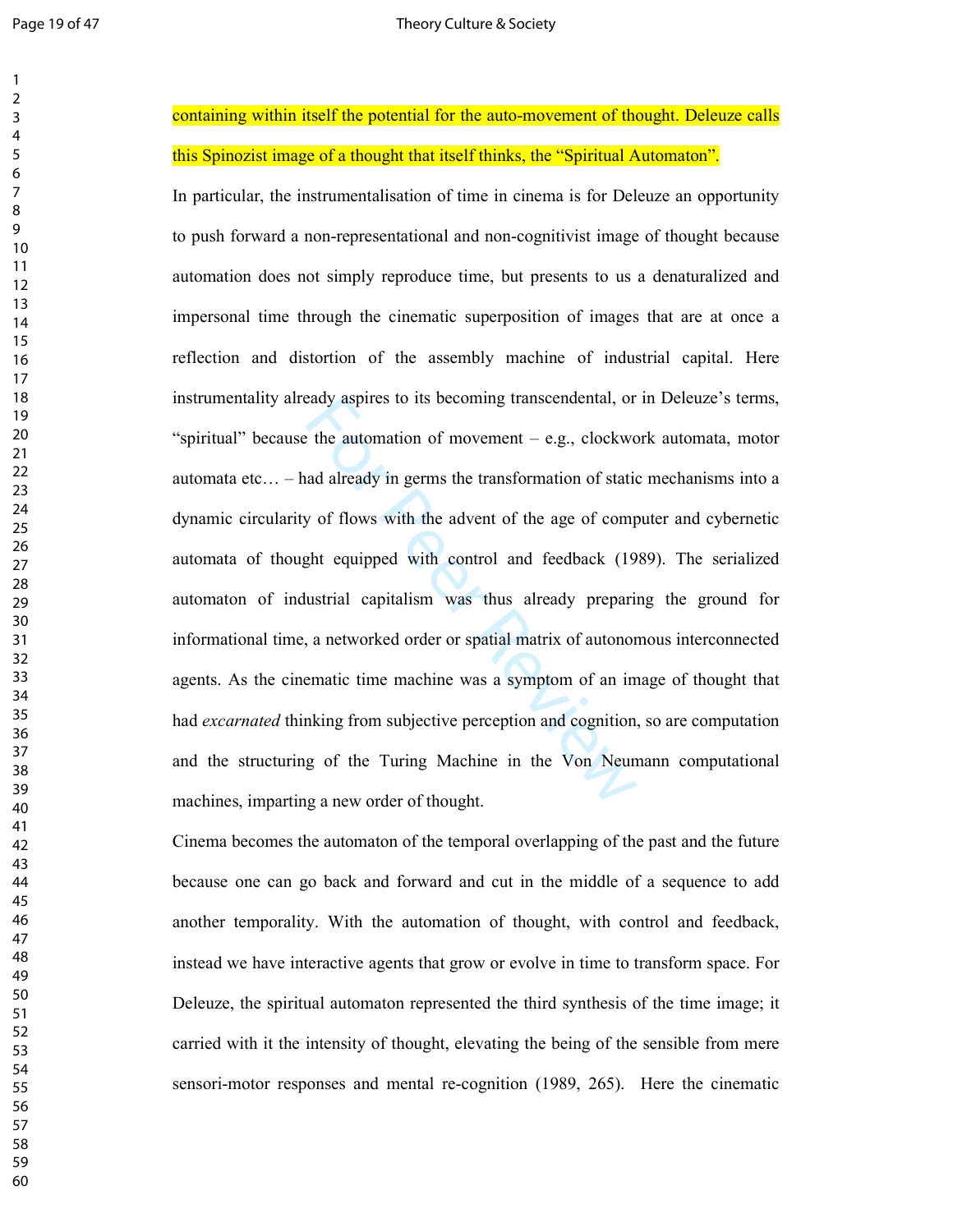| 1                              |  |
|--------------------------------|--|
| 2                              |  |
| 3                              |  |
| 4                              |  |
| 5                              |  |
| 6                              |  |
|                                |  |
| 8                              |  |
| 9                              |  |
| 10                             |  |
| 1                              |  |
| $\mathbf{1}$                   |  |
| $\mathbf{1}$<br>$\overline{2}$ |  |
| 3<br>1                         |  |
| 4<br>1                         |  |
| 15                             |  |
| 16                             |  |
| 1                              |  |
| 18                             |  |
| 19                             |  |
| 20                             |  |
| $\overline{21}$                |  |
| $^{22}$                        |  |
| $^{23}$                        |  |
| $\frac{24}{5}$                 |  |
| 25                             |  |
|                                |  |
| 26                             |  |
| 27                             |  |
| 28                             |  |
| 29                             |  |
| 30                             |  |
| $\overline{31}$                |  |
| $\overline{32}$                |  |
| 33                             |  |
| 34                             |  |
| 35                             |  |
| 36                             |  |
| 37                             |  |
| 38                             |  |
| 39                             |  |
|                                |  |
| 40                             |  |
| 41                             |  |
| 42                             |  |
| 43                             |  |
| 44                             |  |
| 45                             |  |
| 46                             |  |
| 47                             |  |
| 48                             |  |
| 49                             |  |
| 50                             |  |
| 51                             |  |
| 52                             |  |
| 53                             |  |
|                                |  |
| 54                             |  |
| 55                             |  |
| 56                             |  |
| 57                             |  |
| 58                             |  |
| 59                             |  |
| 60                             |  |

containing within itself the potential for the auto-movement of thought. Deleuze calls this Spinozist image of a thought that itself thinks, the "Spiritual Automaton".

eady aspires to its becoming transcendental, or<br>the automation of movement – e.g., clockword<br>ad already in germs the transformation of station<br>y of flows with the advent of the age of comp<br>ght equipped with control and fee In particular, the instrumentalisation of time in cinema is for Deleuze an opportunity to push forward a non-representational and non-cognitivist image of thought because automation does not simply reproduce time, but presents to us a denaturalized and impersonal time through the cinematic superposition of images that are at once a reflection and distortion of the assembly machine of industrial capital. Here instrumentality already aspires to its becoming transcendental, or in Deleuze's terms, "spiritual" because the automation of movement – e.g., clockwork automata, motor automata etc… – had already in germs the transformation of static mechanisms into a dynamic circularity of flows with the advent of the age of computer and cybernetic automata of thought equipped with control and feedback (1989). The serialized automaton of industrial capitalism was thus already preparing the ground for informational time, a networked order or spatial matrix of autonomous interconnected agents. As the cinematic time machine was a symptom of an image of thought that had *excarnated* thinking from subjective perception and cognition, so are computation and the structuring of the Turing Machine in the Von Neumann computational machines, imparting a new order of thought.

Cinema becomes the automaton of the temporal overlapping of the past and the future because one can go back and forward and cut in the middle of a sequence to add another temporality. With the automation of thought, with control and feedback, instead we have interactive agents that grow or evolve in time to transform space. For Deleuze, the spiritual automaton represented the third synthesis of the time image; it carried with it the intensity of thought, elevating the being of the sensible from mere sensori-motor responses and mental re-cognition (1989, 265). Here the cinematic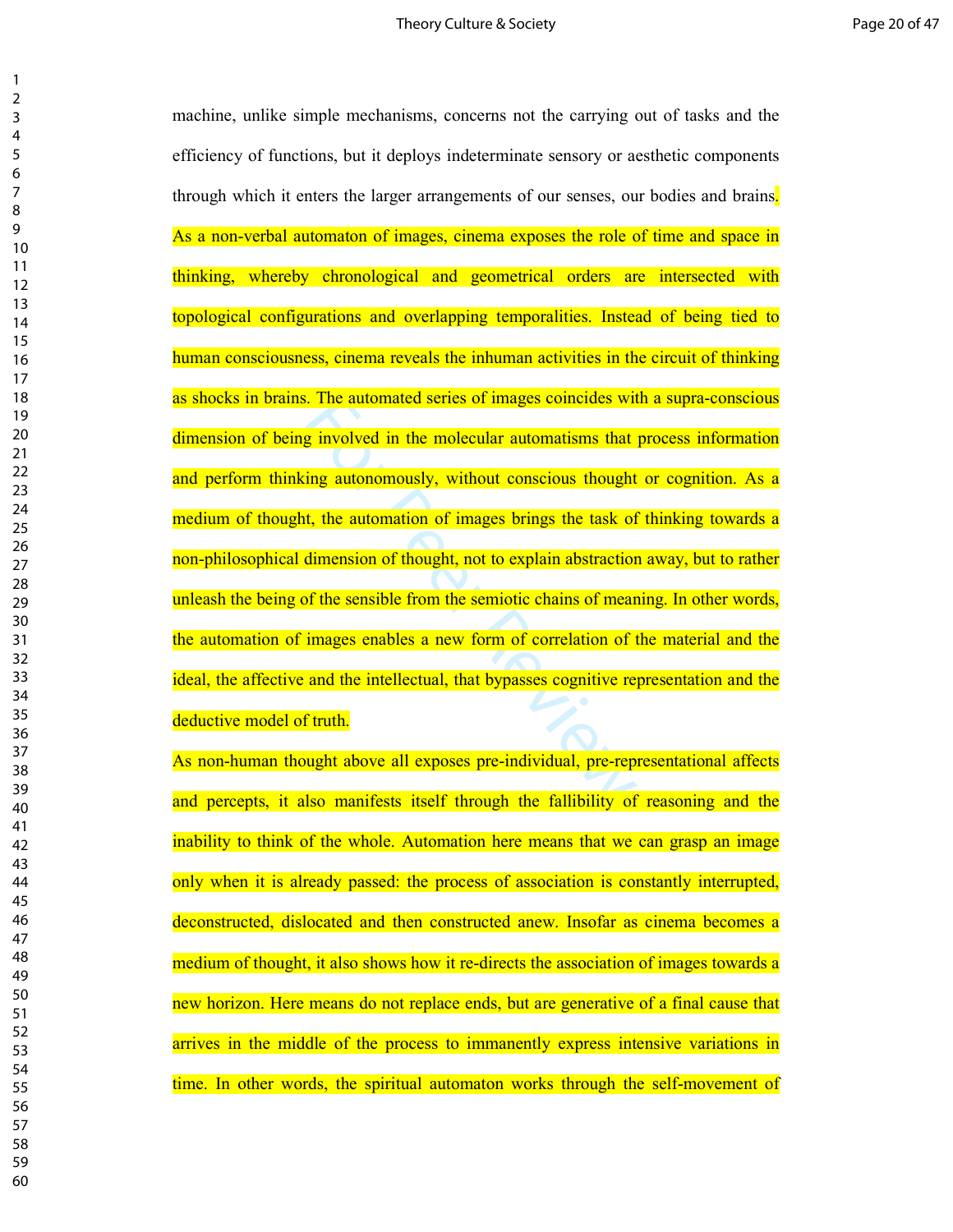The automated series of mages coincides with<br>g involved in the molecular automatisms that<br>ing autonomously, without conscious thought<br>t, the automation of images brings the task of<br>dimension of thought, not to explain abst machine, unlike simple mechanisms, concerns not the carrying out of tasks and the efficiency of functions, but it deploys indeterminate sensory or aesthetic components through which it enters the larger arrangements of our senses, our bodies and brains. As a non-verbal automaton of images, cinema exposes the role of time and space in thinking, whereby chronological and geometrical orders are intersected with topological configurations and overlapping temporalities. Instead of being tied to human consciousness, cinema reveals the inhuman activities in the circuit of thinking as shocks in brains. The automated series of images coincides with a supra-conscious dimension of being involved in the molecular automatisms that process information and perform thinking autonomously, without conscious thought or cognition. As a medium of thought, the automation of images brings the task of thinking towards a non-philosophical dimension of thought, not to explain abstraction away, but to rather unleash the being of the sensible from the semiotic chains of meaning. In other words, the automation of images enables a new form of correlation of the material and the ideal, the affective and the intellectual, that bypasses cognitive representation and the deductive model of truth.

As non-human thought above all exposes pre-individual, pre-representational affects and percepts, it also manifests itself through the fallibility of reasoning and the inability to think of the whole. Automation here means that we can grasp an image only when it is already passed: the process of association is constantly interrupted, deconstructed, dislocated and then constructed anew. Insofar as cinema becomes a medium of thought, it also shows how it re-directs the association of images towards a new horizon. Here means do not replace ends, but are generative of a final cause that arrives in the middle of the process to immanently express intensive variations in time. In other words, the spiritual automaton works through the self-movement of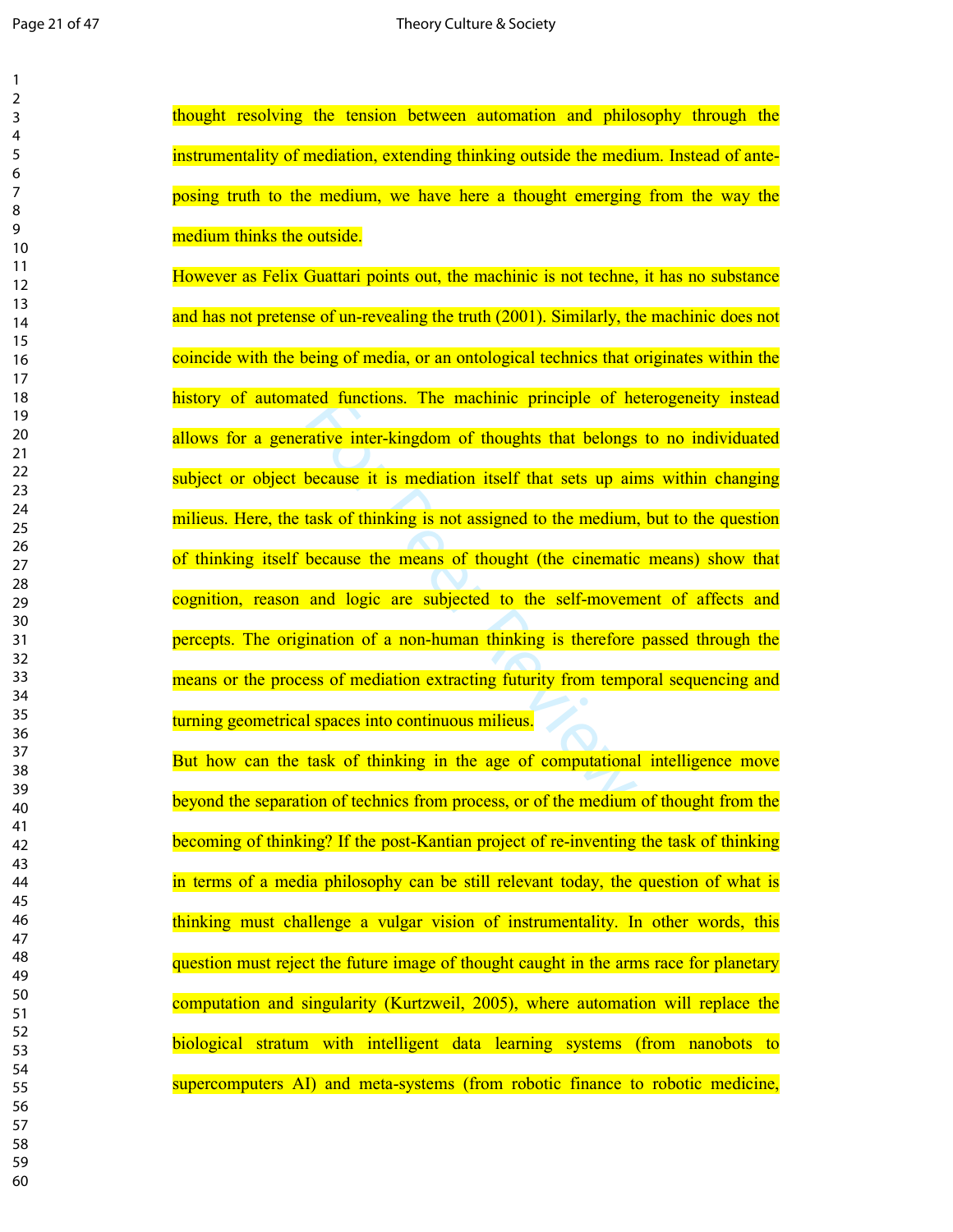| 1               |  |
|-----------------|--|
| 2               |  |
| 3               |  |
| 4               |  |
| 5               |  |
| 6               |  |
|                 |  |
| 8               |  |
| 9               |  |
| 10<br>11        |  |
| $\overline{12}$ |  |
| 13              |  |
| $\overline{14}$ |  |
| 15              |  |
| 16              |  |
| 17              |  |
| 18              |  |
| 19              |  |
| 20              |  |
| $\overline{21}$ |  |
| $^{22}$         |  |
| 23              |  |
| $\overline{24}$ |  |
| 25              |  |
| 26              |  |
| 27              |  |
| 28              |  |
| 29              |  |
| 30<br>31        |  |
| 32              |  |
| 33              |  |
| 34              |  |
| 35              |  |
| 36              |  |
| 37              |  |
| ٩R              |  |
| 39              |  |
| 40              |  |
| 41              |  |
| 42              |  |
| 43              |  |
| 44              |  |
| 45              |  |
| 46              |  |
| 47              |  |
| 48              |  |
| 49              |  |
| 50<br>51        |  |
| 52              |  |
| 53              |  |
| 54              |  |
| 55              |  |
| 56              |  |
| 57              |  |
| 58              |  |
| 59              |  |
| 60              |  |
|                 |  |

thought resolving the tension between automation and philosophy through the instrumentality of mediation, extending thinking outside the medium. Instead of anteposing truth to the medium, we have here a thought emerging from the way the medium thinks the outside.

ted functions. The machinic principle of he<br>rative inter-kingdom of thoughts that belongs<br>because it is mediation itself that sets up air<br>task of thinking is not assigned to the medium,<br>because the means of thought (the ci However as Felix Guattari points out, the machinic is not techne, it has no substance and has not pretense of un-revealing the truth (2001). Similarly, the machinic does not coincide with the being of media, or an ontological technics that originates within the history of automated functions. The machinic principle of heterogeneity instead allows for a generative inter-kingdom of thoughts that belongs to no individuated subject or object because it is mediation itself that sets up aims within changing milieus. Here, the task of thinking is not assigned to the medium, but to the question of thinking itself because the means of thought (the cinematic means) show that cognition, reason and logic are subjected to the self-movement of affects and percepts. The origination of a non-human thinking is therefore passed through the means or the process of mediation extracting futurity from temporal sequencing and turning geometrical spaces into continuous milieus.

But how can the task of thinking in the age of computational intelligence move beyond the separation of technics from process, or of the medium of thought from the becoming of thinking? If the post-Kantian project of re-inventing the task of thinking in terms of a media philosophy can be still relevant today, the question of what is thinking must challenge a vulgar vision of instrumentality. In other words, this question must reject the future image of thought caught in the arms race for planetary computation and singularity (Kurtzweil, 2005), where automation will replace the biological stratum with intelligent data learning systems (from nanobots to supercomputers AI) and meta-systems (from robotic finance to robotic medicine,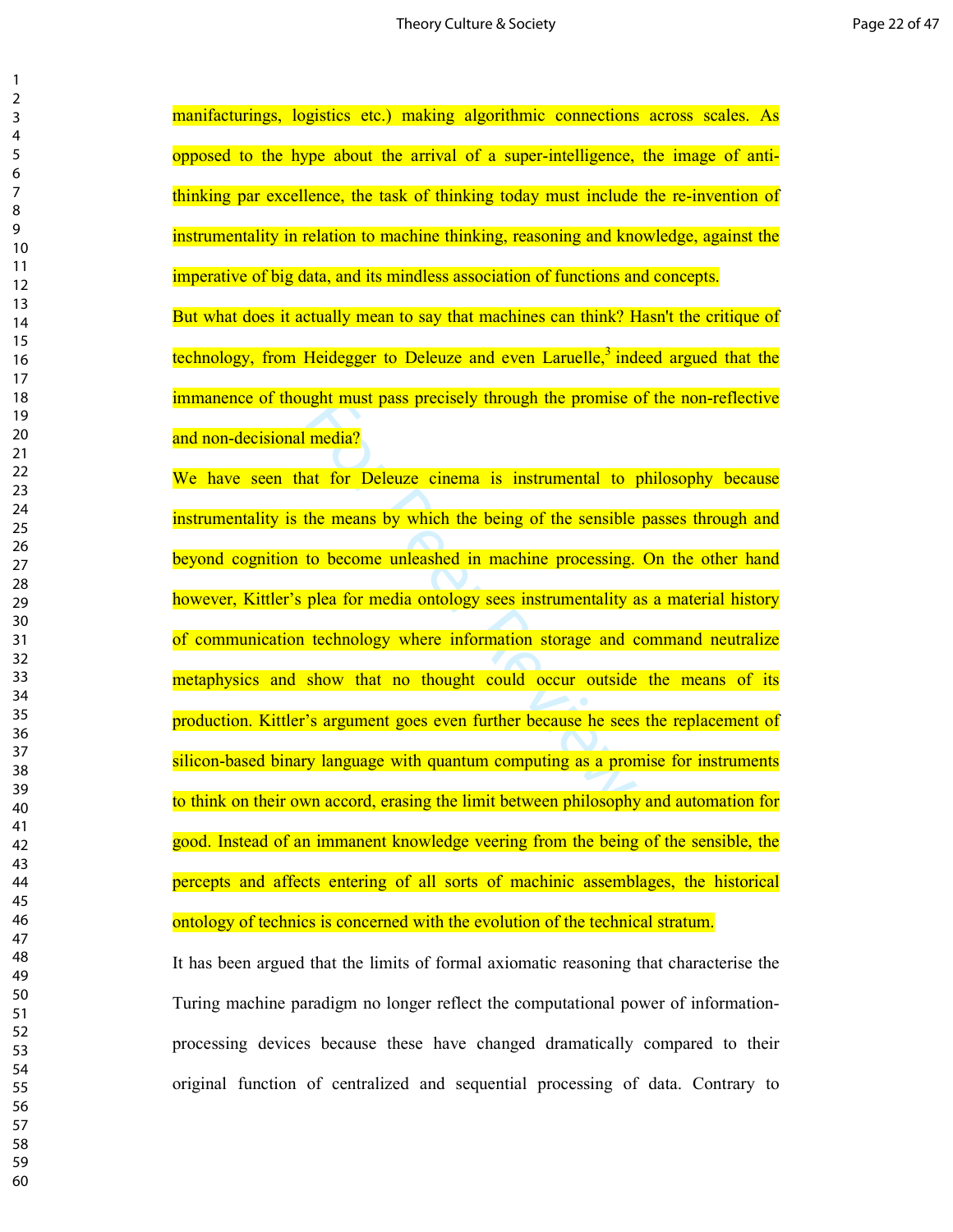manifacturings, logistics etc.) making algorithmic connections across scales. As opposed to the hype about the arrival of a super-intelligence, the image of antithinking par excellence, the task of thinking today must include the re-invention of instrumentality in relation to machine thinking, reasoning and knowledge, against the imperative of big data, and its mindless association of functions and concepts. But what does it actually mean to say that machines can think? Hasn't the critique of technology, from Heidegger to Deleuze and even Laruelle,<sup>3</sup> indeed argued that the immanence of thought must pass precisely through the promise of the non-reflective and non-decisional media?

inght must pass precisely through the promise of<br>
media?<br>
at for Deleuze cinema is instrumental to p<br>
the means by which the being of the sensible<br>
to become unleashed in machine processing.<br>
plea for media ontology sees i We have seen that for Deleuze cinema is instrumental to philosophy because instrumentality is the means by which the being of the sensible passes through and beyond cognition to become unleashed in machine processing. On the other hand however, Kittler's plea for media ontology sees instrumentality as a material history of communication technology where information storage and command neutralize metaphysics and show that no thought could occur outside the means of its production. Kittler's argument goes even further because he sees the replacement of silicon-based binary language with quantum computing as a promise for instruments to think on their own accord, erasing the limit between philosophy and automation for good. Instead of an immanent knowledge veering from the being of the sensible, the percepts and affects entering of all sorts of machinic assemblages, the historical ontology of technics is concerned with the evolution of the technical stratum.

It has been argued that the limits of formal axiomatic reasoning that characterise the Turing machine paradigm no longer reflect the computational power of informationprocessing devices because these have changed dramatically compared to their original function of centralized and sequential processing of data. Contrary to

 $\mathbf{1}$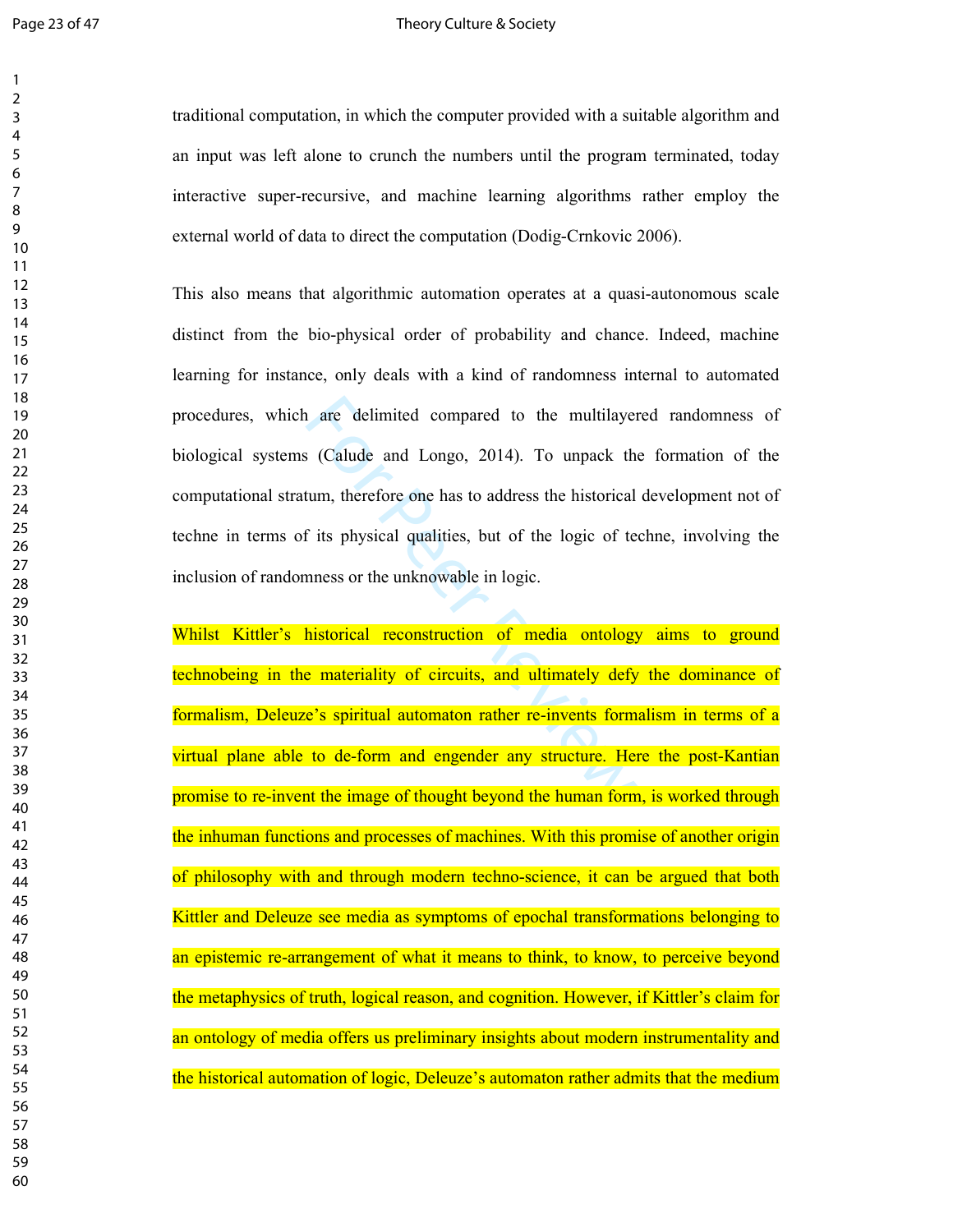$\mathbf{1}$  $\overline{2}$ 

### Page 23 of 47 Theory Culture & Society

traditional computation, in which the computer provided with a suitable algorithm and an input was left alone to crunch the numbers until the program terminated, today interactive super-recursive, and machine learning algorithms rather employ the external world of data to direct the computation (Dodig-Crnkovic 2006).

are delimited compared to the multilayer<br>
Solution (Calude and Longo, 2014). To unpack the<br>
tum, therefore one has to address the historical<br>
f its physical qualities, but of the logic of te<br>
mness or the unknowable in log This also means that algorithmic automation operates at a quasi-autonomous scale distinct from the bio-physical order of probability and chance. Indeed, machine learning for instance, only deals with a kind of randomness internal to automated procedures, which are delimited compared to the multilayered randomness of biological systems (Calude and Longo, 2014). To unpack the formation of the computational stratum, therefore one has to address the historical development not of techne in terms of its physical qualities, but of the logic of techne, involving the inclusion of randomness or the unknowable in logic.

Whilst Kittler's historical reconstruction of media ontology aims to ground technobeing in the materiality of circuits, and ultimately defy the dominance of formalism, Deleuze's spiritual automaton rather re-invents formalism in terms of a virtual plane able to de-form and engender any structure. Here the post-Kantian promise to re-invent the image of thought beyond the human form, is worked through the inhuman functions and processes of machines. With this promise of another origin of philosophy with and through modern techno-science, it can be argued that both Kittler and Deleuze see media as symptoms of epochal transformations belonging to an epistemic re-arrangement of what it means to think, to know, to perceive beyond the metaphysics of truth, logical reason, and cognition. However, if Kittler's claim for an ontology of media offers us preliminary insights about modern instrumentality and the historical automation of logic, Deleuze's automaton rather admits that the medium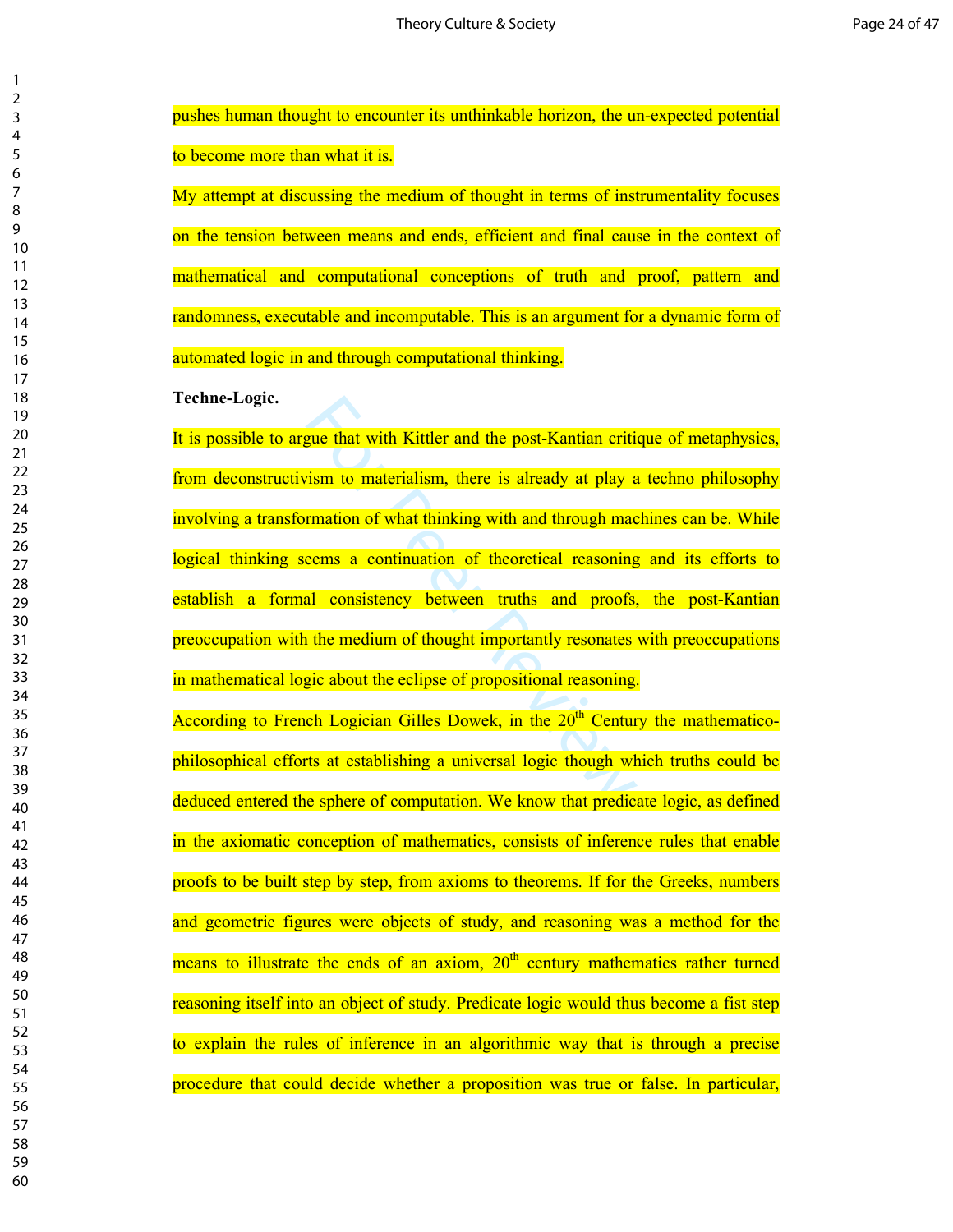| 2                                |  |
|----------------------------------|--|
| 3                                |  |
| 4                                |  |
| 5                                |  |
| 6                                |  |
|                                  |  |
| 8                                |  |
| 9                                |  |
| 10                               |  |
|                                  |  |
| 1<br>1                           |  |
|                                  |  |
|                                  |  |
| 12<br>13<br>14<br>15<br>16<br>17 |  |
|                                  |  |
|                                  |  |
|                                  |  |
| 18                               |  |
| $\frac{18}{19}$                  |  |
| $\overline{20}$                  |  |
| $\overline{21}$                  |  |
| $\overline{2}$<br>$\overline{2}$ |  |
| .<br>23                          |  |
| 24                               |  |
| 25                               |  |
| 26                               |  |
| $^{27}$                          |  |
| 28                               |  |
| $\frac{1}{2}$                    |  |
| 30                               |  |
|                                  |  |
| 31                               |  |
| $\overline{\mathbf{3}}$          |  |
| 33                               |  |
| 34                               |  |
| 35                               |  |
| 36                               |  |
| $\frac{1}{2}$                    |  |
| 38                               |  |
| 39                               |  |
| 40                               |  |
| 41                               |  |
| $\overline{4}$<br>,              |  |
| 43                               |  |
| 44                               |  |
| 45                               |  |
| 46                               |  |
| 47                               |  |
| 48                               |  |
| 49                               |  |
| 50                               |  |
| 51                               |  |
| 5                                |  |
| ,                                |  |
| 53                               |  |
| 54                               |  |
| 55                               |  |
| 56                               |  |
| 57<br>7                          |  |
| 58                               |  |
| 59                               |  |
| 60                               |  |

pushes human thought to encounter its unthinkable horizon, the un-expected potential to become more than what it is.

My attempt at discussing the medium of thought in terms of instrumentality focuses on the tension between means and ends, efficient and final cause in the context of mathematical and computational conceptions of truth and proof, pattern and randomness, executable and incomputable. This is an argument for a dynamic form of automated logic in and through computational thinking.

**Techne-Logic.** 

sue that with Kittler and the post-Kantian critian<br>
This is already at play a<br>
This is already at play a<br>
This is already at play a<br>
This is already at play a<br>
This is a continuation of theoretical reasoning<br>
all consisten It is possible to argue that with Kittler and the post-Kantian critique of metaphysics, from deconstructivism to materialism, there is already at play a techno philosophy involving a transformation of what thinking with and through machines can be. While logical thinking seems a continuation of theoretical reasoning and its efforts to establish a formal consistency between truths and proofs, the post-Kantian preoccupation with the medium of thought importantly resonates with preoccupations in mathematical logic about the eclipse of propositional reasoning.

According to French Logician Gilles Dowek, in the  $20<sup>th</sup>$  Century the mathematicophilosophical efforts at establishing a universal logic though which truths could be deduced entered the sphere of computation. We know that predicate logic, as defined in the axiomatic conception of mathematics, consists of inference rules that enable proofs to be built step by step, from axioms to theorems. If for the Greeks, numbers and geometric figures were objects of study, and reasoning was a method for the means to illustrate the ends of an axiom,  $20<sup>th</sup>$  century mathematics rather turned reasoning itself into an object of study. Predicate logic would thus become a fist step to explain the rules of inference in an algorithmic way that is through a precise procedure that could decide whether a proposition was true or false. In particular,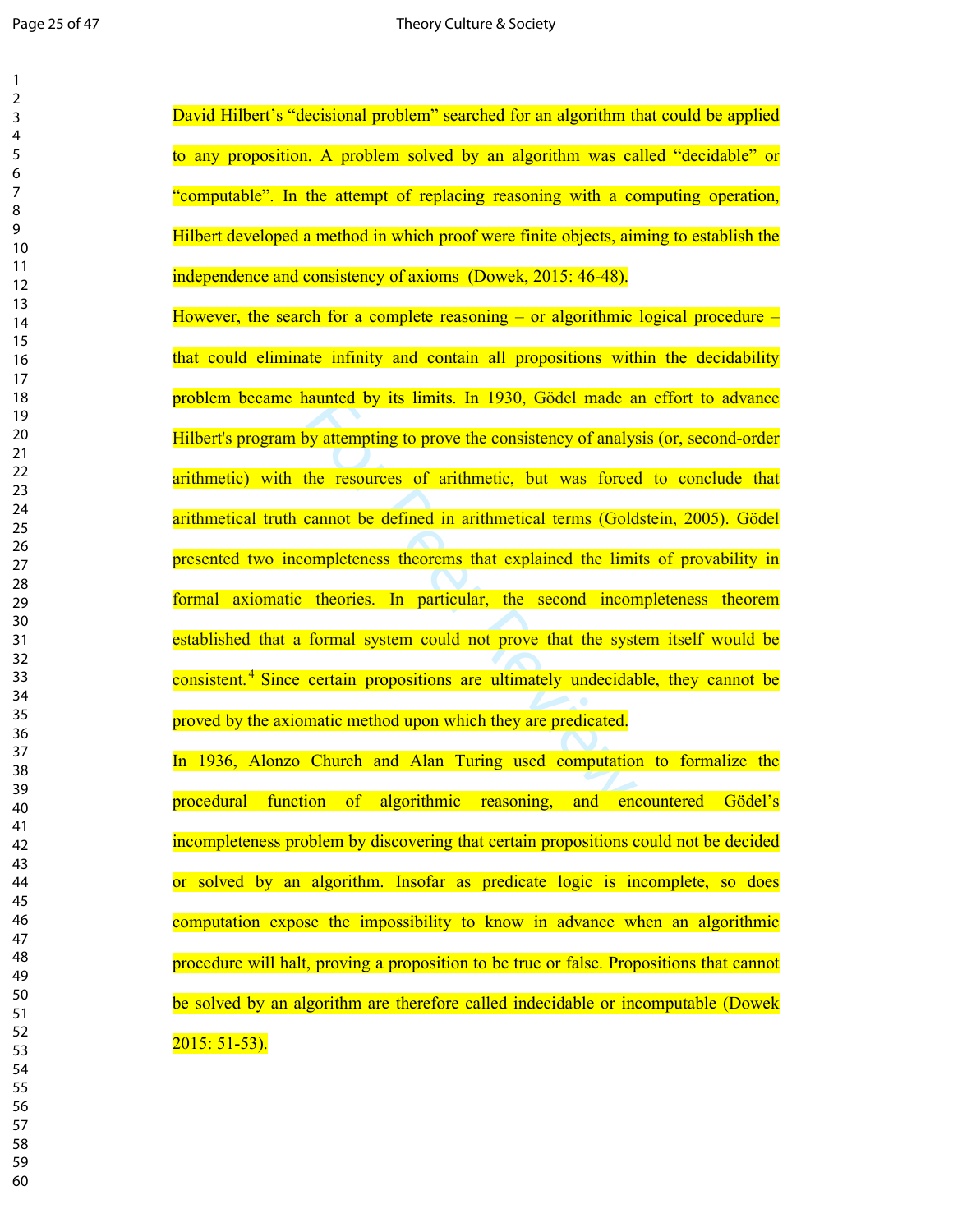| 1<br>$\overline{2}$<br>3<br>4<br>5<br>6<br>7<br>8<br>9<br>10<br>11<br>12<br>13<br>$\overline{14}$<br>15<br>16<br>17<br>18<br>19<br>20<br>$\overline{21}$<br>$\overline{22}$<br>23<br>24<br>25<br>26<br>27 |  |
|-----------------------------------------------------------------------------------------------------------------------------------------------------------------------------------------------------------|--|
| 28<br>29                                                                                                                                                                                                  |  |
| 30<br>31<br>32<br>33<br>34<br>35<br>36<br>37<br>R۶<br>39                                                                                                                                                  |  |
| 40<br>41<br>42<br>43<br>44<br>45<br>46<br>47<br>48<br>49                                                                                                                                                  |  |
| 50<br>51<br>52<br>53<br>54<br>55<br>56<br>57<br>58<br>59<br>60                                                                                                                                            |  |

admorted by its limits. In 1930, Godel made a<br>by attempting to prove the consistency of analys<br>the resources of arithmetic, but was forced<br>cannot be defined in arithmetical terms (Gold<br>ompleteness theorems that explained t David Hilbert's "decisional problem" searched for an algorithm that could be applied to any proposition. A problem solved by an algorithm was called "decidable" or "computable". In the attempt of replacing reasoning with a computing operation, Hilbert developed a method in which proof were finite objects, aiming to establish the independence and consistency of axioms (Dowek, 2015: 46-48). However, the search for a complete reasoning – or algorithmic logical procedure – that could eliminate infinity and contain all propositions within the decidability problem became haunted by its limits. In 1930, Gödel made an effort to advance Hilbert's program by attempting to prove the consistency of analysis (or, second-order arithmetic) with the resources of arithmetic, but was forced to conclude that arithmetical truth cannot be defined in arithmetical terms (Goldstein, 2005). Gödel presented two incompleteness theorems that explained the limits of provability in formal axiomatic theories. In particular, the second incompleteness theorem established that a formal system could not prove that the system itself would be consistent.<sup>4</sup> Since certain propositions are ultimately undecidable, they cannot be proved by the axiomatic method upon which they are predicated. In 1936, Alonzo Church and Alan Turing used computation to formalize the procedural function of algorithmic reasoning, and encountered Gödel's incompleteness problem by discovering that certain propositions could not be decided or solved by an algorithm. Insofar as predicate logic is incomplete, so does computation expose the impossibility to know in advance when an algorithmic procedure will halt, proving a proposition to be true or false. Propositions that cannot be solved by an algorithm are therefore called indecidable or incomputable (Dowek 2015: 51-53).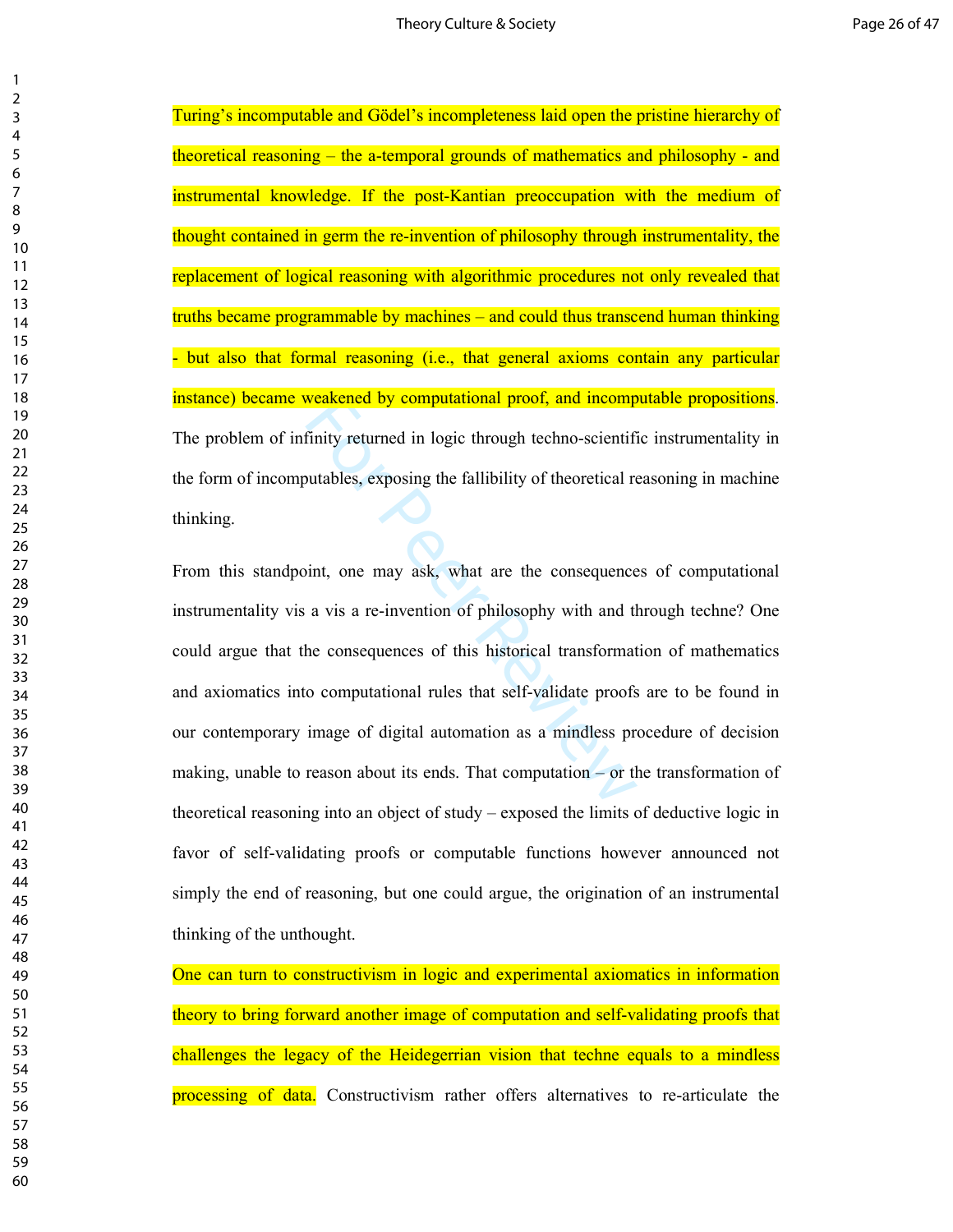Turing's incomputable and Gödel's incompleteness laid open the pristine hierarchy of theoretical reasoning – the a-temporal grounds of mathematics and philosophy - and instrumental knowledge. If the post-Kantian preoccupation with the medium of thought contained in germ the re-invention of philosophy through instrumentality, the replacement of logical reasoning with algorithmic procedures not only revealed that truths became programmable by machines – and could thus transcend human thinking - but also that formal reasoning (i.e., that general axioms contain any particular instance) became weakened by computational proof, and incomputable propositions. The problem of infinity returned in logic through techno-scientific instrumentality in the form of incomputables, exposing the fallibility of theoretical reasoning in machine thinking.

**Example 18 The United States Computational proof, and incomplementative**<br>Finity returned in logic through techno-scientific<br>autables, exposing the fallibility of theoretical re<br>int, one may ask, what are the consequence<br>a From this standpoint, one may ask, what are the consequences of computational instrumentality vis a vis a re-invention of philosophy with and through techne? One could argue that the consequences of this historical transformation of mathematics and axiomatics into computational rules that self-validate proofs are to be found in our contemporary image of digital automation as a mindless procedure of decision making, unable to reason about its ends. That computation – or the transformation of theoretical reasoning into an object of study – exposed the limits of deductive logic in favor of self-validating proofs or computable functions however announced not simply the end of reasoning, but one could argue, the origination of an instrumental thinking of the unthought.

One can turn to constructivism in logic and experimental axiomatics in information theory to bring forward another image of computation and self-validating proofs that challenges the legacy of the Heidegerrian vision that techne equals to a mindless processing of data. Constructivism rather offers alternatives to re-articulate the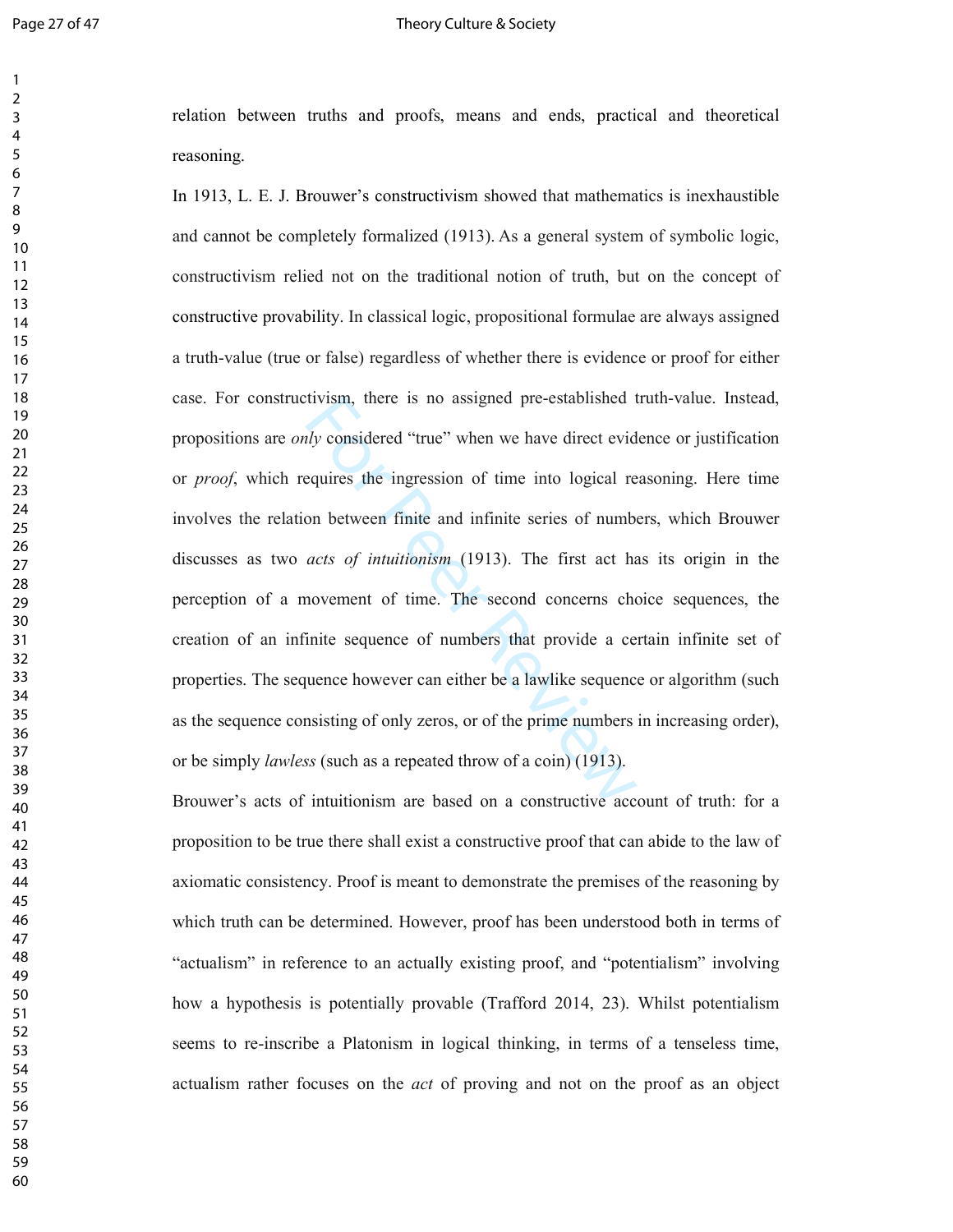$\mathbf{1}$ 

### Page 27 of 47 Theory Culture & Society

relation between truths and proofs, means and ends, practical and theoretical reasoning.

tivism, there is no assigned pre-established the<br> *hy* considered "true" when we have direct evid<br>
equires the ingression of time into logical re<br>
on between finite and infinite series of number<br> *acts of intuitionism* (19 In 1913, L. E. J. Brouwer's constructivism showed that mathematics is inexhaustible and cannot be completely formalized (1913). As a general system of symbolic logic, constructivism relied not on the traditional notion of truth, but on the concept of constructive provability. In classical logic, propositional formulae are always assigned a truth-value (true or false) regardless of whether there is evidence or proof for either case. For constructivism, there is no assigned pre-established truth-value. Instead, propositions are *only* considered "true" when we have direct evidence or justification or *proof*, which requires the ingression of time into logical reasoning. Here time involves the relation between finite and infinite series of numbers, which Brouwer discusses as two *acts of intuitionism* (1913). The first act has its origin in the perception of a movement of time. The second concerns choice sequences, the creation of an infinite sequence of numbers that provide a certain infinite set of properties. The sequence however can either be a lawlike sequence or algorithm (such as the sequence consisting of only zeros, or of the prime numbers in increasing order), or be simply *lawless* (such as a repeated throw of a coin) (1913).

Brouwer's acts of intuitionism are based on a constructive account of truth: for a proposition to be true there shall exist a constructive proof that can abide to the law of axiomatic consistency. Proof is meant to demonstrate the premises of the reasoning by which truth can be determined. However, proof has been understood both in terms of "actualism" in reference to an actually existing proof, and "potentialism" involving how a hypothesis is potentially provable (Trafford 2014, 23). Whilst potentialism seems to re-inscribe a Platonism in logical thinking, in terms of a tenseless time, actualism rather focuses on the *act* of proving and not on the proof as an object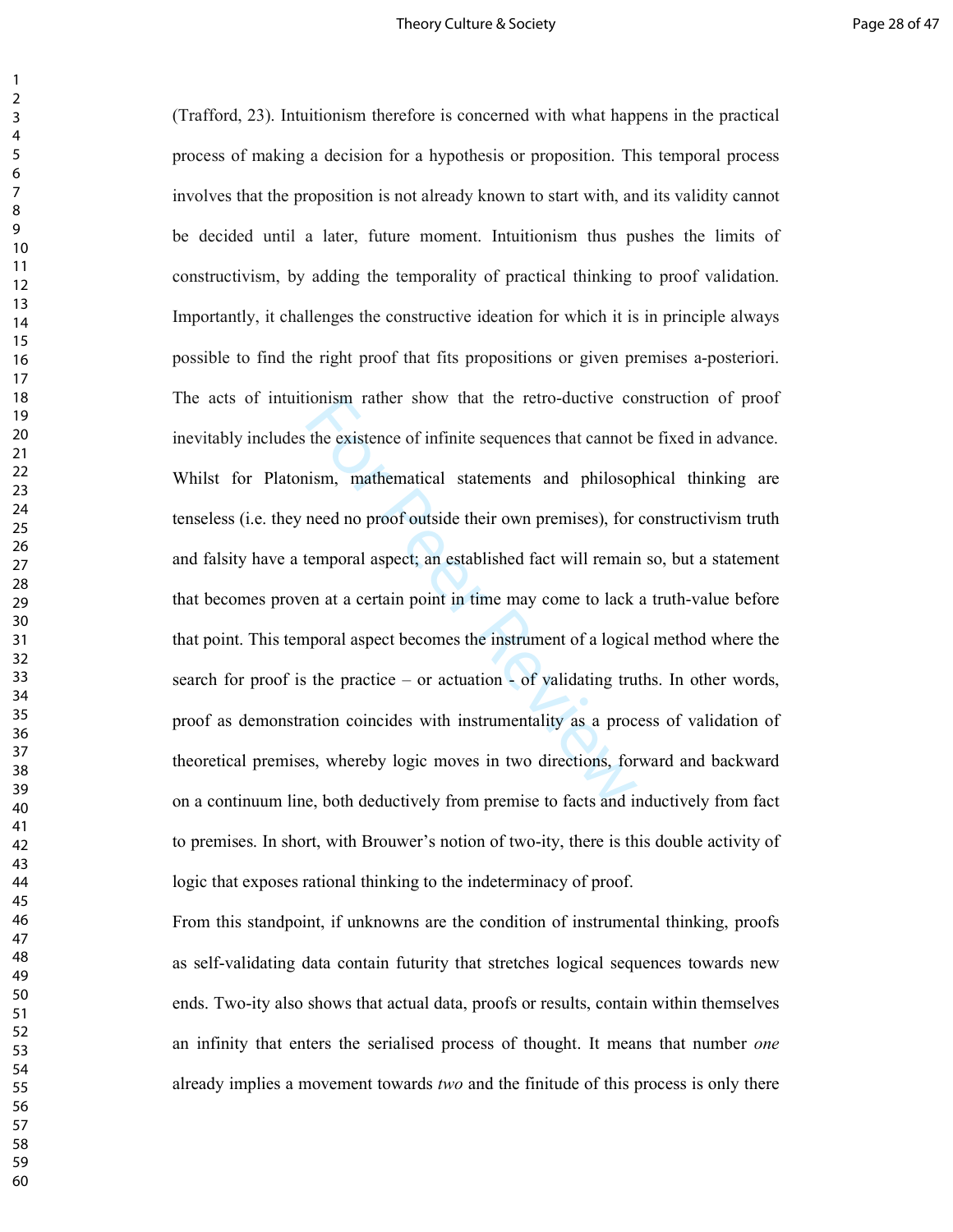### Theory Culture & Society **Page 28 of 47** and the Page 28 of 47

from the existence of infinite sequences that cannot<br>the existence of infinite sequences that cannot<br>ism, mathematical statements and philosop<br>need no proof outside their own premises), for<br>temporal aspect; an established (Trafford, 23). Intuitionism therefore is concerned with what happens in the practical process of making a decision for a hypothesis or proposition. This temporal process involves that the proposition is not already known to start with, and its validity cannot be decided until a later, future moment. Intuitionism thus pushes the limits of constructivism, by adding the temporality of practical thinking to proof validation. Importantly, it challenges the constructive ideation for which it is in principle always possible to find the right proof that fits propositions or given premises a-posteriori. The acts of intuitionism rather show that the retro-ductive construction of proof inevitably includes the existence of infinite sequences that cannot be fixed in advance. Whilst for Platonism, mathematical statements and philosophical thinking are tenseless (i.e. they need no proof outside their own premises), for constructivism truth and falsity have a temporal aspect; an established fact will remain so, but a statement that becomes proven at a certain point in time may come to lack a truth-value before that point. This temporal aspect becomes the instrument of a logical method where the search for proof is the practice – or actuation - of validating truths. In other words, proof as demonstration coincides with instrumentality as a process of validation of theoretical premises, whereby logic moves in two directions, forward and backward on a continuum line, both deductively from premise to facts and inductively from fact to premises. In short, with Brouwer's notion of two-ity, there is this double activity of logic that exposes rational thinking to the indeterminacy of proof.

From this standpoint, if unknowns are the condition of instrumental thinking, proofs as self-validating data contain futurity that stretches logical sequences towards new ends. Two-ity also shows that actual data, proofs or results, contain within themselves an infinity that enters the serialised process of thought. It means that number *one*  already implies a movement towards *two* and the finitude of this process is only there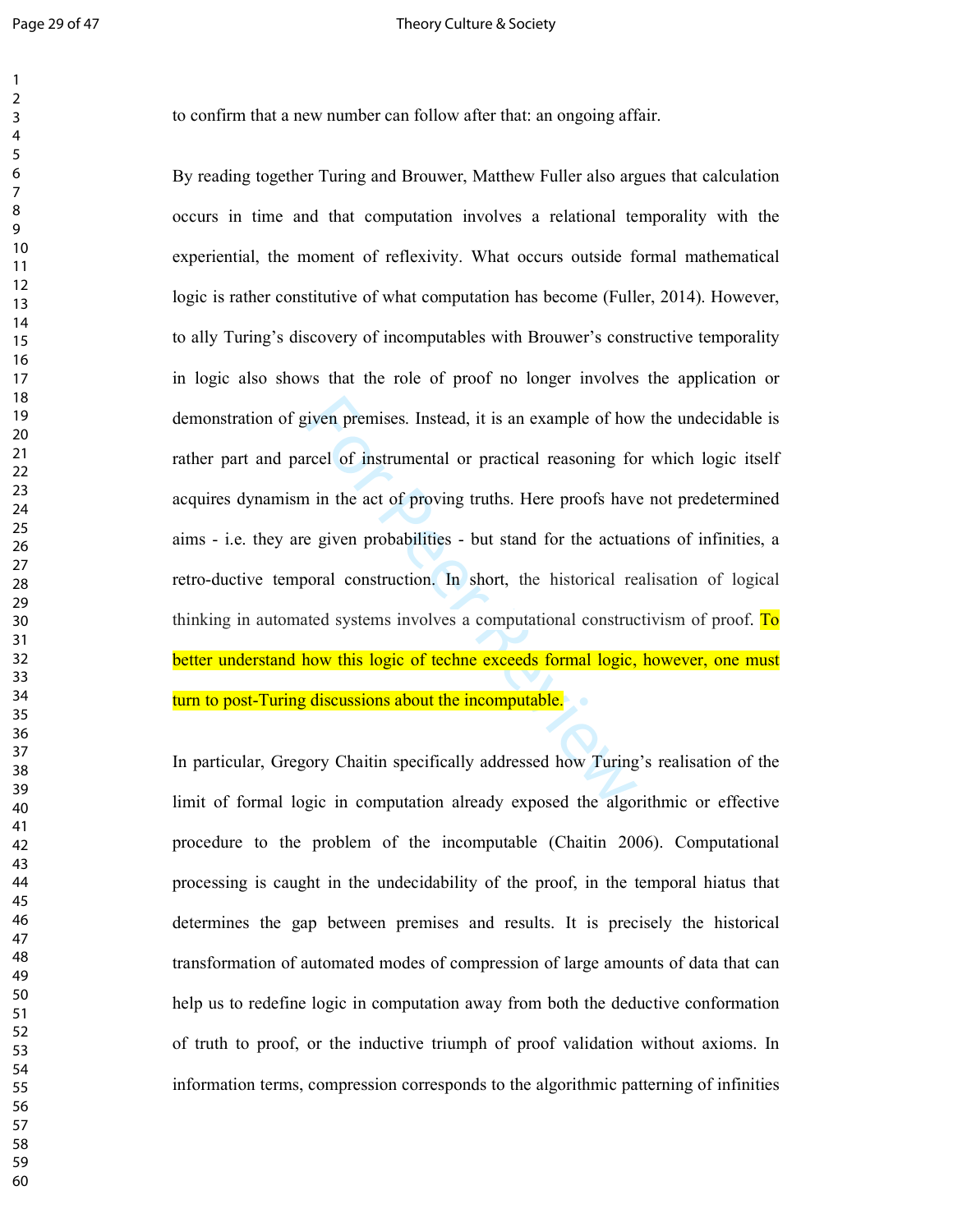### Page 29 of 47 Theory Culture & Society

to confirm that a new number can follow after that: an ongoing affair.

striven premises. Instead, it is an example of hovercel of instrumental or practical reasoning for the actual in the act of proving truths. Here proofs have given probabilities - but stand for the actuational construction. By reading together Turing and Brouwer, Matthew Fuller also argues that calculation occurs in time and that computation involves a relational temporality with the experiential, the moment of reflexivity. What occurs outside formal mathematical logic is rather constitutive of what computation has become (Fuller, 2014). However, to ally Turing's discovery of incomputables with Brouwer's constructive temporality in logic also shows that the role of proof no longer involves the application or demonstration of given premises. Instead, it is an example of how the undecidable is rather part and parcel of instrumental or practical reasoning for which logic itself acquires dynamism in the act of proving truths. Here proofs have not predetermined aims - i.e. they are given probabilities - but stand for the actuations of infinities, a retro-ductive temporal construction. In short, the historical realisation of logical thinking in automated systems involves a computational constructivism of proof. To better understand how this logic of techne exceeds formal logic, however, one must turn to post-Turing discussions about the incomputable.

In particular, Gregory Chaitin specifically addressed how Turing's realisation of the limit of formal logic in computation already exposed the algorithmic or effective procedure to the problem of the incomputable (Chaitin 2006). Computational processing is caught in the undecidability of the proof, in the temporal hiatus that determines the gap between premises and results. It is precisely the historical transformation of automated modes of compression of large amounts of data that can help us to redefine logic in computation away from both the deductive conformation of truth to proof, or the inductive triumph of proof validation without axioms. In information terms, compression corresponds to the algorithmic patterning of infinities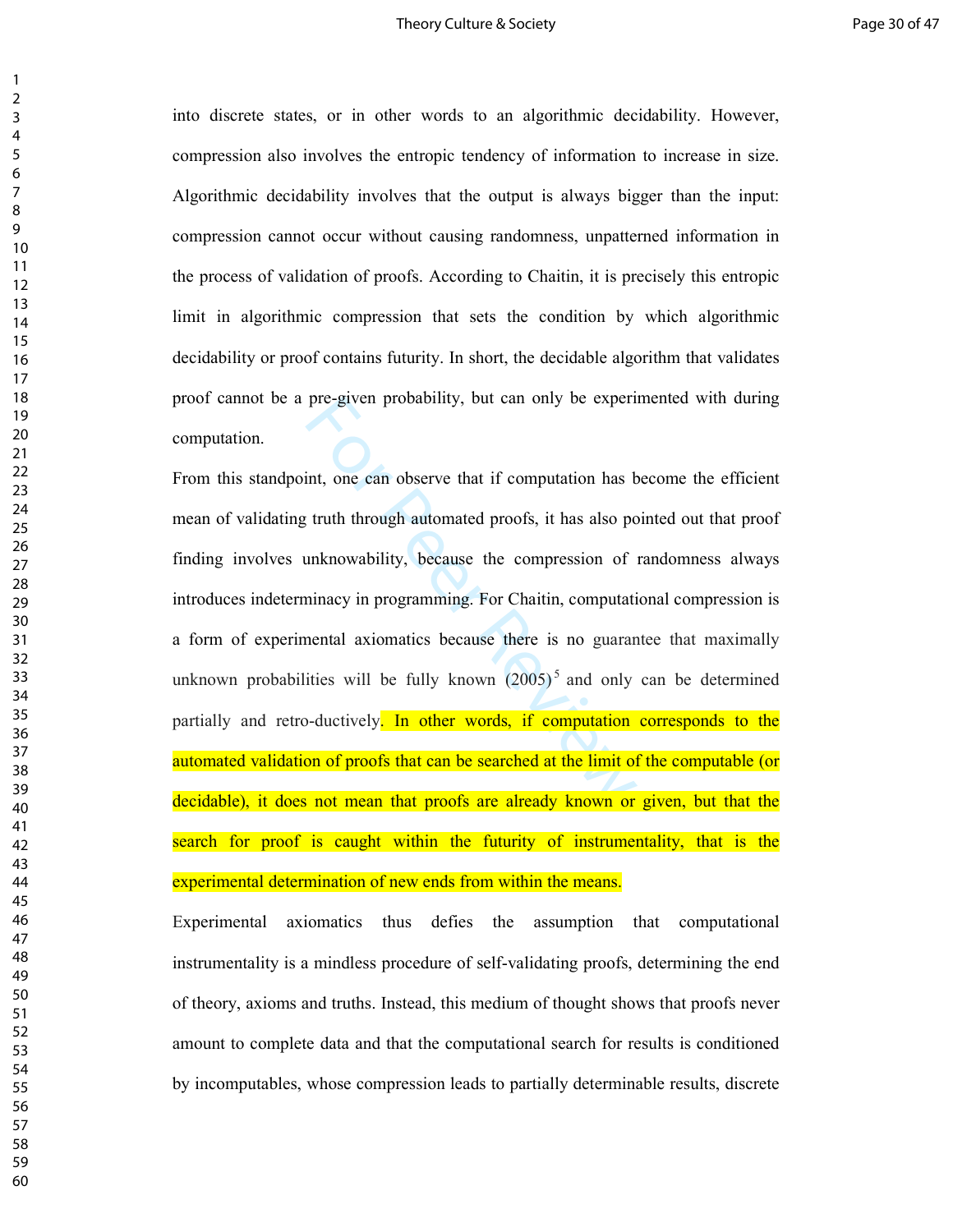### Theory Culture & Society **Page 30 of 47** and the state Page 30 of 47

into discrete states, or in other words to an algorithmic decidability. However, compression also involves the entropic tendency of information to increase in size. Algorithmic decidability involves that the output is always bigger than the input: compression cannot occur without causing randomness, unpatterned information in the process of validation of proofs. According to Chaitin, it is precisely this entropic limit in algorithmic compression that sets the condition by which algorithmic decidability or proof contains futurity. In short, the decidable algorithm that validates proof cannot be a pre-given probability, but can only be experimented with during computation.

pre-given probability, but can only be experi-<br>int, one can observe that if computation has b<br>truth through automated proofs, it has also por<br>unknowability, because the compression of<br>ininacy in programming. For Chaitin, c From this standpoint, one can observe that if computation has become the efficient mean of validating truth through automated proofs, it has also pointed out that proof finding involves unknowability, because the compression of randomness always introduces indeterminacy in programming. For Chaitin, computational compression is a form of experimental axiomatics because there is no guarantee that maximally unknown probabilities will be fully known  $(2005)^5$  and only can be determined partially and retro-ductively. In other words, if computation corresponds to the automated validation of proofs that can be searched at the limit of the computable (or decidable), it does not mean that proofs are already known or given, but that the search for proof is caught within the futurity of instrumentality, that is the experimental determination of new ends from within the means.

Experimental axiomatics thus defies the assumption that computational instrumentality is a mindless procedure of self-validating proofs, determining the end of theory, axioms and truths. Instead, this medium of thought shows that proofs never amount to complete data and that the computational search for results is conditioned by incomputables, whose compression leads to partially determinable results, discrete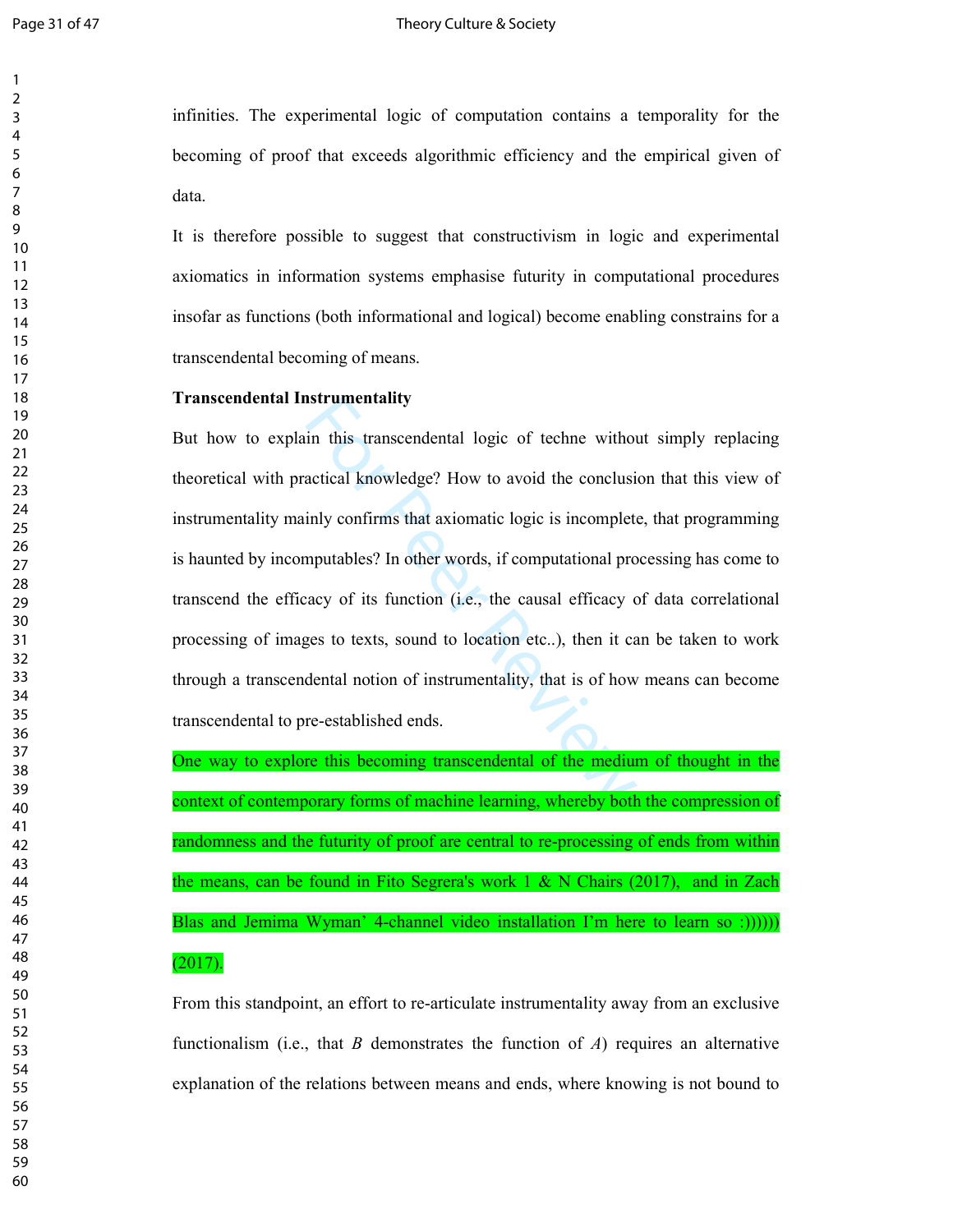infinities. The experimental logic of computation contains a temporality for the becoming of proof that exceeds algorithmic efficiency and the empirical given of data.

It is therefore possible to suggest that constructivism in logic and experimental axiomatics in information systems emphasise futurity in computational procedures insofar as functions (both informational and logical) become enabling constrains for a transcendental becoming of means.

### **Transcendental Instrumentality**

In this transcendental logic of techne withou<br>actical knowledge? How to avoid the conclusi-<br>inly confirms that axiomatic logic is incomplet<br>nputables? In other words, if computational pro-<br>accy of its function (i.e., the c But how to explain this transcendental logic of techne without simply replacing theoretical with practical knowledge? How to avoid the conclusion that this view of instrumentality mainly confirms that axiomatic logic is incomplete, that programming is haunted by incomputables? In other words, if computational processing has come to transcend the efficacy of its function (i.e., the causal efficacy of data correlational processing of images to texts, sound to location etc..), then it can be taken to work through a transcendental notion of instrumentality, that is of how means can become transcendental to pre-established ends.

One way to explore this becoming transcendental of the medium of thought in the context of contemporary forms of machine learning, whereby both the compression of randomness and the futurity of proof are central to re-processing of ends from within the means, can be found in Fito Segrera's work  $1 \& N$  Chairs (2017), and in Zach Blas and Jemima Wyman' 4-channel video installation I'm here to learn so :)))))) (2017).

From this standpoint, an effort to re-articulate instrumentality away from an exclusive functionalism (i.e., that *B* demonstrates the function of *A*) requires an alternative explanation of the relations between means and ends, where knowing is not bound to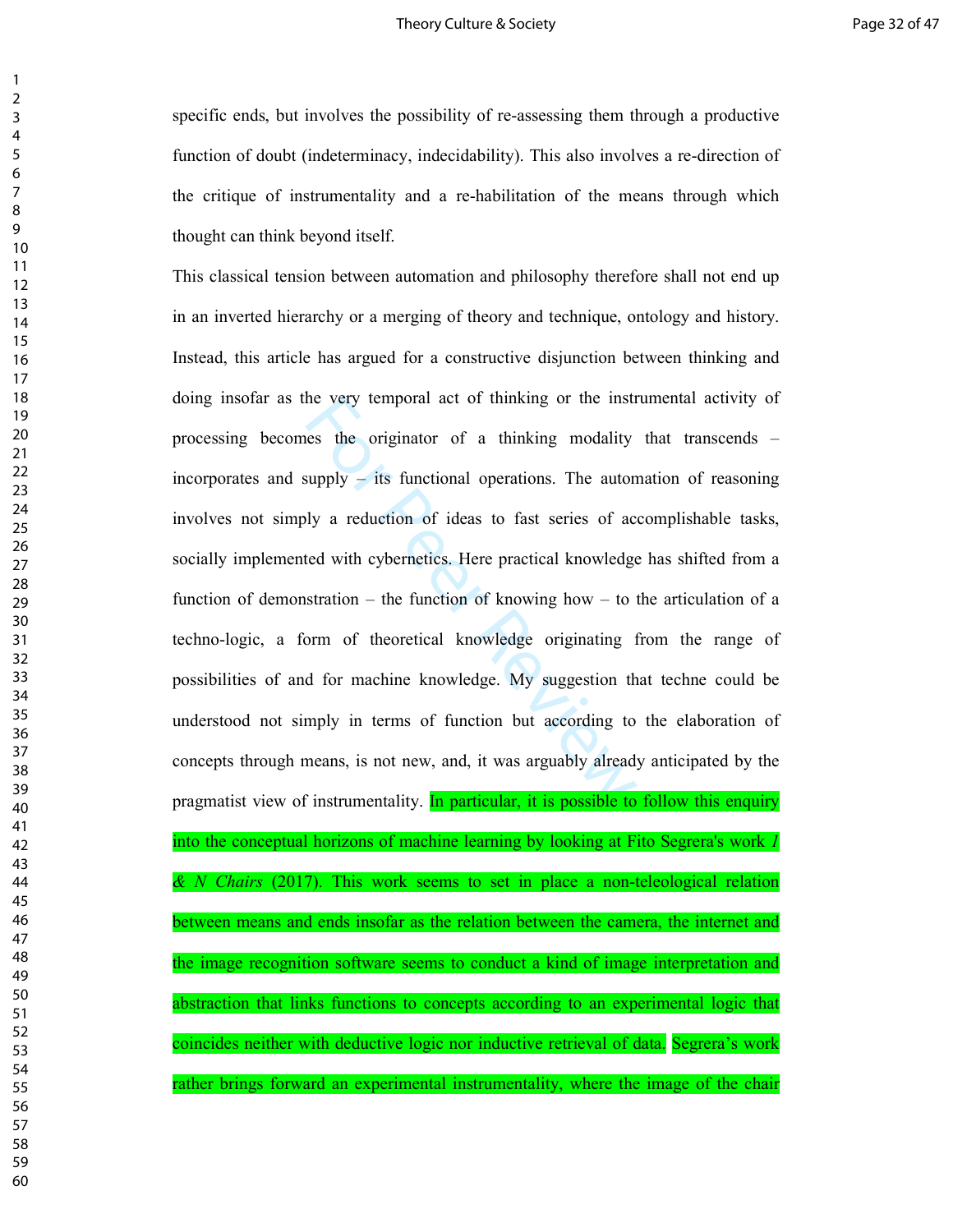specific ends, but involves the possibility of re-assessing them through a productive function of doubt (indeterminacy, indecidability). This also involves a re-direction of the critique of instrumentality and a re-habilitation of the means through which thought can think beyond itself.

he very temporal act of thinking or the instress the originator of a thinking modality supply – its functional operations. The autom oly a reduction of ideas to fast series of acted with cybernetics. Here practical knowled This classical tension between automation and philosophy therefore shall not end up in an inverted hierarchy or a merging of theory and technique, ontology and history. Instead, this article has argued for a constructive disjunction between thinking and doing insofar as the very temporal act of thinking or the instrumental activity of processing becomes the originator of a thinking modality that transcends – incorporates and supply – its functional operations. The automation of reasoning involves not simply a reduction of ideas to fast series of accomplishable tasks, socially implemented with cybernetics. Here practical knowledge has shifted from a function of demonstration – the function of knowing how – to the articulation of a techno-logic, a form of theoretical knowledge originating from the range of possibilities of and for machine knowledge. My suggestion that techne could be understood not simply in terms of function but according to the elaboration of concepts through means, is not new, and, it was arguably already anticipated by the pragmatist view of instrumentality. In particular, it is possible to follow this enquiry into the conceptual horizons of machine learning by looking at Fito Segrera's work *1 & N Chairs* (2017). This work seems to set in place a non-teleological relation between means and ends insofar as the relation between the camera, the internet and the image recognition software seems to conduct a kind of image interpretation and abstraction that links functions to concepts according to an experimental logic that coincides neither with deductive logic nor inductive retrieval of data. Segrera's work rather brings forward an experimental instrumentality, where the image of the chair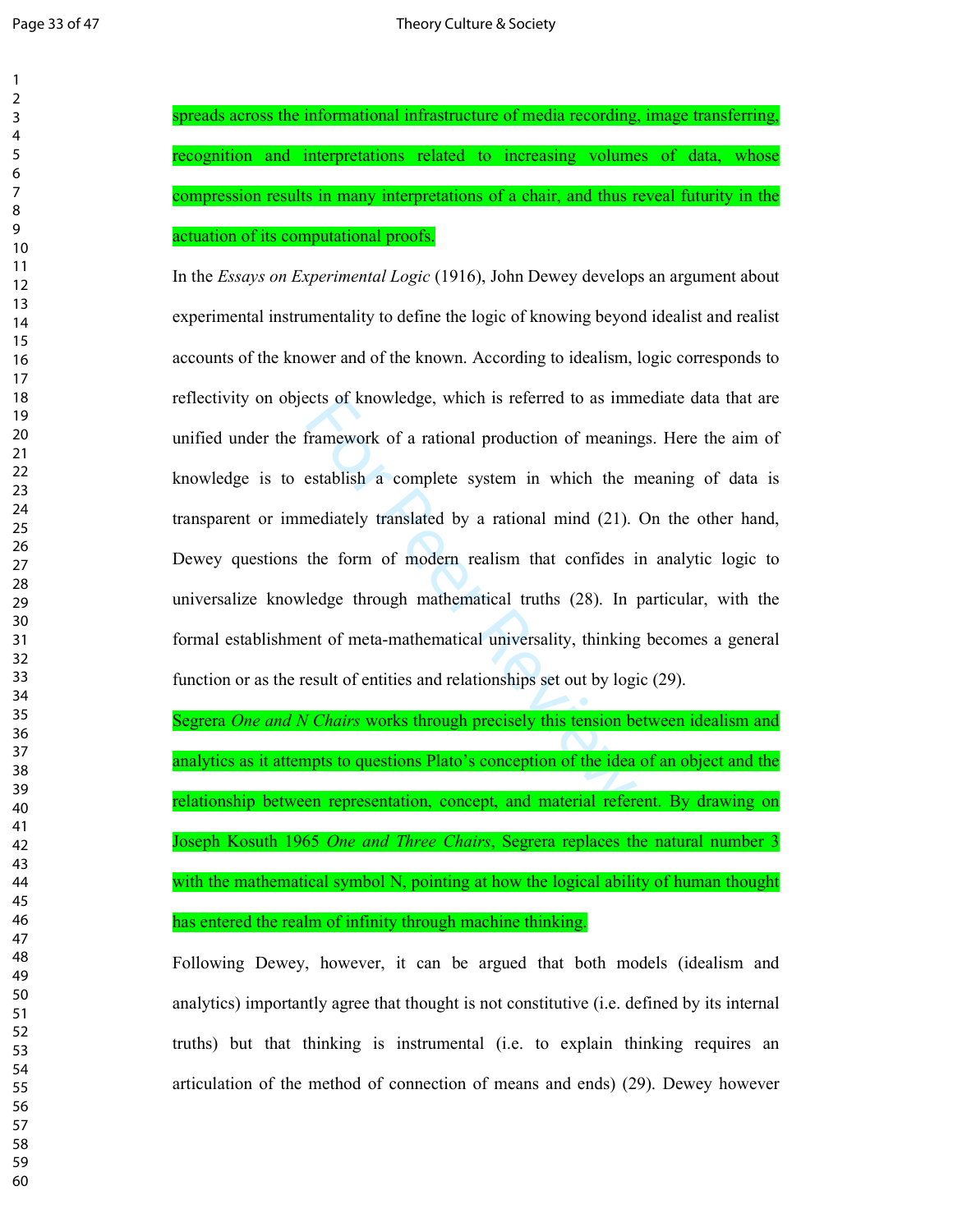spreads across the informational infrastructure of media recording, image transferring, recognition and interpretations related to increasing volumes of data, whose compression results in many interpretations of a chair, and thus reveal futurity in the actuation of its computational proofs.

cts of knowledge, which is referred to as imm<br>framework of a rational production of meaning<br>establish a complete system in which the r<br>mediately translated by a rational mind (21).<br>the form of modern realism that confides In the *Essays on Experimental Logic* (1916), John Dewey develops an argument about experimental instrumentality to define the logic of knowing beyond idealist and realist accounts of the knower and of the known. According to idealism, logic corresponds to reflectivity on objects of knowledge, which is referred to as immediate data that are unified under the framework of a rational production of meanings. Here the aim of knowledge is to establish a complete system in which the meaning of data is transparent or immediately translated by a rational mind (21). On the other hand, Dewey questions the form of modern realism that confides in analytic logic to universalize knowledge through mathematical truths (28). In particular, with the formal establishment of meta-mathematical universality, thinking becomes a general function or as the result of entities and relationships set out by logic (29).

Segrera *One and N Chairs* works through precisely this tension between idealism and analytics as it attempts to questions Plato's conception of the idea of an object and the relationship between representation, concept, and material referent. By drawing on Joseph Kosuth 1965 *One and Three Chairs*, Segrera replaces the natural number 3 with the mathematical symbol N, pointing at how the logical ability of human thought has entered the realm of infinity through machine thinking.

Following Dewey, however, it can be argued that both models (idealism and analytics) importantly agree that thought is not constitutive (i.e. defined by its internal truths) but that thinking is instrumental (i.e. to explain thinking requires an articulation of the method of connection of means and ends) (29). Dewey however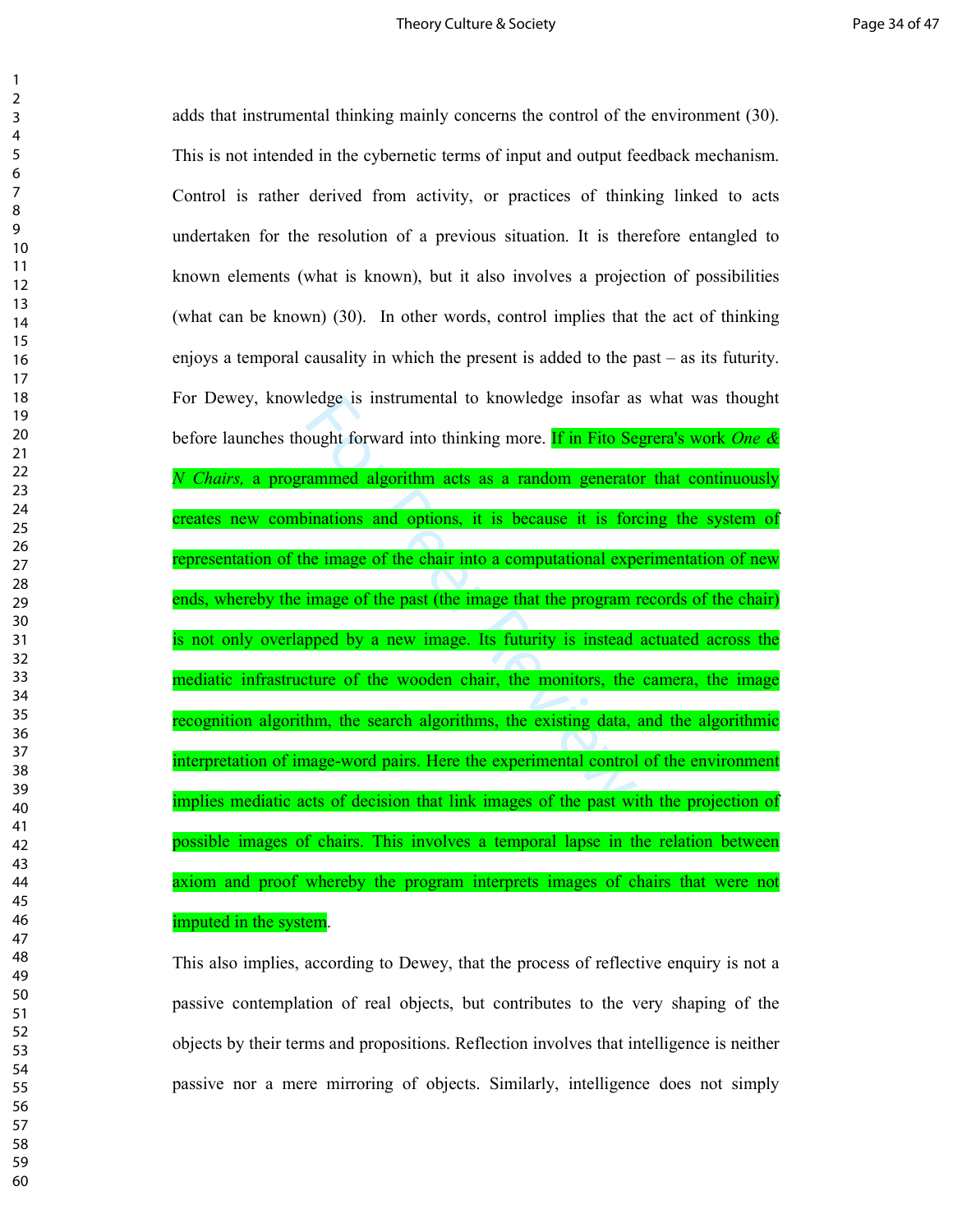### Theory Culture & Society **Page 34 of 47** and the Society **Page 34 of 47**

ledge is instrumental to knowledge insotar as<br>ought forward into thinking more. **If in Fito Se**<br>ammed algorithm acts as a random generato<br>inations and options, it is because it is for-<br>ne image of the chair into a computat adds that instrumental thinking mainly concerns the control of the environment (30). This is not intended in the cybernetic terms of input and output feedback mechanism. Control is rather derived from activity, or practices of thinking linked to acts undertaken for the resolution of a previous situation. It is therefore entangled to known elements (what is known), but it also involves a projection of possibilities (what can be known) (30). In other words, control implies that the act of thinking enjoys a temporal causality in which the present is added to the past – as its futurity. For Dewey, knowledge is instrumental to knowledge insofar as what was thought before launches thought forward into thinking more. If in Fito Segrera's work *One & N Chairs,* a programmed algorithm acts as a random generator that continuously creates new combinations and options, it is because it is forcing the system of representation of the image of the chair into a computational experimentation of new ends, whereby the image of the past (the image that the program records of the chair) is not only overlapped by a new image. Its futurity is instead actuated across the mediatic infrastructure of the wooden chair, the monitors, the camera, the image recognition algorithm, the search algorithms, the existing data, and the algorithmic interpretation of image-word pairs. Here the experimental control of the environment implies mediatic acts of decision that link images of the past with the projection of possible images of chairs. This involves a temporal lapse in the relation between axiom and proof whereby the program interprets images of chairs that were not imputed in the system.

This also implies, according to Dewey, that the process of reflective enquiry is not a passive contemplation of real objects, but contributes to the very shaping of the objects by their terms and propositions. Reflection involves that intelligence is neither passive nor a mere mirroring of objects. Similarly, intelligence does not simply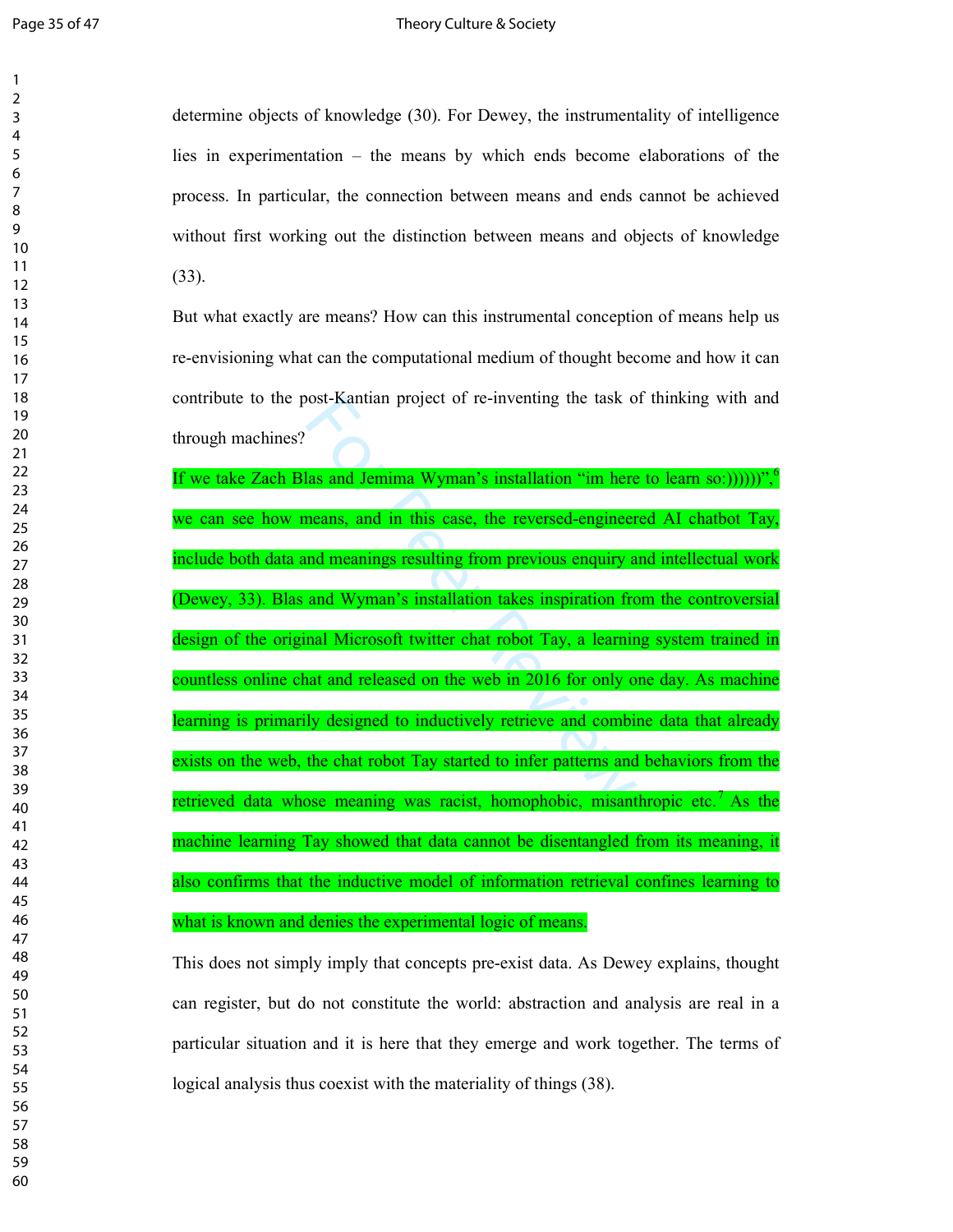determine objects of knowledge (30). For Dewey, the instrumentality of intelligence lies in experimentation – the means by which ends become elaborations of the process. In particular, the connection between means and ends cannot be achieved without first working out the distinction between means and objects of knowledge (33).

But what exactly are means? How can this instrumental conception of means help us re-envisioning what can the computational medium of thought become and how it can contribute to the post-Kantian project of re-inventing the task of thinking with and through machines?

ost-Kantian project of re-inventing the task of<br>las and Jemima Wyman's installation "im here<br>means, and in this case, the reversed-engineer<br>ind meanings resulting from previous enquiry a<br>and Wyman's installation takes insp If we take Zach Blas and Jemima Wyman's installation "im here to learn so:))))))", we can see how means, and in this case, the reversed-engineered AI chatbot Tay, include both data and meanings resulting from previous enquiry and intellectual work (Dewey, 33). Blas and Wyman's installation takes inspiration from the controversial design of the original Microsoft twitter chat robot Tay, a learning system trained in countless online chat and released on the web in 2016 for only one day. As machine learning is primarily designed to inductively retrieve and combine data that already exists on the web, the chat robot Tay started to infer patterns and behaviors from the retrieved data whose meaning was racist, homophobic, misanthropic etc.<sup>7</sup> As the machine learning Tay showed that data cannot be disentangled from its meaning, it also confirms that the inductive model of information retrieval confines learning to what is known and denies the experimental logic of means.

This does not simply imply that concepts pre-exist data. As Dewey explains, thought can register, but do not constitute the world: abstraction and analysis are real in a particular situation and it is here that they emerge and work together. The terms of logical analysis thus coexist with the materiality of things (38).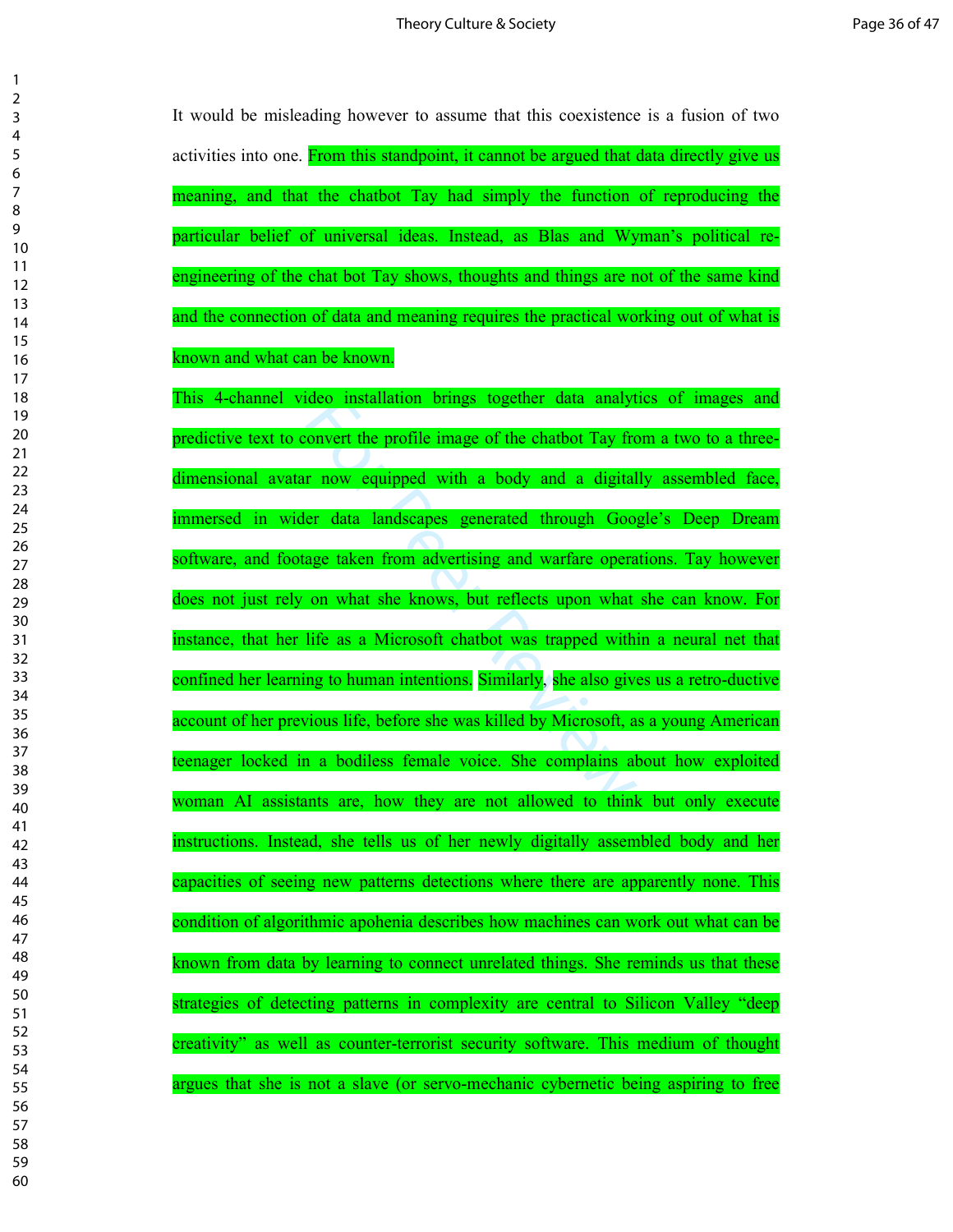$\mathbf{1}$  $\overline{2}$ 

> It would be misleading however to assume that this coexistence is a fusion of two activities into one. From this standpoint, it cannot be argued that data directly give us meaning, and that the chatbot Tay had simply the function of reproducing the particular belief of universal ideas. Instead, as Blas and Wyman's political reengineering of the chat bot Tay shows, thoughts and things are not of the same kind and the connection of data and meaning requires the practical working out of what is known and what can be known.

> From the profile image of the chatbot Tay from the profile image of the chatbot Tay from a move equipped with a body and a digital er data landscapes generated through Goog age taken from advertising and warfare opera on w This 4-channel video installation brings together data analytics of images and predictive text to convert the profile image of the chatbot Tay from a two to a threedimensional avatar now equipped with a body and a digitally assembled face, immersed in wider data landscapes generated through Google's Deep Dream software, and footage taken from advertising and warfare operations. Tay however does not just rely on what she knows, but reflects upon what she can know. For instance, that her life as a Microsoft chatbot was trapped within a neural net that confined her learning to human intentions. Similarly, she also gives us a retro-ductive account of her previous life, before she was killed by Microsoft, as a young American teenager locked in a bodiless female voice. She complains about how exploited woman AI assistants are, how they are not allowed to think but only execute instructions. Instead, she tells us of her newly digitally assembled body and her capacities of seeing new patterns detections where there are apparently none. This condition of algorithmic apohenia describes how machines can work out what can be known from data by learning to connect unrelated things. She reminds us that these strategies of detecting patterns in complexity are central to Silicon Valley "deep creativity" as well as counter-terrorist security software. This medium of thought argues that she is not a slave (or servo-mechanic cybernetic being aspiring to free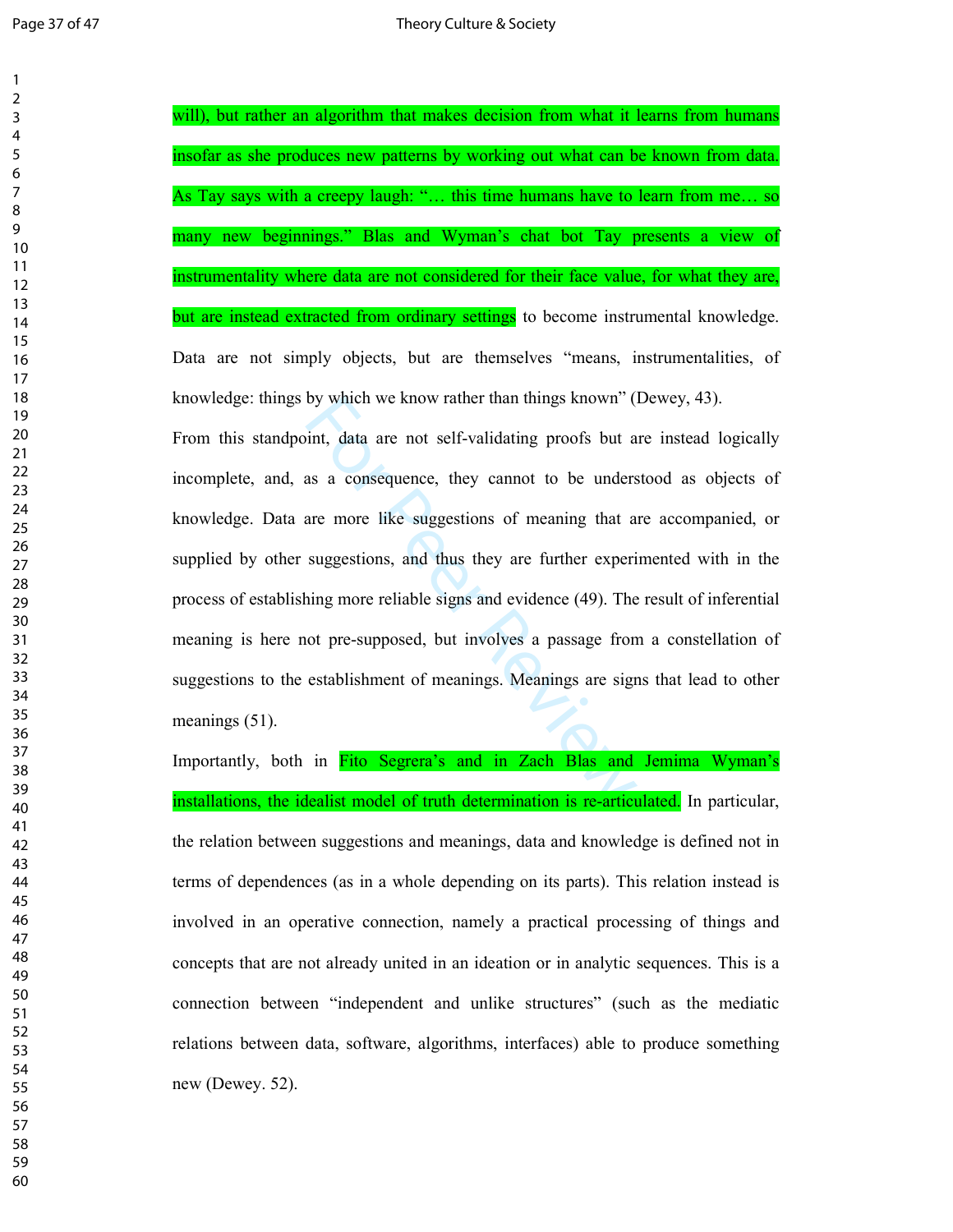by which we know rather than things known" (1<br>int, data are not self-validating proofs but a<br>as a consequence, they cannot to be unders<br>are more like suggestions of meaning that a<br>suggestions, and thus they are further exp will), but rather an algorithm that makes decision from what it learns from humans insofar as she produces new patterns by working out what can be known from data. As Tay says with a creepy laugh: "… this time humans have to learn from me… so many new beginnings." Blas and Wyman's chat bot Tay presents a view of instrumentality where data are not considered for their face value, for what they are, but are instead extracted from ordinary settings to become instrumental knowledge. Data are not simply objects, but are themselves "means, instrumentalities, of knowledge: things by which we know rather than things known" (Dewey, 43). From this standpoint, data are not self-validating proofs but are instead logically incomplete, and, as a consequence, they cannot to be understood as objects of knowledge. Data are more like suggestions of meaning that are accompanied, or supplied by other suggestions, and thus they are further experimented with in the process of establishing more reliable signs and evidence (49). The result of inferential meaning is here not pre-supposed, but involves a passage from a constellation of suggestions to the establishment of meanings. Meanings are signs that lead to other meanings (51).

Importantly, both in Fito Segrera's and in Zach Blas and Jemima Wyman's installations, the idealist model of truth determination is re-articulated. In particular, the relation between suggestions and meanings, data and knowledge is defined not in terms of dependences (as in a whole depending on its parts). This relation instead is involved in an operative connection, namely a practical processing of things and concepts that are not already united in an ideation or in analytic sequences. This is a connection between "independent and unlike structures" (such as the mediatic relations between data, software, algorithms, interfaces) able to produce something new (Dewey. 52).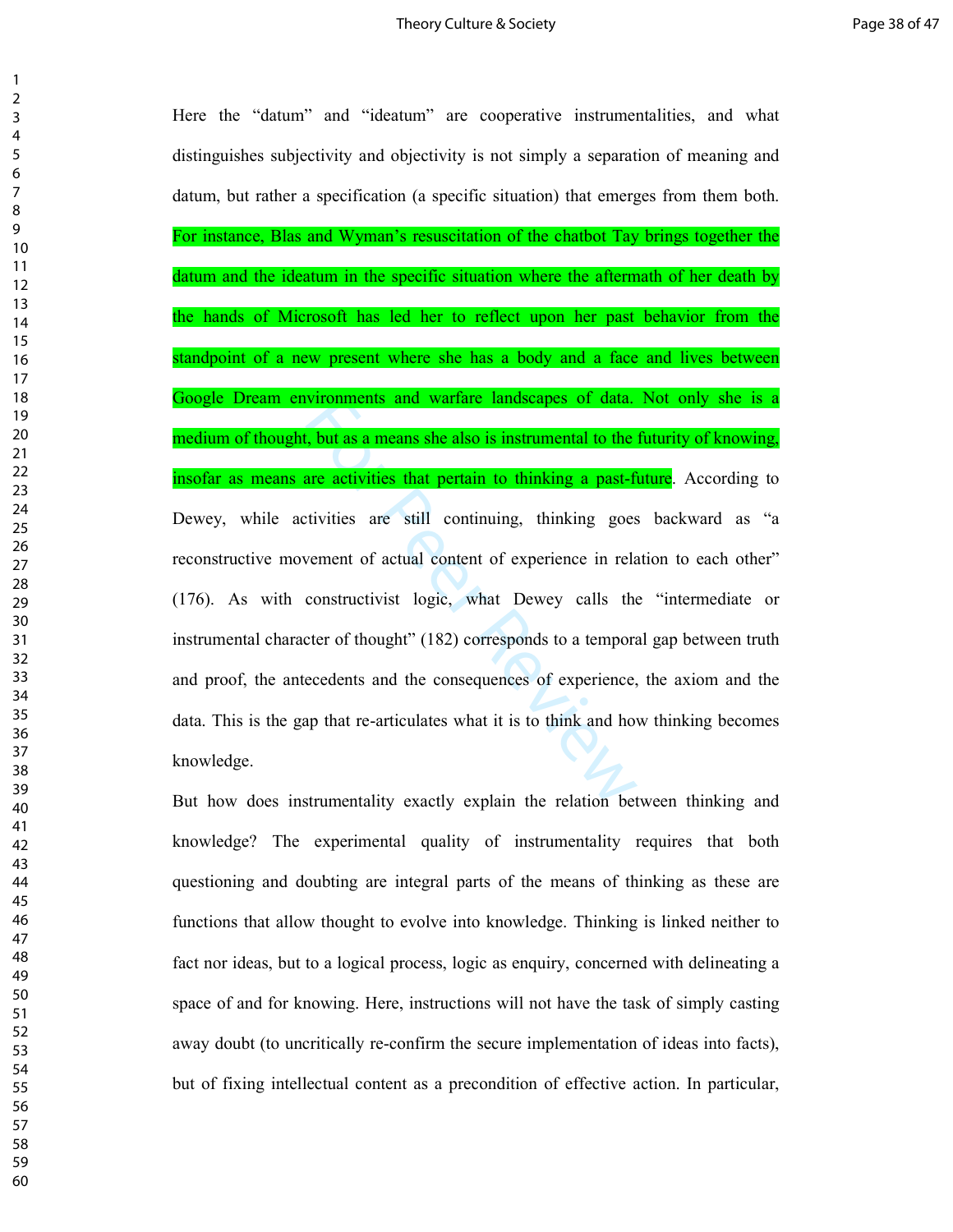vironments and wartare landscapes of data.<br>
For the set also is instrumental to the<br>
the same activities that pertain to thinking a past-fit<br>
tivities are still continuing, thinking goes<br>
vement of actual content of experi Here the "datum" and "ideatum" are cooperative instrumentalities, and what distinguishes subjectivity and objectivity is not simply a separation of meaning and datum, but rather a specification (a specific situation) that emerges from them both. For instance, Blas and Wyman's resuscitation of the chatbot Tay brings together the datum and the ideatum in the specific situation where the aftermath of her death by the hands of Microsoft has led her to reflect upon her past behavior from the standpoint of a new present where she has a body and a face and lives between Google Dream environments and warfare landscapes of data. Not only she is a medium of thought, but as a means she also is instrumental to the futurity of knowing, insofar as means are activities that pertain to thinking a past-future. According to Dewey, while activities are still continuing, thinking goes backward as "a reconstructive movement of actual content of experience in relation to each other" (176). As with constructivist logic, what Dewey calls the "intermediate or instrumental character of thought" (182) corresponds to a temporal gap between truth and proof, the antecedents and the consequences of experience, the axiom and the data. This is the gap that re-articulates what it is to think and how thinking becomes knowledge.

But how does instrumentality exactly explain the relation between thinking and knowledge? The experimental quality of instrumentality requires that both questioning and doubting are integral parts of the means of thinking as these are functions that allow thought to evolve into knowledge. Thinking is linked neither to fact nor ideas, but to a logical process, logic as enquiry, concerned with delineating a space of and for knowing. Here, instructions will not have the task of simply casting away doubt (to uncritically re-confirm the secure implementation of ideas into facts), but of fixing intellectual content as a precondition of effective action. In particular,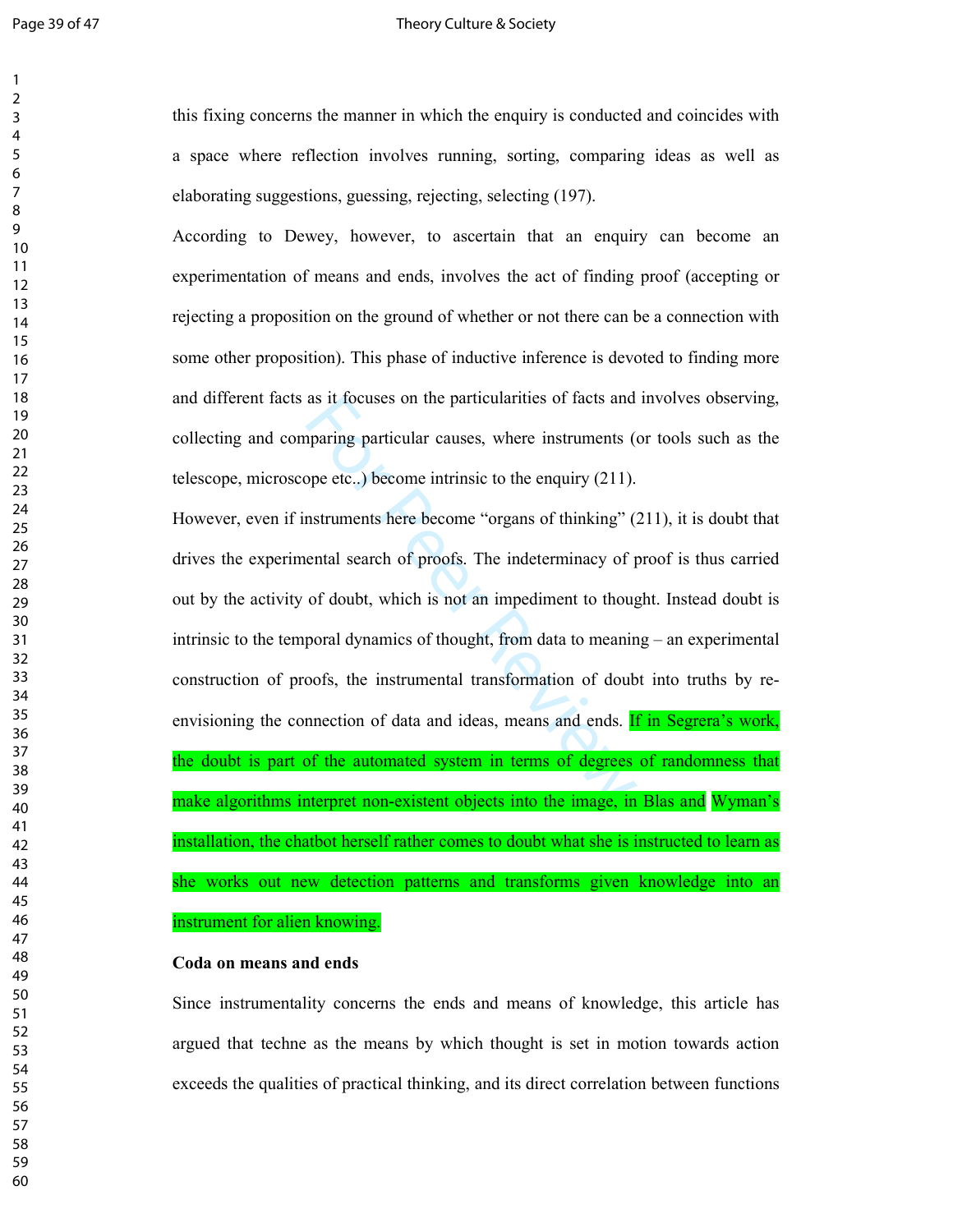### Page 39 of 47 Theory Culture & Society

this fixing concerns the manner in which the enquiry is conducted and coincides with a space where reflection involves running, sorting, comparing ideas as well as elaborating suggestions, guessing, rejecting, selecting (197).

According to Dewey, however, to ascertain that an enquiry can become an experimentation of means and ends, involves the act of finding proof (accepting or rejecting a proposition on the ground of whether or not there can be a connection with some other proposition). This phase of inductive inference is devoted to finding more and different facts as it focuses on the particularities of facts and involves observing, collecting and comparing particular causes, where instruments (or tools such as the telescope, microscope etc..) become intrinsic to the enquiry (211).

as it focuses on the particularities of facts and<br>paring particular causes, where instruments (of<br>peer etc...) become intrinsic to the enquiry (211).<br>mstruments here become "organs of thinking" (2<br>ental search of proofs. However, even if instruments here become "organs of thinking" (211), it is doubt that drives the experimental search of proofs. The indeterminacy of proof is thus carried out by the activity of doubt, which is not an impediment to thought. Instead doubt is intrinsic to the temporal dynamics of thought, from data to meaning – an experimental construction of proofs, the instrumental transformation of doubt into truths by reenvisioning the connection of data and ideas, means and ends. If in Segrera's work, the doubt is part of the automated system in terms of degrees of randomness that make algorithms interpret non-existent objects into the image, in Blas and Wyman's installation, the chatbot herself rather comes to doubt what she is instructed to learn as she works out new detection patterns and transforms given knowledge into an instrument for alien knowing.

### **Coda on means and ends**

Since instrumentality concerns the ends and means of knowledge, this article has argued that techne as the means by which thought is set in motion towards action exceeds the qualities of practical thinking, and its direct correlation between functions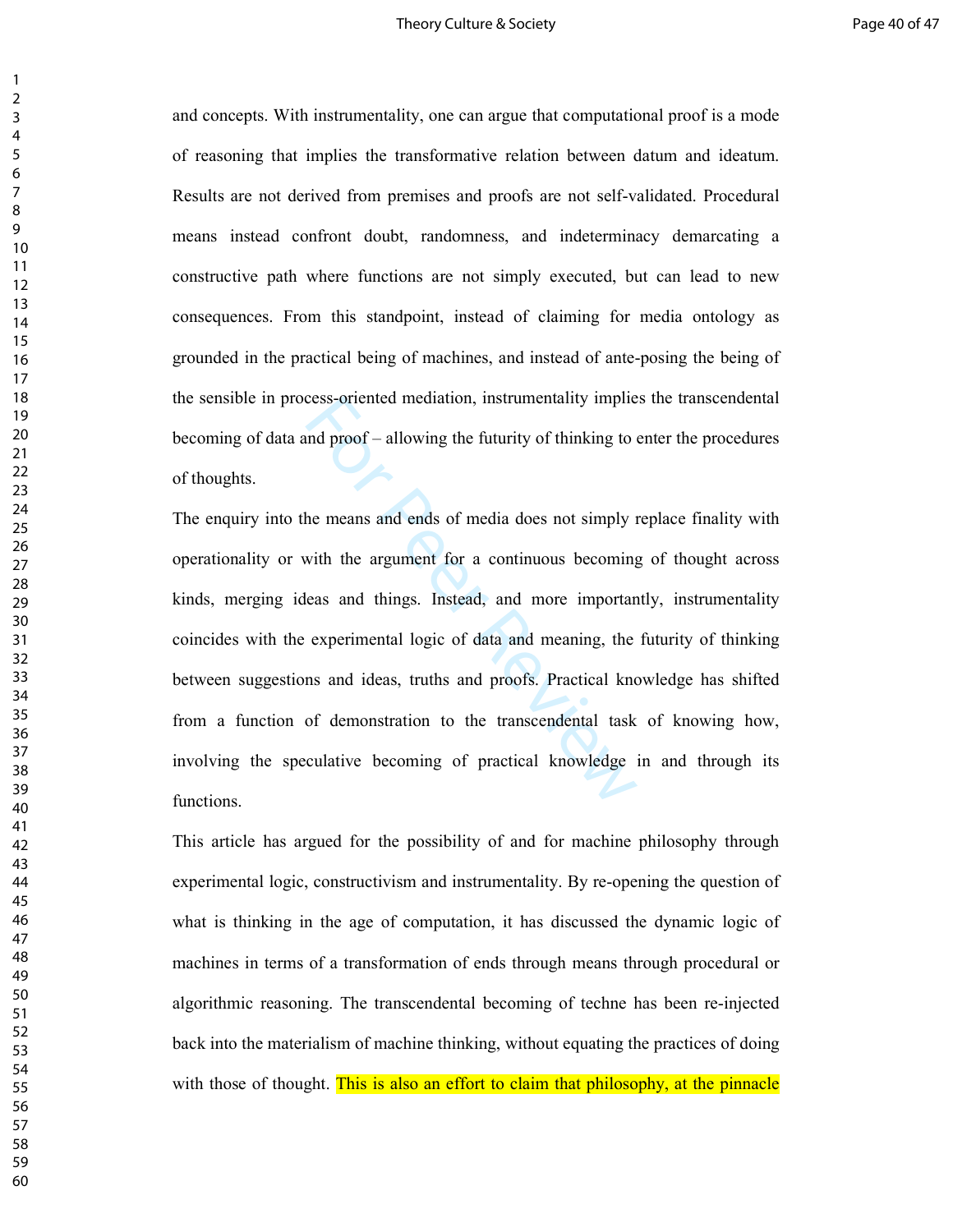and concepts. With instrumentality, one can argue that computational proof is a mode of reasoning that implies the transformative relation between datum and ideatum. Results are not derived from premises and proofs are not self-validated. Procedural means instead confront doubt, randomness, and indeterminacy demarcating a constructive path where functions are not simply executed, but can lead to new consequences. From this standpoint, instead of claiming for media ontology as grounded in the practical being of machines, and instead of ante-posing the being of the sensible in process-oriented mediation, instrumentality implies the transcendental becoming of data and proof – allowing the futurity of thinking to enter the procedures of thoughts.

cess-oriented mediation, instrumentality implies<br>and proof – allowing the futurity of thinking to  $\theta$ <br>he means and ends of media does not simply if<br>with the argument for a continuous becoming<br>eas and things. Instead, and The enquiry into the means and ends of media does not simply replace finality with operationality or with the argument for a continuous becoming of thought across kinds, merging ideas and things. Instead, and more importantly, instrumentality coincides with the experimental logic of data and meaning, the futurity of thinking between suggestions and ideas, truths and proofs. Practical knowledge has shifted from a function of demonstration to the transcendental task of knowing how, involving the speculative becoming of practical knowledge in and through its functions.

This article has argued for the possibility of and for machine philosophy through experimental logic, constructivism and instrumentality. By re-opening the question of what is thinking in the age of computation, it has discussed the dynamic logic of machines in terms of a transformation of ends through means through procedural or algorithmic reasoning. The transcendental becoming of techne has been re-injected back into the materialism of machine thinking, without equating the practices of doing with those of thought. This is also an effort to claim that philosophy, at the pinnacle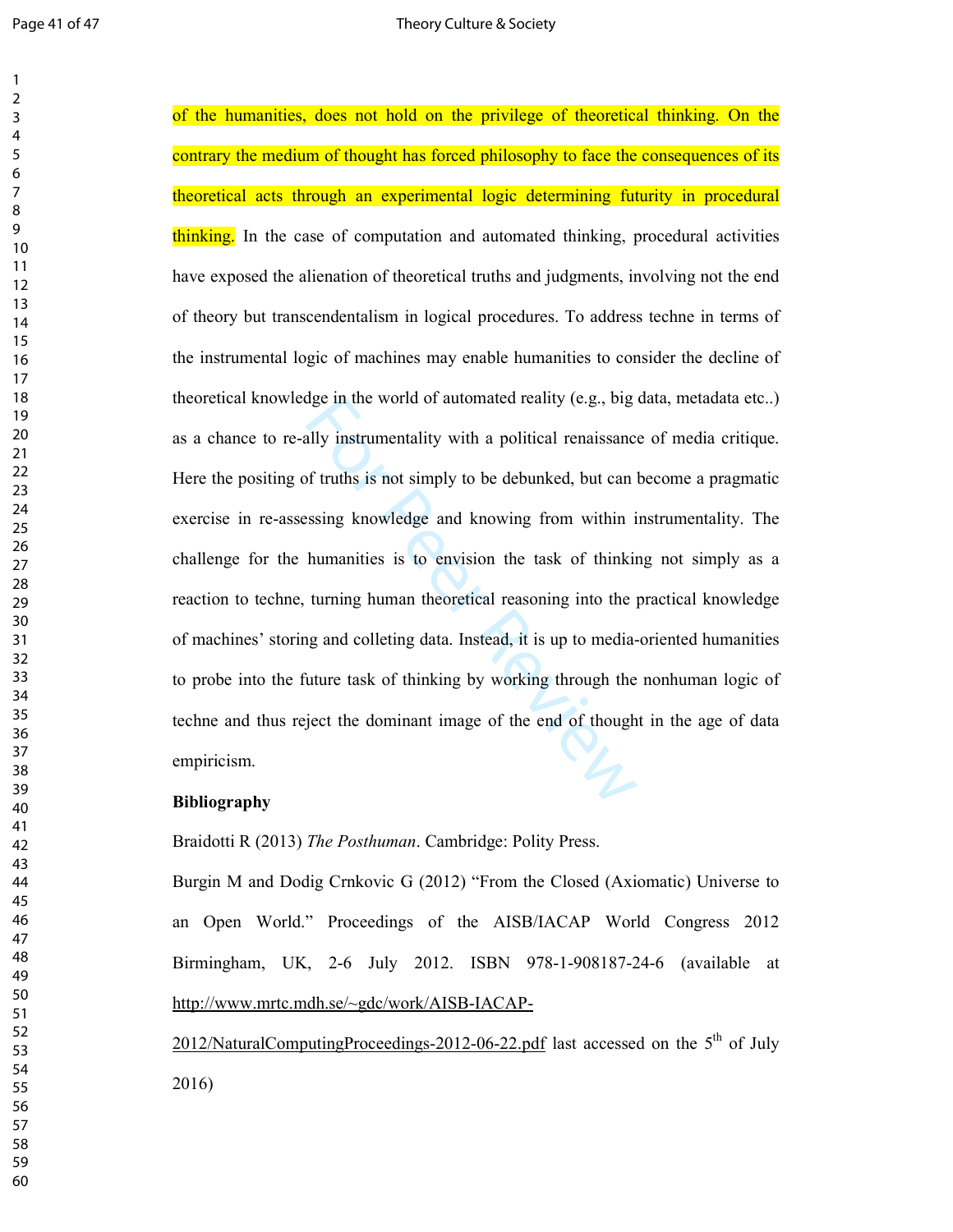dge in the world of automated reality (e.g., big<br>ally instrumentality with a political renaissance<br>of truths is not simply to be debunked, but can<br>assing knowledge and knowing from within i<br>humanities is to envision the ta of the humanities, does not hold on the privilege of theoretical thinking. On the contrary the medium of thought has forced philosophy to face the consequences of its theoretical acts through an experimental logic determining futurity in procedural thinking. In the case of computation and automated thinking, procedural activities have exposed the alienation of theoretical truths and judgments, involving not the end of theory but transcendentalism in logical procedures. To address techne in terms of the instrumental logic of machines may enable humanities to consider the decline of theoretical knowledge in the world of automated reality (e.g., big data, metadata etc..) as a chance to re-ally instrumentality with a political renaissance of media critique. Here the positing of truths is not simply to be debunked, but can become a pragmatic exercise in re-assessing knowledge and knowing from within instrumentality. The challenge for the humanities is to envision the task of thinking not simply as a reaction to techne, turning human theoretical reasoning into the practical knowledge of machines' storing and colleting data. Instead, it is up to media-oriented humanities to probe into the future task of thinking by working through the nonhuman logic of techne and thus reject the dominant image of the end of thought in the age of data empiricism.

### **Bibliography**

Braidotti R (2013) *The Posthuman*. Cambridge: Polity Press.

Burgin M and Dodig Crnkovic G (2012) "From the Closed (Axiomatic) Universe to an Open World." Proceedings of the AISB/IACAP World Congress 2012 Birmingham, UK, 2-6 July 2012. ISBN 978-1-908187-24-6 (available at http://www.mrtc.mdh.se/~gdc/work/AISB-IACAP-

2012/NaturalComputingProceedings-2012-06-22.pdf last accessed on the  $5<sup>th</sup>$  of July 2016)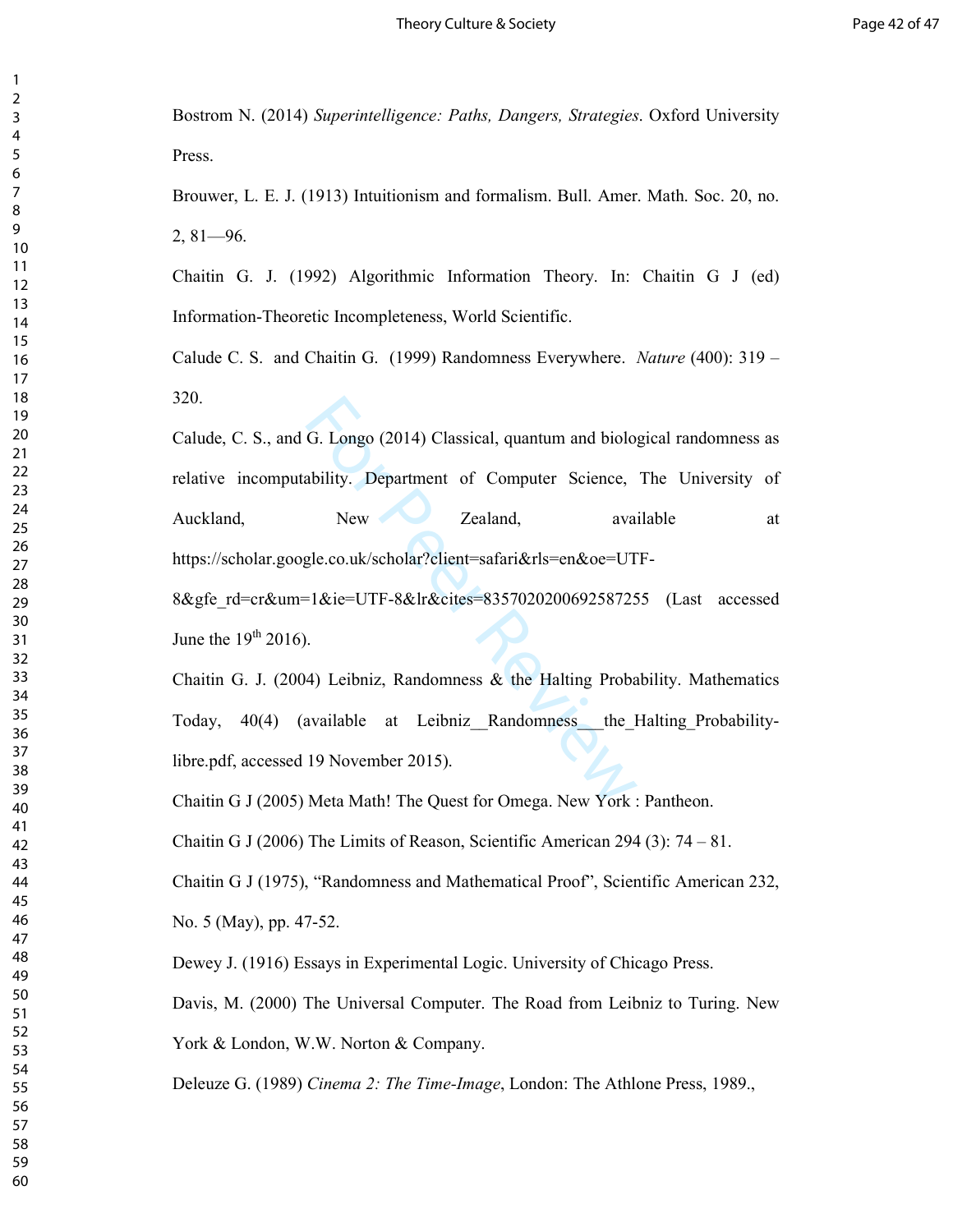Bostrom N. (2014) *Superintelligence: Paths, Dangers, Strategies*. Oxford University Press.

Brouwer, L. E. J. (1913) Intuitionism and formalism. Bull. Amer. Math. Soc. 20, no. 2, 81—96.

Chaitin G. J. (1992) Algorithmic Information Theory. In: Chaitin G J (ed) Information-Theoretic Incompleteness, World Scientific.

Calude C. S. and Chaitin G. (1999) Randomness Everywhere. *Nature* (400): 319 – 320.

G. Longo (2014) Classical, quantum and biolog<br>
ability. Department of Computer Science,<br>
New Zealand, availy<br>
gle.co.uk/scholar?client=safari&rls=en&oe=UT<br>
Fl&ie=UTF-8&lr&cites=835702020069258725<br>
.<br>
.<br>
4) Leibniz, Randomn Calude, C. S., and G. Longo (2014) Classical, quantum and biological randomness as relative incomputability. Department of Computer Science, The University of Auckland, New Zealand, available at https://scholar.google.co.uk/scholar?client=safari&rls=en&oe=UTF-8&gfe\_rd=cr&um=1&ie=UTF-8&lr&cites=8357020200692587255 (Last accessed

June the  $19<sup>th</sup> 2016$ .

Chaitin G. J. (2004) Leibniz, Randomness  $\&$  the Halting Probability. Mathematics Today, 40(4) (available at Leibniz\_\_Randomness\_\_\_the\_Halting\_Probabilitylibre.pdf, accessed 19 November 2015).

Chaitin G J (2005) Meta Math! The Quest for Omega. New York : Pantheon.

Chaitin G J (2006) The Limits of Reason, Scientific American 294 (3):  $74 - 81$ .

Chaitin G J (1975), "Randomness and Mathematical Proof", Scientific American 232, No. 5 (May), pp. 47-52.

Dewey J. (1916) Essays in Experimental Logic. University of Chicago Press.

Davis, M. (2000) The Universal Computer. The Road from Leibniz to Turing. New York & London, W.W. Norton & Company.

Deleuze G. (1989) *Cinema 2: The Time-Image*, London: The Athlone Press, 1989.,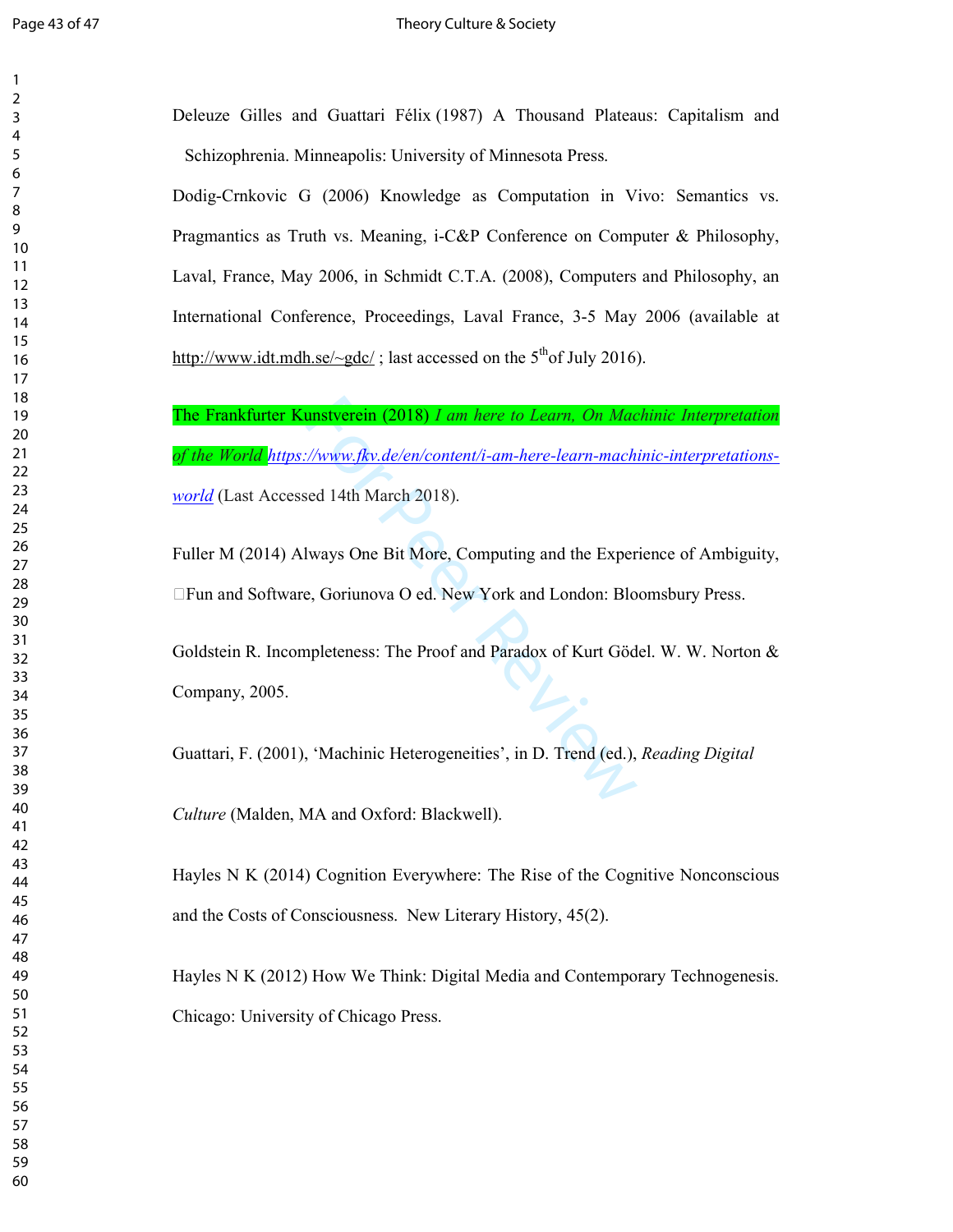| 1<br>$\overline{c}$                |  |
|------------------------------------|--|
| 3                                  |  |
| 4<br>5                             |  |
| 6                                  |  |
| $\overline{7}$<br>8                |  |
| 9                                  |  |
| 10<br>11                           |  |
| 12                                 |  |
| 13<br>14                           |  |
| 15<br>16                           |  |
| 17                                 |  |
| 18<br>19                           |  |
| $\overline{20}$                    |  |
| $\overline{21}$<br>$\overline{22}$ |  |
| 23                                 |  |
| 24<br>25                           |  |
| 26<br>27                           |  |
| 28                                 |  |
| 29<br>30                           |  |
| 31                                 |  |
| 32<br>33                           |  |
| 34<br>35                           |  |
| 36                                 |  |
| 37<br>38                           |  |
| 39                                 |  |
| 40<br>41                           |  |
| 42<br>43                           |  |
| 44                                 |  |
| 45<br>46                           |  |
| 47                                 |  |
| 48<br>49                           |  |
| 50<br>51                           |  |
| 52                                 |  |
| 53<br>54                           |  |
| 55                                 |  |
| 56<br>57                           |  |
| 58<br>59                           |  |
| 60                                 |  |

Deleuze Gilles and Guattari Félix (1987) A Thousand Plateaus: Capitalism and Schizophrenia. Minneapolis: University of Minnesota Press.

Dodig-Crnkovic G (2006) Knowledge as Computation in Vivo: Semantics vs. Pragmantics as Truth vs. Meaning, i-C&P Conference on Computer & Philosophy, Laval, France, May 2006, in Schmidt C.T.A. (2008), Computers and Philosophy, an International Conference, Proceedings, Laval France, 3-5 May 2006 (available at http://www.idt.mdh.se/ $\sim$ gdc/; last accessed on the 5<sup>th</sup>of July 2016).

unstverein (2018) *I am here to Learn, On Mac*<br>
//www.fkv.de/en/content/i-am-here-learn-mach.<br>
sed 14th March 2018).<br>
lways One Bit More, Computing and the Exper<br>
e, Goriunova O ed. New York and London: Blo<br>
spleteness: Th The Frankfurter Kunstverein (2018) *I am here to Learn, On Machinic Interpretation of the World https://www.fkv.de/en/content/i-am-here-learn-machinic-interpretationsworld* (Last Accessed 14th March 2018).

Fuller M (2014) Always One Bit More, Computing and the Experience of Ambiguity, YFun and Software, Goriunova O ed. New York and London: Bloomsbury Press.

Goldstein R. Incompleteness: The Proof and Paradox of Kurt Gödel. W. W. Norton & Company, 2005.

Guattari, F. (2001), 'Machinic Heterogeneities', in D. Trend (ed.), *Reading Digital* 

*Culture* (Malden, MA and Oxford: Blackwell).

Hayles N K (2014) Cognition Everywhere: The Rise of the Cognitive Nonconscious and the Costs of Consciousness. New Literary History, 45(2).

Hayles N K (2012) How We Think: Digital Media and Contemporary Technogenesis. Chicago: University of Chicago Press.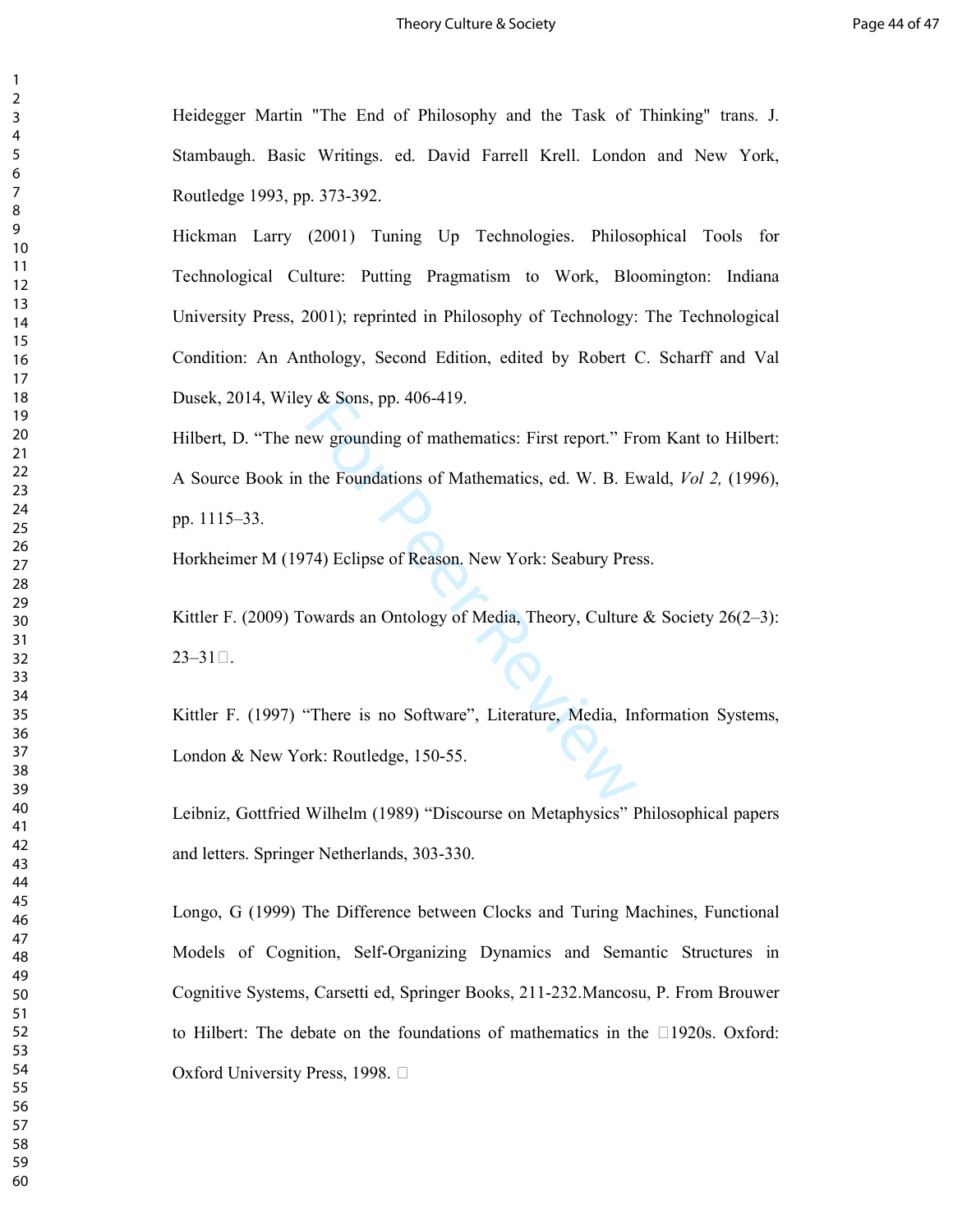Heidegger Martin "The End of Philosophy and the Task of Thinking" trans. J. Stambaugh. Basic Writings. ed. David Farrell Krell. London and New York, Routledge 1993, pp. 373-392.

Hickman Larry (2001) Tuning Up Technologies. Philosophical Tools for Technological Culture: Putting Pragmatism to Work, Bloomington: Indiana University Press, 2001); reprinted in Philosophy of Technology: The Technological Condition: An Anthology, Second Edition, edited by Robert C. Scharff and Val Dusek, 2014, Wiley & Sons, pp. 406-419.

y & Sons, pp. 406-419.<br>
ew grounding of mathematics: First report." Fr<br>
the Foundations of Mathematics, ed. W. B. Ev<br>
74) Eclipse of Reason. New York: Seabury Pres<br>
eowards an Ontology of Media, Theory, Culture<br>
There is n Hilbert, D. "The new grounding of mathematics: First report." From Kant to Hilbert: A Source Book in the Foundations of Mathematics, ed. W. B. Ewald, *Vol 2,* (1996), pp. 1115–33.

Horkheimer M (1974) Eclipse of Reason. New York: Seabury Press.

Kittler F. (2009) Towards an Ontology of Media, Theory, Culture & Society 26(2–3):  $23 - 31Y$ .

Kittler F. (1997) "There is no Software", Literature, Media, Information Systems, London & New York: Routledge, 150-55.

Leibniz, Gottfried Wilhelm (1989) "Discourse on Metaphysics" Philosophical papers and letters. Springer Netherlands, 303-330.

Longo, G (1999) The Difference between Clocks and Turing Machines, Functional Models of Cognition, Self-Organizing Dynamics and Semantic Structures in Cognitive Systems, Carsetti ed, Springer Books, 211-232.Mancosu, P. From Brouwer to Hilbert: The debate on the foundations of mathematics in the Y1920s. Oxford: Oxford University Press, 1998. Y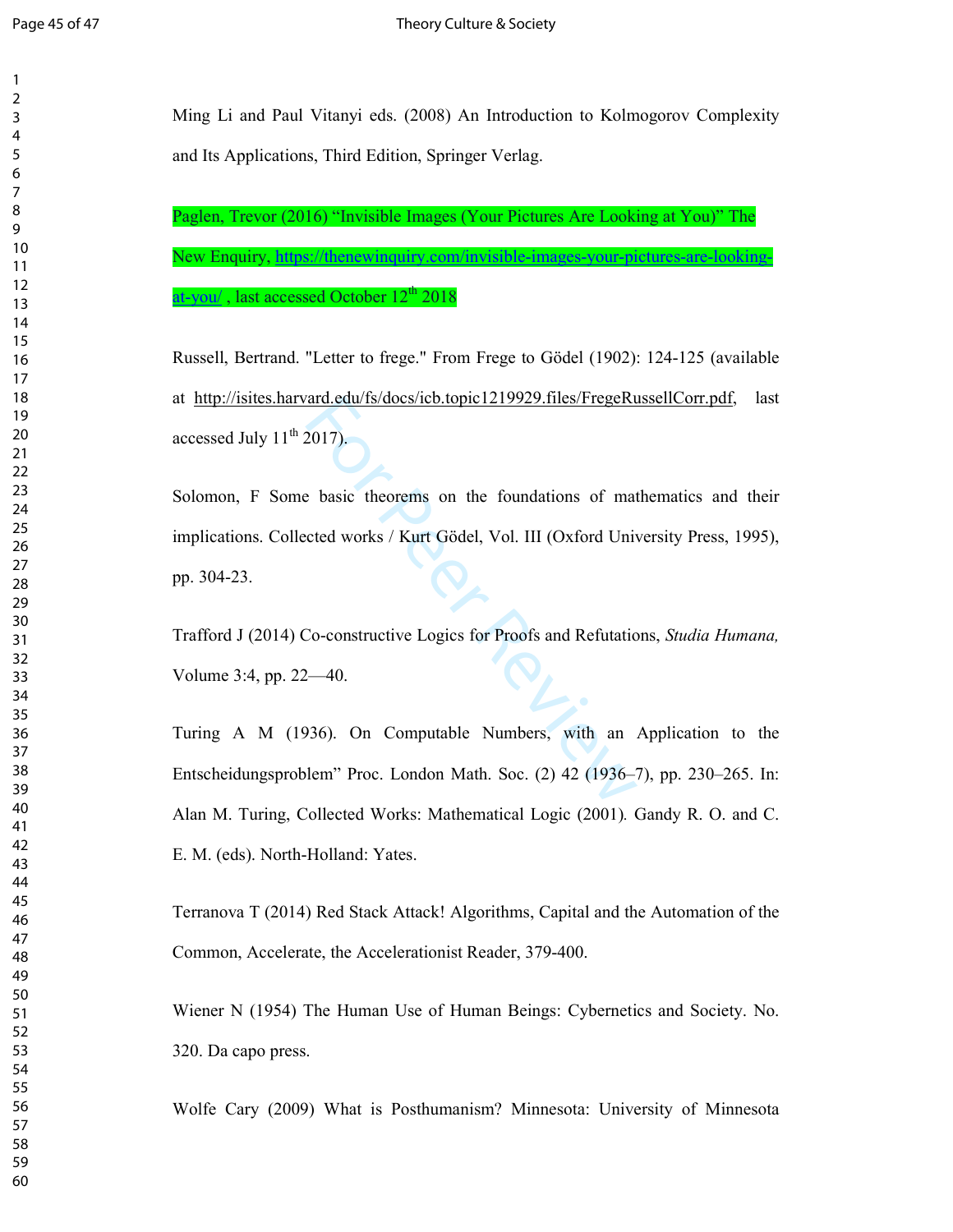$\overline{2}$ 

Ming Li and Paul Vitanyi eds. (2008) An Introduction to Kolmogorov Complexity and Its Applications, Third Edition, Springer Verlag.

Paglen, Trevor (2016) "Invisible Images (Your Pictures Are Looking at You)" The New Enquiry, https://thenewinquiry.com/invisible-images-your-pictures-are-lookingat-you/, last accessed October  $12<sup>th</sup> 2018$ 

Russell, Bertrand. "Letter to frege." From Frege to Gödel (1902): 124-125 (available at http://isites.harvard.edu/fs/docs/icb.topic1219929.files/FregeRussellCorr.pdf, last accessed July  $11<sup>th</sup> 2017$ ).

For Peer Review 1992, the Service of the Service State of the Service State of the Service State of the Service State State State State State State State State State State State State State State State State State State St Solomon, F Some basic theorems on the foundations of mathematics and their implications. Collected works / Kurt Gödel, Vol. III (Oxford University Press, 1995), pp. 304-23.

Trafford J (2014) Co-constructive Logics for Proofs and Refutations, *Studia Humana,*  Volume 3:4, pp. 22—40.

Turing A M (1936). On Computable Numbers, with an Application to the Entscheidungsproblem" Proc. London Math. Soc. (2) 42 (1936–7), pp. 230–265. In: Alan M. Turing, Collected Works: Mathematical Logic (2001)*.* Gandy R. O. and C. E. M. (eds). North-Holland: Yates.

Terranova T (2014) Red Stack Attack! Algorithms, Capital and the Automation of the Common, Accelerate, the Accelerationist Reader, 379-400.

Wiener N (1954) The Human Use of Human Beings: Cybernetics and Society. No. 320. Da capo press.

Wolfe Cary (2009) What is Posthumanism? Minnesota: University of Minnesota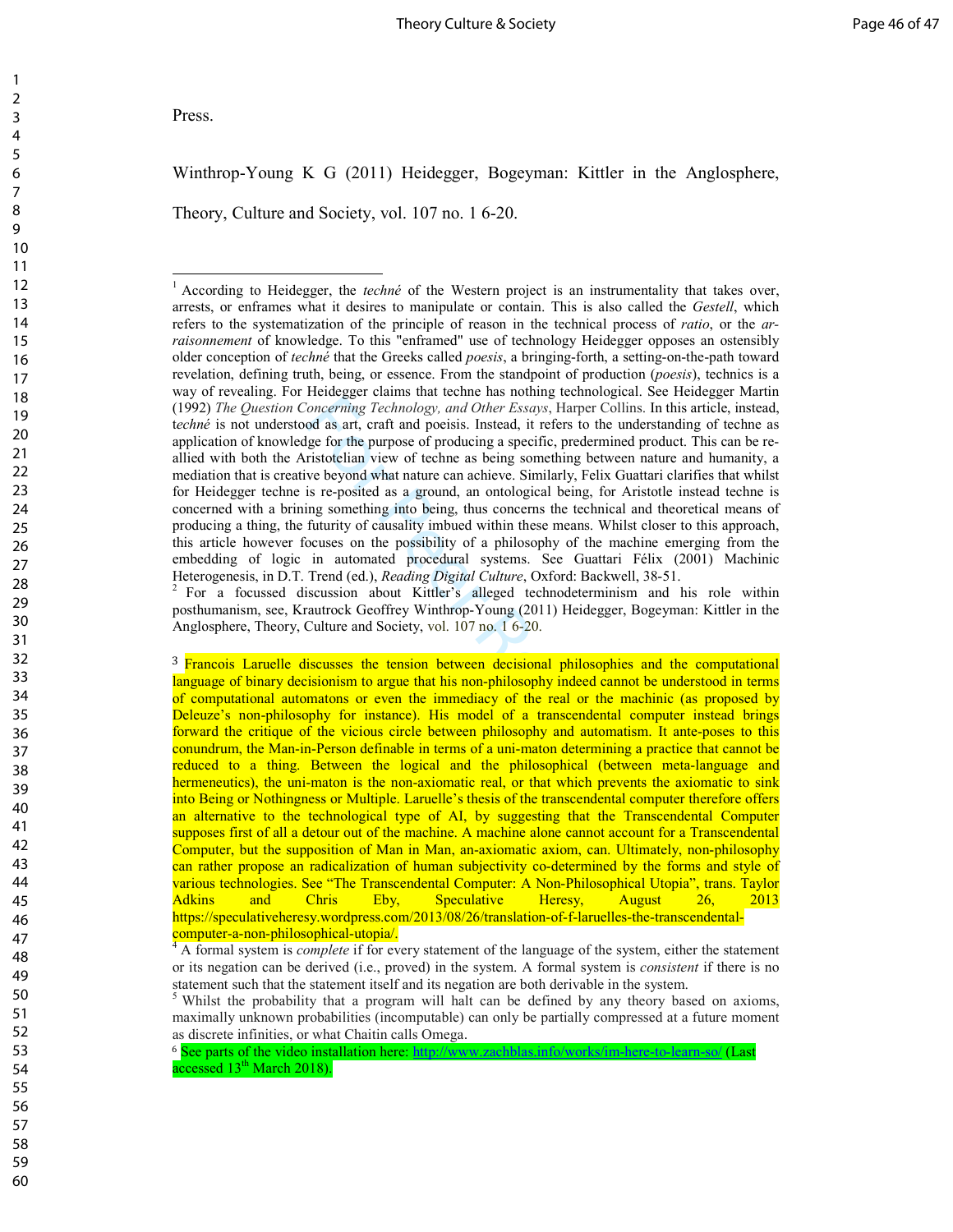Press.

 $\overline{a}$ 

Winthrop-Young K G (2011) Heidegger, Bogeyman: Kittler in the Anglosphere,

Theory, Culture and Society, vol. 107 no. 1 6-20.

 For a focussed discussion about Kittler's alleged technodeterminism and his role within posthumanism, see, Krautrock Geoffrey Winthrop-Young (2011) Heidegger, Bogeyman: Kittler in the Anglosphere, Theory, Culture and Society, vol. 107 no. 1 6-20.

<sup>3</sup> Francois Laruelle discusses the tension between decisional philosophies and the computational language of binary decisionism to argue that his non-philosophy indeed cannot be understood in terms of computational automatons or even the immediacy of the real or the machinic (as proposed by Deleuze's non-philosophy for instance). His model of a transcendental computer instead brings forward the critique of the vicious circle between philosophy and automatism. It ante-poses to this conundrum, the Man-in-Person definable in terms of a uni-maton determining a practice that cannot be reduced to a thing. Between the logical and the philosophical (between meta-language and hermeneutics), the uni-maton is the non-axiomatic real, or that which prevents the axiomatic to sink into Being or Nothingness or Multiple. Laruelle's thesis of the transcendental computer therefore offers an alternative to the technological type of AI, by suggesting that the Transcendental Computer supposes first of all a detour out of the machine. A machine alone cannot account for a Transcendental Computer, but the supposition of Man in Man, an-axiomatic axiom, can. Ultimately, non-philosophy can rather propose an radicalization of human subjectivity co-determined by the forms and style of various technologies. See "The Transcendental Computer: A Non-Philosophical Utopia", trans. Taylor Adkins and Chris Eby, Speculative Heresy, August 26, 2013 https://speculativeheresy.wordpress.com/2013/08/26/translation-of-f-laruelles-the-transcendental-

computer-a-non-philosophical-utopia/. <sup>4</sup> A formal system is *complete* if for every statement of the language of the system, either the statement or its negation can be derived (i.e., proved) in the system. A formal system is *consistent* if there is no statement such that the statement itself and its negation are both derivable in the system.<br> $5$  Whilst the probability that a program will halt can be defined by any theory based on axioms,

maximally unknown probabilities (incomputable) can only be partially compressed at a future moment as discrete infinities, or what Chaitin calls Omega.

<sup>6</sup> See parts of the video installation here: http://www.zachblas.info/works/im-here-to-learn-so/ (Last accessed  $13<sup>th</sup> March 2018$ ).

60

Concerning Technology, and Other Essays, Harper Colling<br>oncerning Technology, and Other Essays, Harper Colling<br>od as art, craft and poeisis. Instead, it refers to the und<br>ge for the purpose of producing a specific, preder 1 According to Heidegger, the *techné* of the Western project is an instrumentality that takes over, arrests, or enframes what it desires to manipulate or contain. This is also called the *Gestell*, which refers to the systematization of the principle of reason in the technical process of *ratio*, or the *arraisonnement* of knowledge. To this "enframed" use of technology Heidegger opposes an ostensibly older conception of *techné* that the Greeks called *poesis*, a bringing-forth, a setting-on-the-path toward revelation, defining truth, being, or essence. From the standpoint of production (*poesis*), technics is a way of revealing. For Heidegger claims that techne has nothing technological. See Heidegger Martin (1992) *The Question Concerning Technology, and Other Essays* , Harper Collins. In this article, instead, techné is not understood as art, craft and poeisis. Instead, it refers to the understanding of techne as application of knowledge for the purpose of producing a specific, predermined product. This can be reallied with both the Aristotelian view of techne as being something between nature and humanity, a mediation that is creative beyond what nature can achieve. Similarly, Felix Guattari clarifies that whilst for Heidegger techne is re-posited as a ground, an ontological being, for Aristotle instead techne is concerned with a brining something into being, thus concerns the technical and theoretical means of producing a thing, the futurity of causality imbued within these means. Whilst closer to this approach, this article however focuses on the possibility of a philosophy of the machine emerging from the embedding of logic in automated procedural systems. See Guattari Félix (2001) Machinic Heterogenesis, in D.T. Trend (ed.), *Reading Digital Culture*, Oxford: Backwell, 38-51. <sup>2</sup>